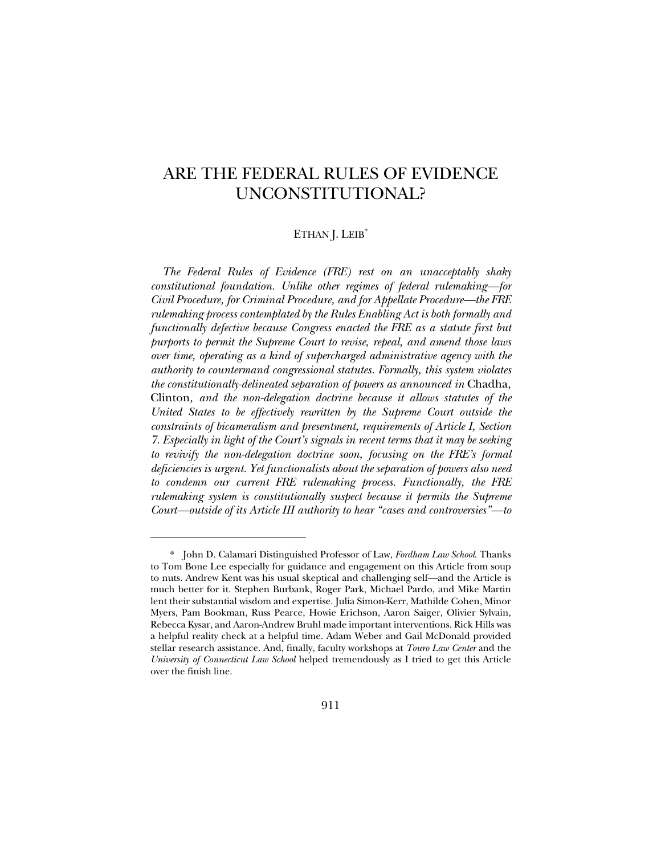# ARE THE FEDERAL RULES OF EVIDENCE UNCONSTITUTIONAL?

# ETHAN J. LEIB<sup>\*</sup>

*The Federal Rules of Evidence (FRE) rest on an unacceptably shaky constitutional foundation. Unlike other regimes of federal rulemaking—for Civil Procedure, for Criminal Procedure, and for Appellate Procedure—the FRE rulemaking process contemplated by the Rules Enabling Act is both formally and functionally defective because Congress enacted the FRE as a statute first but purports to permit the Supreme Court to revise, repeal, and amend those laws over time, operating as a kind of supercharged administrative agency with the authority to countermand congressional statutes. Formally, this system violates the constitutionally-delineated separation of powers as announced in* Chadha*,*  Clinton*, and the non-delegation doctrine because it allows statutes of the United States to be effectively rewritten by the Supreme Court outside the constraints of bicameralism and presentment, requirements of Article I, Section 7. Especially in light of the Court's signals in recent terms that it may be seeking to revivify the non-delegation doctrine soon, focusing on the FRE's formal deficiencies is urgent. Yet functionalists about the separation of powers also need to condemn our current FRE rulemaking process. Functionally, the FRE rulemaking system is constitutionally suspect because it permits the Supreme Court—outside of its Article III authority to hear "cases and controversies"—to* 

<sup>\*</sup> John D. Calamari Distinguished Professor of Law, *Fordham Law School*. Thanks to Tom Bone Lee especially for guidance and engagement on this Article from soup to nuts. Andrew Kent was his usual skeptical and challenging self—and the Article is much better for it. Stephen Burbank, Roger Park, Michael Pardo, and Mike Martin lent their substantial wisdom and expertise. Julia Simon-Kerr, Mathilde Cohen, Minor Myers, Pam Bookman, Russ Pearce, Howie Erichson, Aaron Saiger, Olivier Sylvain, Rebecca Kysar, and Aaron-Andrew Bruhl made important interventions. Rick Hills was a helpful reality check at a helpful time. Adam Weber and Gail McDonald provided stellar research assistance. And, finally, faculty workshops at *Touro Law Center* and the *University of Connecticut Law School* helped tremendously as I tried to get this Article over the finish line.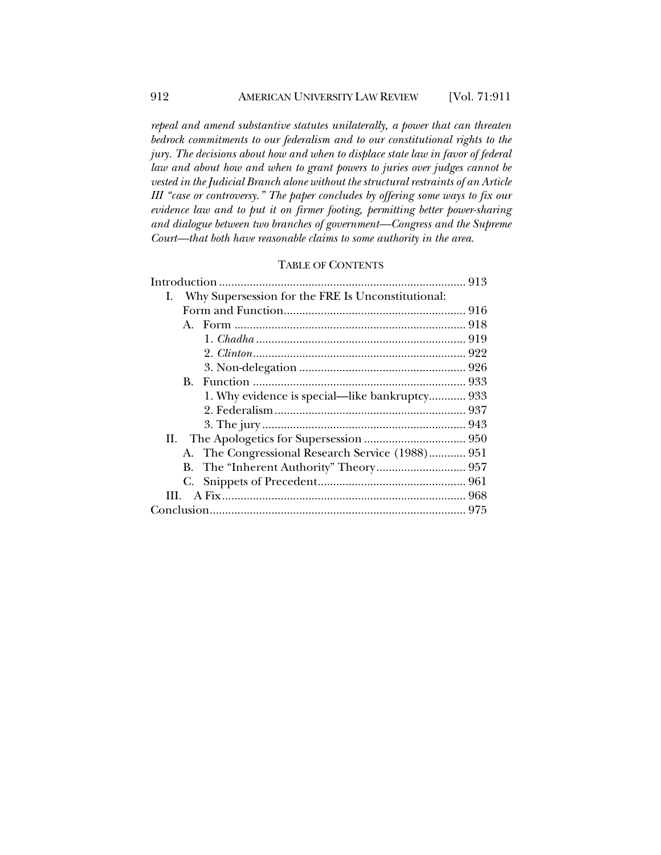*repeal and amend substantive statutes unilaterally, a power that can threaten bedrock commitments to our federalism and to our constitutional rights to the jury. The decisions about how and when to displace state law in favor of federal law and about how and when to grant powers to juries over judges cannot be vested in the Judicial Branch alone without the structural restraints of an Article III "case or controversy." The paper concludes by offering some ways to fix our evidence law and to put it on firmer footing, permitting better power-sharing and dialogue between two branches of government—Congress and the Supreme Court—that both have reasonable claims to some authority in the area.*

# TABLE OF CONTENTS

|  | I. Why Supersession for the FRE Is Unconstitutional: |                                                  |  |
|--|------------------------------------------------------|--------------------------------------------------|--|
|  |                                                      |                                                  |  |
|  |                                                      |                                                  |  |
|  |                                                      |                                                  |  |
|  |                                                      |                                                  |  |
|  |                                                      |                                                  |  |
|  |                                                      |                                                  |  |
|  |                                                      | 1. Why evidence is special—like bankruptcy 933   |  |
|  |                                                      |                                                  |  |
|  |                                                      |                                                  |  |
|  |                                                      |                                                  |  |
|  |                                                      | A. The Congressional Research Service (1988) 951 |  |
|  |                                                      |                                                  |  |
|  |                                                      |                                                  |  |
|  |                                                      |                                                  |  |
|  |                                                      |                                                  |  |
|  |                                                      |                                                  |  |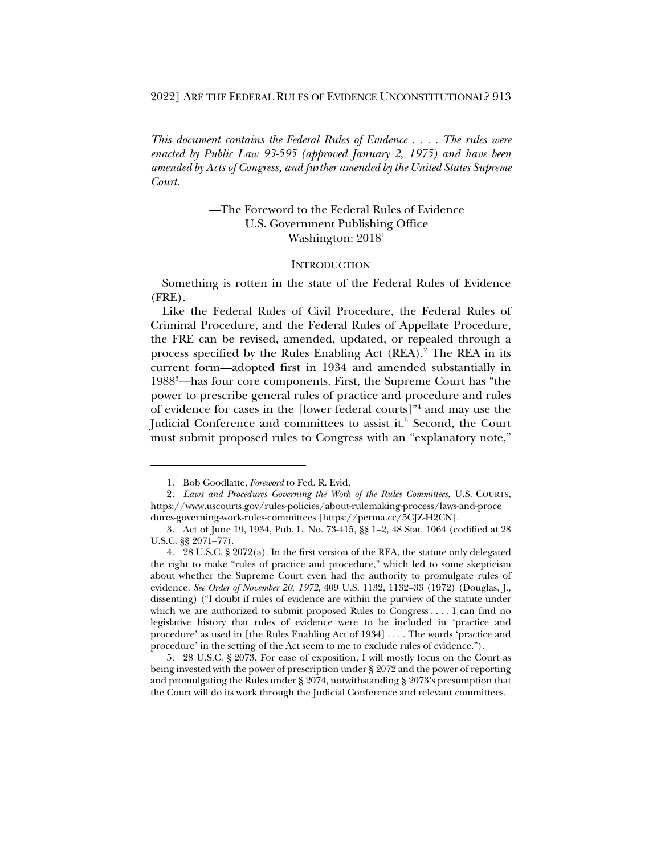2022] ARE THE FEDERAL RULES OF EVIDENCE UNCONSTITUTIONAL? 913

*This document contains the Federal Rules of Evidence . . . . The rules were enacted by Public Law 93-595 (approved January 2, 1975) and have been amended by Acts of Congress, and further amended by the United States Supreme Court.*

# —The Foreword to the Federal Rules of Evidence U.S. Government Publishing Office Washington: 2018<sup>1</sup>

#### **INTRODUCTION**

Something is rotten in the state of the Federal Rules of Evidence (FRE).

Like the Federal Rules of Civil Procedure, the Federal Rules of Criminal Procedure, and the Federal Rules of Appellate Procedure, the FRE can be revised, amended, updated, or repealed through a process specified by the Rules Enabling Act (REA).2 The REA in its current form—adopted first in 1934 and amended substantially in 1988<sup>3</sup>—has four core components. First, the Supreme Court has "the power to prescribe general rules of practice and procedure and rules of evidence for cases in the [lower federal courts]"4 and may use the Judicial Conference and committees to assist it.<sup>5</sup> Second, the Court must submit proposed rules to Congress with an "explanatory note,"

<sup>1.</sup> Bob Goodlatte, *Foreword* to Fed. R. Evid.

<sup>2</sup>*. Laws and Procedures Governing the Work of the Rules Committees*, U.S. COURTS, https://www.uscourts.gov/rules-policies/about-rulemaking-process/laws-and-proce dures-governing-work-rules-committees [https://perma.cc/5CJZ-H2CN].

<sup>3.</sup> Act of June 19, 1934, Pub. L. No. 73-415, §§ 1–2, 48 Stat. 1064 (codified at 28 U.S.C. §§ 2071–77).

<sup>4.</sup> 28 U.S.C. § 2072(a). In the first version of the REA, the statute only delegated the right to make "rules of practice and procedure," which led to some skepticism about whether the Supreme Court even had the authority to promulgate rules of evidence. *See Order of November 20, 1972*, 409 U.S. 1132, 1132–33 (1972) (Douglas, J., dissenting) ("I doubt if rules of evidence are within the purview of the statute under which we are authorized to submit proposed Rules to Congress . . . . I can find no legislative history that rules of evidence were to be included in 'practice and procedure' as used in [the Rules Enabling Act of 1934] . . . . The words 'practice and procedure' in the setting of the Act seem to me to exclude rules of evidence.").

<sup>5.</sup> 28 U.S.C. § 2073. For ease of exposition, I will mostly focus on the Court as being invested with the power of prescription under § 2072 and the power of reporting and promulgating the Rules under § 2074, notwithstanding § 2073's presumption that the Court will do its work through the Judicial Conference and relevant committees.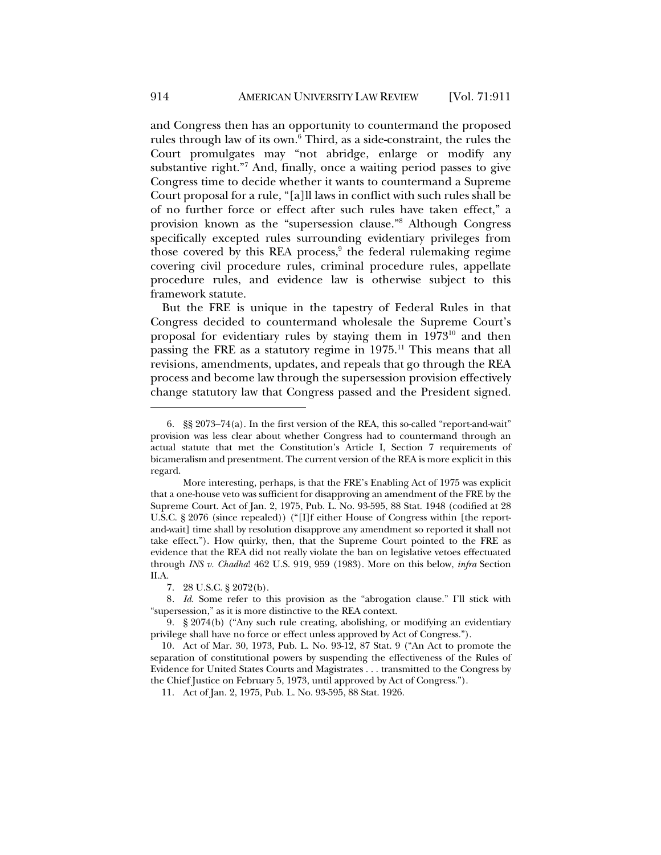and Congress then has an opportunity to countermand the proposed rules through law of its own.<sup>6</sup> Third, as a side-constraint, the rules the Court promulgates may "not abridge, enlarge or modify any substantive right."7 And, finally, once a waiting period passes to give Congress time to decide whether it wants to countermand a Supreme Court proposal for a rule, "[a]ll laws in conflict with such rules shall be of no further force or effect after such rules have taken effect," a provision known as the "supersession clause."8 Although Congress specifically excepted rules surrounding evidentiary privileges from those covered by this REA process, $9$  the federal rulemaking regime covering civil procedure rules, criminal procedure rules, appellate procedure rules, and evidence law is otherwise subject to this framework statute.

But the FRE is unique in the tapestry of Federal Rules in that Congress decided to countermand wholesale the Supreme Court's proposal for evidentiary rules by staying them in  $1973^{10}$  and then passing the FRE as a statutory regime in 1975.<sup>11</sup> This means that all revisions, amendments, updates, and repeals that go through the REA process and become law through the supersession provision effectively change statutory law that Congress passed and the President signed.

<sup>6.</sup> §§ 2073–74(a). In the first version of the REA, this so-called "report-and-wait" provision was less clear about whether Congress had to countermand through an actual statute that met the Constitution's Article I, Section 7 requirements of bicameralism and presentment. The current version of the REA is more explicit in this regard.

More interesting, perhaps, is that the FRE's Enabling Act of 1975 was explicit that a one-house veto was sufficient for disapproving an amendment of the FRE by the Supreme Court. Act of Jan. 2, 1975, Pub. L. No. 93-595, 88 Stat. 1948 (codified at 28 U.S.C. § 2076 (since repealed)) ("[I]f either House of Congress within [the reportand-wait] time shall by resolution disapprove any amendment so reported it shall not take effect."). How quirky, then, that the Supreme Court pointed to the FRE as evidence that the REA did not really violate the ban on legislative vetoes effectuated through *INS v. Chadha*! 462 U.S. 919, 959 (1983). More on this below, *infra* Section II.A.

<sup>7.</sup> 28 U.S.C. § 2072(b).

<sup>8</sup>*. Id.* Some refer to this provision as the "abrogation clause." I'll stick with "supersession," as it is more distinctive to the REA context.

<sup>9.</sup> § 2074(b) ("Any such rule creating, abolishing, or modifying an evidentiary privilege shall have no force or effect unless approved by Act of Congress.").

<sup>10.</sup> Act of Mar. 30, 1973, Pub. L. No. 93-12, 87 Stat. 9 ("An Act to promote the separation of constitutional powers by suspending the effectiveness of the Rules of Evidence for United States Courts and Magistrates . . . transmitted to the Congress by the Chief Justice on February 5, 1973, until approved by Act of Congress.").

<sup>11.</sup> Act of Jan. 2, 1975, Pub. L. No. 93-595, 88 Stat. 1926.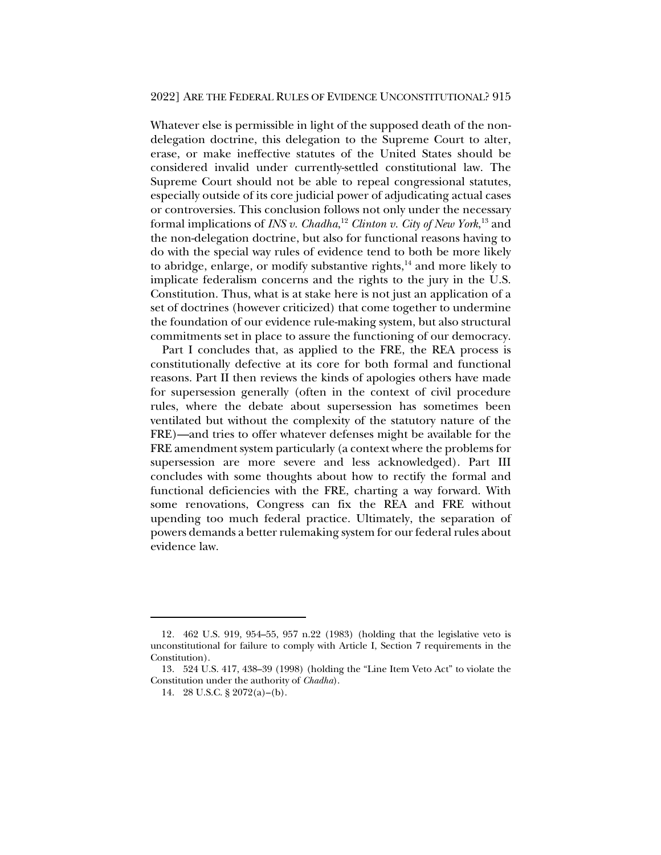Whatever else is permissible in light of the supposed death of the nondelegation doctrine, this delegation to the Supreme Court to alter, erase, or make ineffective statutes of the United States should be considered invalid under currently-settled constitutional law. The Supreme Court should not be able to repeal congressional statutes, especially outside of its core judicial power of adjudicating actual cases or controversies. This conclusion follows not only under the necessary formal implications of *INS v. Chadha*, <sup>12</sup> *Clinton v. City of New York*, <sup>13</sup> and the non-delegation doctrine, but also for functional reasons having to do with the special way rules of evidence tend to both be more likely to abridge, enlarge, or modify substantive rights, $14$  and more likely to implicate federalism concerns and the rights to the jury in the U.S. Constitution. Thus, what is at stake here is not just an application of a set of doctrines (however criticized) that come together to undermine the foundation of our evidence rule-making system, but also structural commitments set in place to assure the functioning of our democracy.

Part I concludes that, as applied to the FRE, the REA process is constitutionally defective at its core for both formal and functional reasons. Part II then reviews the kinds of apologies others have made for supersession generally (often in the context of civil procedure rules, where the debate about supersession has sometimes been ventilated but without the complexity of the statutory nature of the FRE)—and tries to offer whatever defenses might be available for the FRE amendment system particularly (a context where the problems for supersession are more severe and less acknowledged). Part III concludes with some thoughts about how to rectify the formal and functional deficiencies with the FRE, charting a way forward. With some renovations, Congress can fix the REA and FRE without upending too much federal practice. Ultimately, the separation of powers demands a better rulemaking system for our federal rules about evidence law.

<sup>12</sup>*.* 462 U.S. 919, 954–55, 957 n.22 (1983) (holding that the legislative veto is unconstitutional for failure to comply with Article I, Section 7 requirements in the Constitution).

<sup>13.</sup> 524 U.S. 417, 438–39 (1998) (holding the "Line Item Veto Act" to violate the Constitution under the authority of *Chadha*).

<sup>14.</sup> 28 U.S.C. § 2072(a)–(b).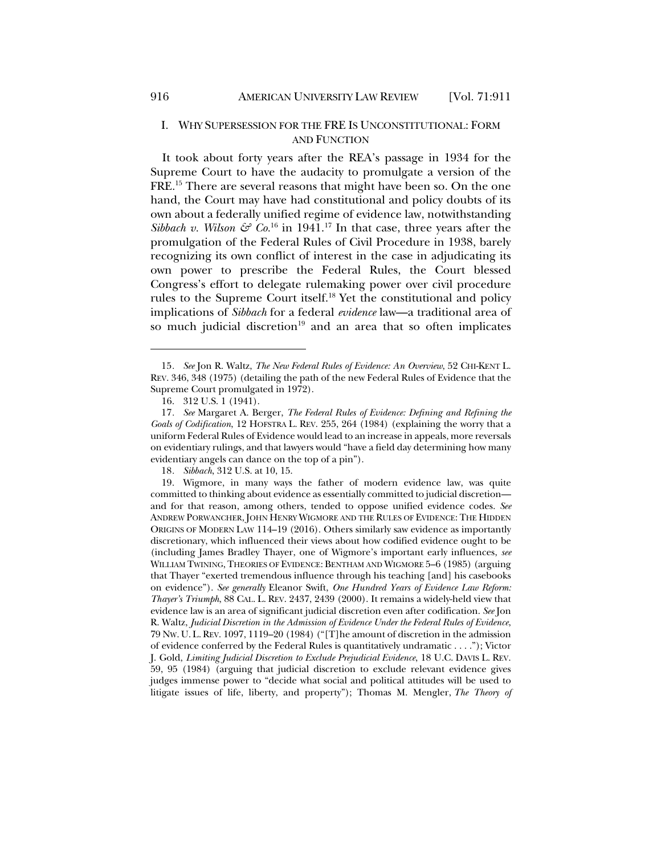# I. WHY SUPERSESSION FOR THE FRE IS UNCONSTITUTIONAL: FORM AND FUNCTION

It took about forty years after the REA's passage in 1934 for the Supreme Court to have the audacity to promulgate a version of the FRE.15 There are several reasons that might have been so. On the one hand, the Court may have had constitutional and policy doubts of its own about a federally unified regime of evidence law, notwithstanding *Sibbach v. Wilson*  $\mathcal{E}^{\circ}$  *Co.*<sup>16</sup> in 1941.<sup>17</sup> In that case, three years after the promulgation of the Federal Rules of Civil Procedure in 1938, barely recognizing its own conflict of interest in the case in adjudicating its own power to prescribe the Federal Rules, the Court blessed Congress's effort to delegate rulemaking power over civil procedure rules to the Supreme Court itself.18 Yet the constitutional and policy implications of *Sibbach* for a federal *evidence* law—a traditional area of so much judicial discretion<sup>19</sup> and an area that so often implicates

<sup>15</sup>*. See* Jon R. Waltz, *The New Federal Rules of Evidence: An Overview*, 52 CHI-KENT L. REV. 346, 348 (1975) (detailing the path of the new Federal Rules of Evidence that the Supreme Court promulgated in 1972).

<sup>16.</sup> 312 U.S. 1 (1941).

<sup>17</sup>*. See* Margaret A. Berger, *The Federal Rules of Evidence: Defining and Refining the Goals of Codification*, 12 HOFSTRA L. REV. 255, 264 (1984) (explaining the worry that a uniform Federal Rules of Evidence would lead to an increase in appeals, more reversals on evidentiary rulings, and that lawyers would "have a field day determining how many evidentiary angels can dance on the top of a pin").

<sup>18</sup>*. Sibbach*, 312 U.S. at 10, 15.

<sup>19.</sup> Wigmore, in many ways the father of modern evidence law, was quite committed to thinking about evidence as essentially committed to judicial discretion and for that reason, among others, tended to oppose unified evidence codes. *See* ANDREW PORWANCHER, JOHN HENRY WIGMORE AND THE RULES OF EVIDENCE: THE HIDDEN ORIGINS OF MODERN LAW 114–19 (2016). Others similarly saw evidence as importantly discretionary, which influenced their views about how codified evidence ought to be (including James Bradley Thayer, one of Wigmore's important early influences, *see*  WILLIAM TWINING, THEORIES OF EVIDENCE: BENTHAM AND WIGMORE 5–6 (1985) (arguing that Thayer "exerted tremendous influence through his teaching [and] his casebooks on evidence"). *See generally* Eleanor Swift, *One Hundred Years of Evidence Law Reform: Thayer's Triumph*, 88 CAL. L. REV. 2437, 2439 (2000). It remains a widely-held view that evidence law is an area of significant judicial discretion even after codification. *See* Jon R. Waltz, *Judicial Discretion in the Admission of Evidence Under the Federal Rules of Evidence*, 79 NW. U. L.REV. 1097, 1119–20 (1984) ("[T]he amount of discretion in the admission of evidence conferred by the Federal Rules is quantitatively undramatic . . . ."); Victor J. Gold, *Limiting Judicial Discretion to Exclude Prejudicial Evidence*, 18 U.C. DAVIS L. REV. 59, 95 (1984) (arguing that judicial discretion to exclude relevant evidence gives judges immense power to "decide what social and political attitudes will be used to litigate issues of life, liberty, and property"); Thomas M. Mengler, *The Theory of*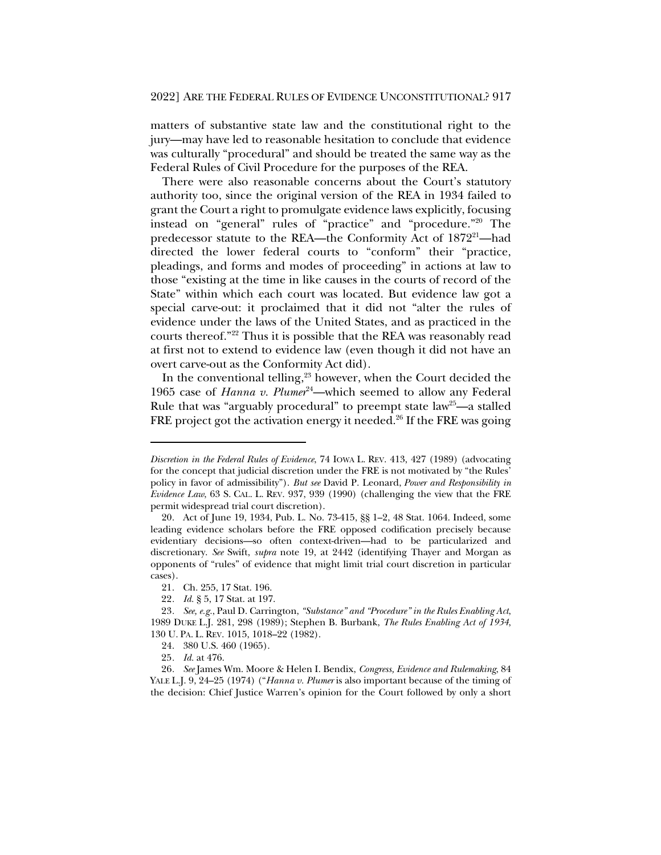matters of substantive state law and the constitutional right to the jury—may have led to reasonable hesitation to conclude that evidence was culturally "procedural" and should be treated the same way as the Federal Rules of Civil Procedure for the purposes of the REA.

There were also reasonable concerns about the Court's statutory authority too, since the original version of the REA in 1934 failed to grant the Court a right to promulgate evidence laws explicitly, focusing instead on "general" rules of "practice" and "procedure."20 The predecessor statute to the REA—the Conformity Act of 1872<sup>21</sup>—had directed the lower federal courts to "conform" their "practice, pleadings, and forms and modes of proceeding" in actions at law to those "existing at the time in like causes in the courts of record of the State" within which each court was located. But evidence law got a special carve-out: it proclaimed that it did not "alter the rules of evidence under the laws of the United States, and as practiced in the courts thereof."22 Thus it is possible that the REA was reasonably read at first not to extend to evidence law (even though it did not have an overt carve-out as the Conformity Act did).

In the conventional telling, $23$  however, when the Court decided the 1965 case of *Hanna v. Plumer*<sup>24</sup>—which seemed to allow any Federal Rule that was "arguably procedural" to preempt state law<sup>25</sup>—a stalled FRE project got the activation energy it needed.<sup>26</sup> If the FRE was going

*Discretion in the Federal Rules of Evidence*, 74 IOWA L. REV. 413, 427 (1989) (advocating for the concept that judicial discretion under the FRE is not motivated by "the Rules' policy in favor of admissibility"). *But see* David P. Leonard, *Power and Responsibility in Evidence Law*, 63 S. CAL. L. REV. 937, 939 (1990) (challenging the view that the FRE permit widespread trial court discretion).

<sup>20.</sup> Act of June 19, 1934, Pub. L. No. 73-415, §§ 1–2, 48 Stat. 1064. Indeed, some leading evidence scholars before the FRE opposed codification precisely because evidentiary decisions—so often context-driven—had to be particularized and discretionary. *See* Swift, *supra* note 19, at 2442 (identifying Thayer and Morgan as opponents of "rules" of evidence that might limit trial court discretion in particular cases).

<sup>21.</sup> Ch. 255, 17 Stat. 196.

<sup>22</sup>*. Id.* § 5, 17 Stat. at 197.

<sup>23</sup>*. See, e.g.*, Paul D. Carrington, *"Substance" and "Procedure" in the Rules Enabling Act*, 1989 DUKE L.J. 281, 298 (1989); Stephen B. Burbank, *The Rules Enabling Act of 1934*, 130 U. PA. L. REV. 1015, 1018–22 (1982).

<sup>24.</sup> 380 U.S. 460 (1965).

<sup>25</sup>*. Id.* at 476.

<sup>26</sup>*. See* James Wm. Moore & Helen I. Bendix, *Congress, Evidence and Rulemaking*, 84 YALE L.J. 9, 24–25 (1974) ("*Hanna v. Plumer* is also important because of the timing of the decision: Chief Justice Warren's opinion for the Court followed by only a short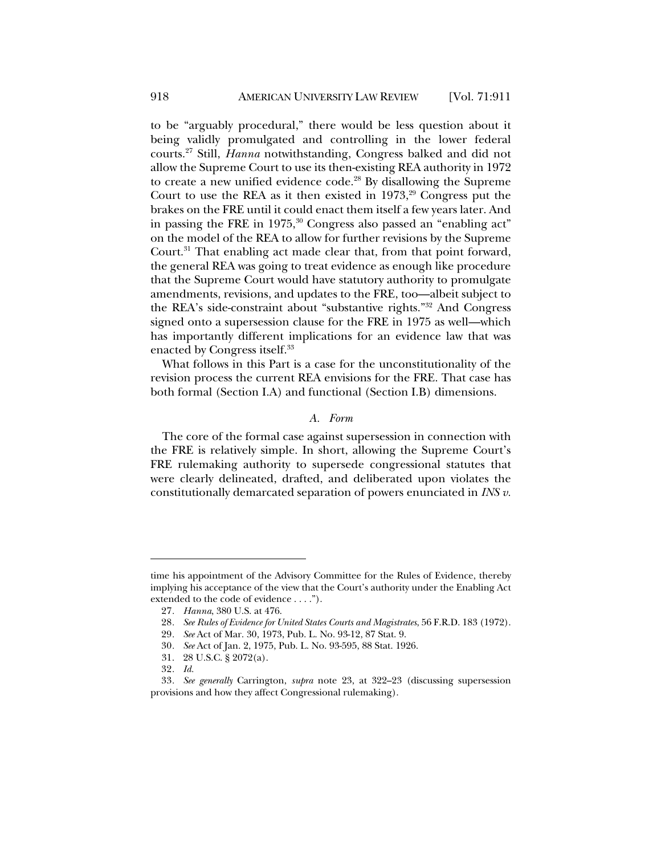to be "arguably procedural," there would be less question about it being validly promulgated and controlling in the lower federal courts.27 Still, *Hanna* notwithstanding, Congress balked and did not allow the Supreme Court to use its then-existing REA authority in 1972 to create a new unified evidence code.<sup>28</sup> By disallowing the Supreme Court to use the REA as it then existed in  $1973$ ,<sup>29</sup> Congress put the brakes on the FRE until it could enact them itself a few years later. And in passing the FRE in 1975,<sup>30</sup> Congress also passed an "enabling act" on the model of the REA to allow for further revisions by the Supreme Court.<sup>31</sup> That enabling act made clear that, from that point forward, the general REA was going to treat evidence as enough like procedure that the Supreme Court would have statutory authority to promulgate amendments, revisions, and updates to the FRE, too—albeit subject to the REA's side-constraint about "substantive rights."32 And Congress signed onto a supersession clause for the FRE in 1975 as well—which has importantly different implications for an evidence law that was enacted by Congress itself.<sup>33</sup>

What follows in this Part is a case for the unconstitutionality of the revision process the current REA envisions for the FRE. That case has both formal (Section I.A) and functional (Section I.B) dimensions.

### *A. Form*

The core of the formal case against supersession in connection with the FRE is relatively simple. In short, allowing the Supreme Court's FRE rulemaking authority to supersede congressional statutes that were clearly delineated, drafted, and deliberated upon violates the constitutionally demarcated separation of powers enunciated in *INS v.* 

time his appointment of the Advisory Committee for the Rules of Evidence, thereby implying his acceptance of the view that the Court's authority under the Enabling Act extended to the code of evidence . . . .").

<sup>27</sup>*. Hanna*, 380 U.S. at 476.

<sup>28</sup>*. See Rules of Evidence for United States Courts and Magistrates*, 56 F.R.D. 183 (1972).

<sup>29</sup>*. See* Act of Mar. 30, 1973, Pub. L. No. 93-12, 87 Stat. 9.

<sup>30</sup>*. See* Act of Jan. 2, 1975, Pub. L. No. 93-595, 88 Stat. 1926.

<sup>31.</sup> 28 U.S.C. § 2072(a).

<sup>32</sup>*. Id.*

<sup>33</sup>*. See generally* Carrington, *supra* note 23, at 322–23 (discussing supersession provisions and how they affect Congressional rulemaking).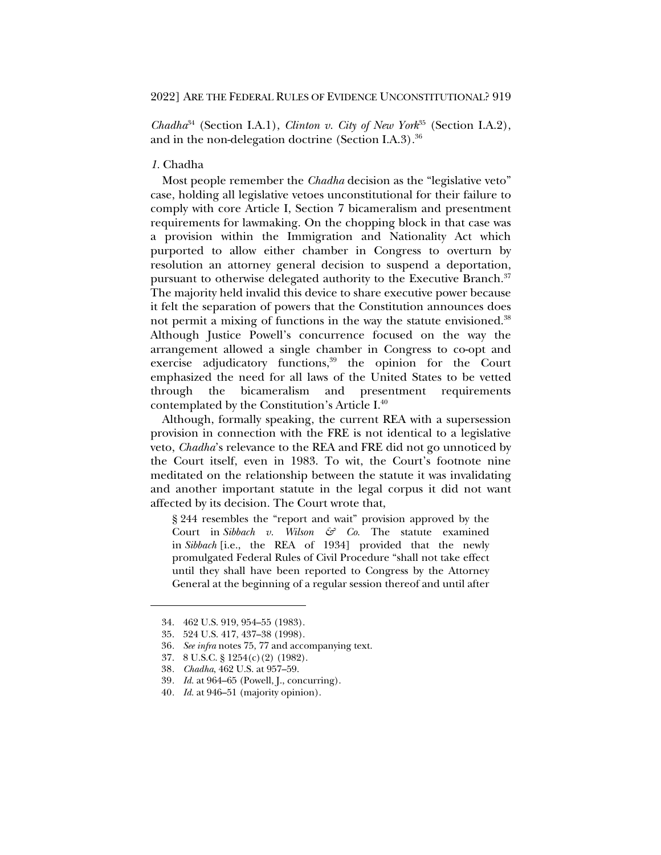*Chadha*<sup>34</sup> (Section I.A.1), *Clinton v. City of New York*<sup>35</sup> (Section I.A.2), and in the non-delegation doctrine (Section I.A.3). $36$ 

# *1.* Chadha

Most people remember the *Chadha* decision as the "legislative veto" case, holding all legislative vetoes unconstitutional for their failure to comply with core Article I, Section 7 bicameralism and presentment requirements for lawmaking. On the chopping block in that case was a provision within the Immigration and Nationality Act which purported to allow either chamber in Congress to overturn by resolution an attorney general decision to suspend a deportation, pursuant to otherwise delegated authority to the Executive Branch.<sup>37</sup> The majority held invalid this device to share executive power because it felt the separation of powers that the Constitution announces does not permit a mixing of functions in the way the statute envisioned.<sup>38</sup> Although Justice Powell's concurrence focused on the way the arrangement allowed a single chamber in Congress to co-opt and exercise adjudicatory functions,<sup>39</sup> the opinion for the Court emphasized the need for all laws of the United States to be vetted through the bicameralism and presentment requirements contemplated by the Constitution's Article I.40

Although, formally speaking, the current REA with a supersession provision in connection with the FRE is not identical to a legislative veto, *Chadha*'s relevance to the REA and FRE did not go unnoticed by the Court itself, even in 1983. To wit, the Court's footnote nine meditated on the relationship between the statute it was invalidating and another important statute in the legal corpus it did not want affected by its decision. The Court wrote that,

§ 244 resembles the "report and wait" provision approved by the Court in *Sibbach v. Wilson & Co.* The statute examined in *Sibbach* [i.e., the REA of 1934] provided that the newly promulgated Federal Rules of Civil Procedure "shall not take effect until they shall have been reported to Congress by the Attorney General at the beginning of a regular session thereof and until after

<sup>34.</sup> 462 U.S. 919, 954–55 (1983).

<sup>35.</sup> 524 U.S. 417, 437–38 (1998).

<sup>36</sup>*. See infra* notes 75, 77 and accompanying text.

<sup>37.</sup> 8 U.S.C. § 1254(c)(2) (1982).

<sup>38</sup>*. Chadha*, 462 U.S. at 957–59.

<sup>39</sup>*. Id.* at 964–65 (Powell, J., concurring).

<sup>40</sup>*. Id.* at 946–51 (majority opinion).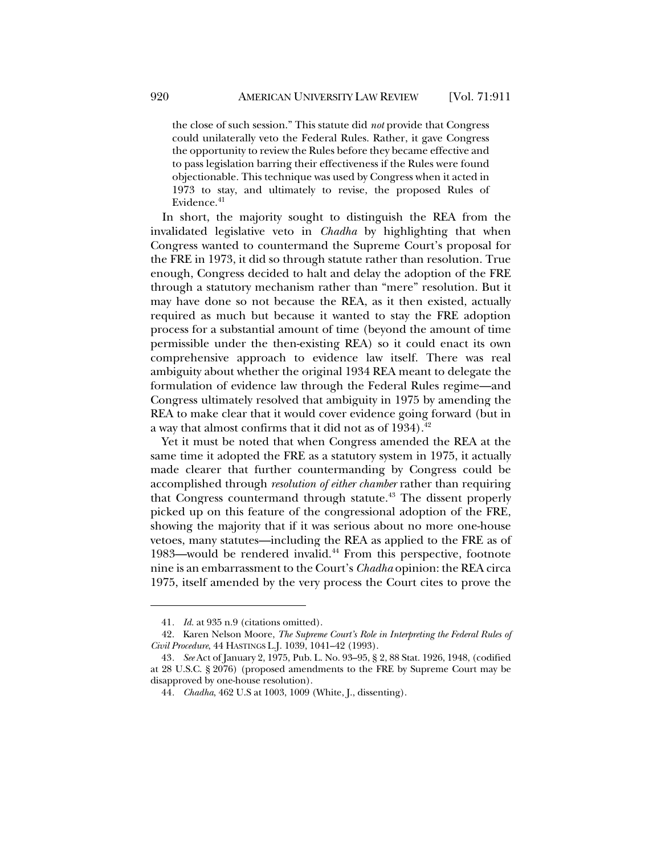the close of such session." This statute did *not* provide that Congress could unilaterally veto the Federal Rules. Rather, it gave Congress the opportunity to review the Rules before they became effective and to pass legislation barring their effectiveness if the Rules were found objectionable. This technique was used by Congress when it acted in 1973 to stay, and ultimately to revise, the proposed Rules of Evidence.<sup>41</sup>

In short, the majority sought to distinguish the REA from the invalidated legislative veto in *Chadha* by highlighting that when Congress wanted to countermand the Supreme Court's proposal for the FRE in 1973, it did so through statute rather than resolution. True enough, Congress decided to halt and delay the adoption of the FRE through a statutory mechanism rather than "mere" resolution. But it may have done so not because the REA, as it then existed, actually required as much but because it wanted to stay the FRE adoption process for a substantial amount of time (beyond the amount of time permissible under the then-existing REA) so it could enact its own comprehensive approach to evidence law itself. There was real ambiguity about whether the original 1934 REA meant to delegate the formulation of evidence law through the Federal Rules regime—and Congress ultimately resolved that ambiguity in 1975 by amending the REA to make clear that it would cover evidence going forward (but in a way that almost confirms that it did not as of 1934).<sup>42</sup>

Yet it must be noted that when Congress amended the REA at the same time it adopted the FRE as a statutory system in 1975, it actually made clearer that further countermanding by Congress could be accomplished through *resolution of either chamber* rather than requiring that Congress countermand through statute.<sup>43</sup> The dissent properly picked up on this feature of the congressional adoption of the FRE, showing the majority that if it was serious about no more one-house vetoes, many statutes—including the REA as applied to the FRE as of 1983—would be rendered invalid.<sup>44</sup> From this perspective, footnote nine is an embarrassment to the Court's *Chadha* opinion: the REA circa 1975, itself amended by the very process the Court cites to prove the

<sup>41</sup>*. Id.* at 935 n.9 (citations omitted).

<sup>42.</sup> Karen Nelson Moore, *The Supreme Court's Role in Interpreting the Federal Rules of Civil Procedure*, 44 HASTINGS L.J. 1039, 1041–42 (1993).

<sup>43</sup>*. See* Act of January 2, 1975, Pub. L. No. 93–95, § 2, 88 Stat. 1926, 1948, (codified at 28 U.S.C. § 2076) (proposed amendments to the FRE by Supreme Court may be disapproved by one-house resolution).

<sup>44</sup>*. Chadha*, 462 U.S at 1003, 1009 (White, J., dissenting).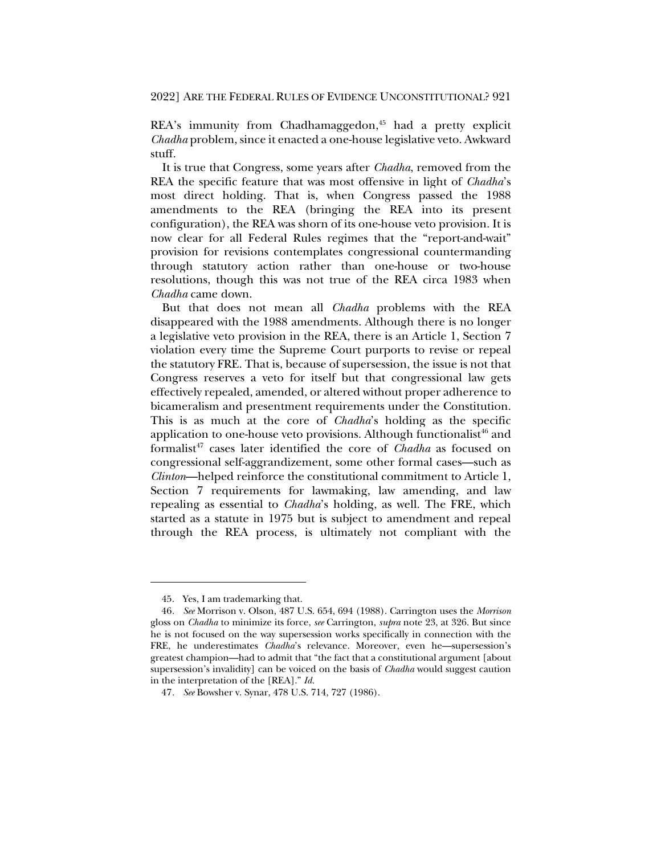2022] ARE THE FEDERAL RULES OF EVIDENCE UNCONSTITUTIONAL? 921

REA's immunity from Chadhamaggedon,<sup>45</sup> had a pretty explicit *Chadha* problem, since it enacted a one-house legislative veto. Awkward stuff.

It is true that Congress, some years after *Chadha*, removed from the REA the specific feature that was most offensive in light of *Chadha*'s most direct holding. That is, when Congress passed the 1988 amendments to the REA (bringing the REA into its present configuration), the REA was shorn of its one-house veto provision. It is now clear for all Federal Rules regimes that the "report-and-wait" provision for revisions contemplates congressional countermanding through statutory action rather than one-house or two-house resolutions, though this was not true of the REA circa 1983 when *Chadha* came down.

But that does not mean all *Chadha* problems with the REA disappeared with the 1988 amendments. Although there is no longer a legislative veto provision in the REA, there is an Article 1, Section 7 violation every time the Supreme Court purports to revise or repeal the statutory FRE. That is, because of supersession, the issue is not that Congress reserves a veto for itself but that congressional law gets effectively repealed, amended, or altered without proper adherence to bicameralism and presentment requirements under the Constitution. This is as much at the core of *Chadha*'s holding as the specific application to one-house veto provisions. Although functionalist<sup> $46$ </sup> and formalist<sup>47</sup> cases later identified the core of *Chadha* as focused on congressional self-aggrandizement, some other formal cases—such as *Clinton*—helped reinforce the constitutional commitment to Article 1, Section 7 requirements for lawmaking, law amending, and law repealing as essential to *Chadha*'s holding, as well. The FRE, which started as a statute in 1975 but is subject to amendment and repeal through the REA process, is ultimately not compliant with the

<sup>45.</sup> Yes, I am trademarking that.

<sup>46</sup>*. See* Morrison v. Olson, 487 U.S. 654, 694 (1988). Carrington uses the *Morrison* gloss on *Chadha* to minimize its force, *see* Carrington, *supra* note 23, at 326. But since he is not focused on the way supersession works specifically in connection with the FRE, he underestimates *Chadha*'s relevance. Moreover, even he—supersession's greatest champion—had to admit that "the fact that a constitutional argument [about supersession's invalidity] can be voiced on the basis of *Chadha* would suggest caution in the interpretation of the [REA]." *Id.*

<sup>47</sup>*. See* Bowsher v. Synar, 478 U.S. 714, 727 (1986).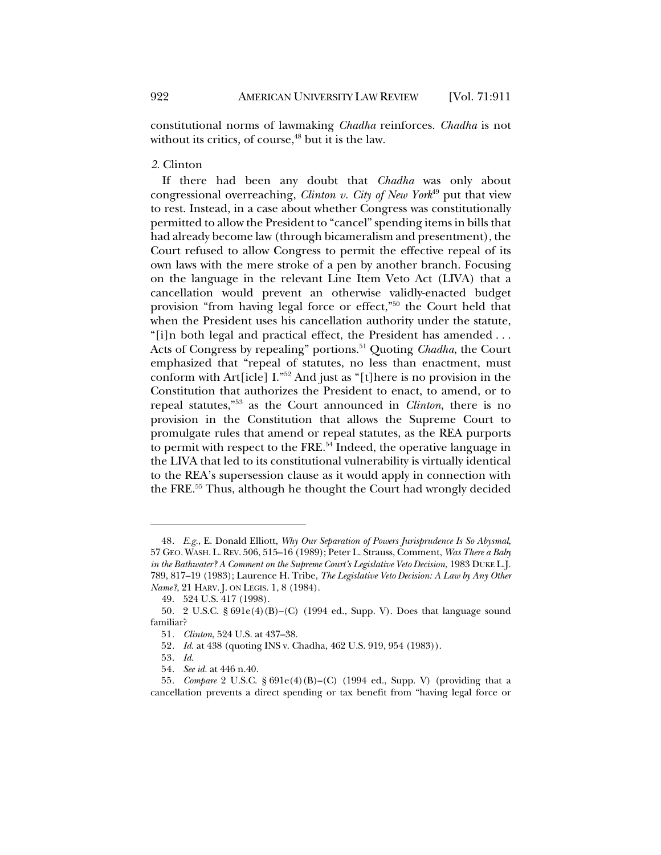constitutional norms of lawmaking *Chadha* reinforces. *Chadha* is not without its critics, of course, $48$  but it is the law.

# *2.* Clinton

If there had been any doubt that *Chadha* was only about congressional overreaching, *Clinton v. City of New York*<sup>49</sup> put that view to rest. Instead, in a case about whether Congress was constitutionally permitted to allow the President to "cancel" spending items in bills that had already become law (through bicameralism and presentment), the Court refused to allow Congress to permit the effective repeal of its own laws with the mere stroke of a pen by another branch. Focusing on the language in the relevant Line Item Veto Act (LIVA) that a cancellation would prevent an otherwise validly-enacted budget provision "from having legal force or effect,"50 the Court held that when the President uses his cancellation authority under the statute, "[i]n both legal and practical effect, the President has amended . . . Acts of Congress by repealing" portions.<sup>51</sup> Quoting *Chadha*, the Court emphasized that "repeal of statutes, no less than enactment, must conform with Art[icle] I."52 And just as "[t]here is no provision in the Constitution that authorizes the President to enact, to amend, or to repeal statutes,"53 as the Court announced in *Clinton*, there is no provision in the Constitution that allows the Supreme Court to promulgate rules that amend or repeal statutes, as the REA purports to permit with respect to the FRE.54 Indeed, the operative language in the LIVA that led to its constitutional vulnerability is virtually identical to the REA's supersession clause as it would apply in connection with the FRE.55 Thus, although he thought the Court had wrongly decided

<sup>48</sup>*. E.g.*, E. Donald Elliott, *Why Our Separation of Powers Jurisprudence Is So Abysmal*, 57 GEO. WASH. L.REV. 506, 515–16 (1989); Peter L. Strauss, Comment, *Was There a Baby in the Bathwater? A Comment on the Supreme Court's Legislative Veto Decision*, 1983 DUKE L.J. 789, 817–19 (1983); Laurence H. Tribe, *The Legislative Veto Decision: A Law by Any Other Name?*, 21 HARV. J. ON LEGIS. 1, 8 (1984).

<sup>49.</sup> 524 U.S. 417 (1998).

<sup>50.</sup> 2 U.S.C. § 691e(4)(B)–(C) (1994 ed., Supp. V). Does that language sound familiar?

<sup>51</sup>*. Clinton*, 524 U.S. at 437–38.

<sup>52</sup>*. Id.* at 438 (quoting INS v. Chadha, 462 U.S. 919, 954 (1983)).

<sup>53</sup>*. Id.*

<sup>54</sup>*. See id.* at 446 n.40.

<sup>55</sup>*. Compare* 2 U.S.C. § 691e(4)(B)–(C) (1994 ed., Supp. V) (providing that a cancellation prevents a direct spending or tax benefit from "having legal force or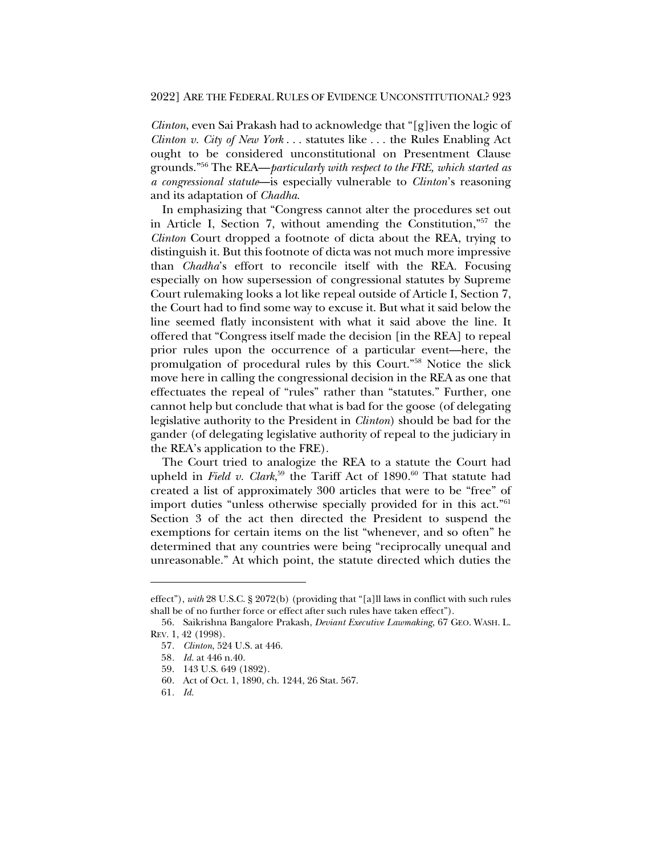*Clinton*, even Sai Prakash had to acknowledge that "[g]iven the logic of *Clinton v. City of New York* . . . statutes like . . . the Rules Enabling Act ought to be considered unconstitutional on Presentment Clause grounds."56 The REA—*particularly with respect to the FRE, which started as a congressional statute*—is especially vulnerable to *Clinton*'s reasoning and its adaptation of *Chadha*.

In emphasizing that "Congress cannot alter the procedures set out in Article I, Section 7, without amending the Constitution,"57 the *Clinton* Court dropped a footnote of dicta about the REA, trying to distinguish it. But this footnote of dicta was not much more impressive than *Chadha*'s effort to reconcile itself with the REA. Focusing especially on how supersession of congressional statutes by Supreme Court rulemaking looks a lot like repeal outside of Article I, Section 7, the Court had to find some way to excuse it. But what it said below the line seemed flatly inconsistent with what it said above the line. It offered that "Congress itself made the decision [in the REA] to repeal prior rules upon the occurrence of a particular event—here, the promulgation of procedural rules by this Court."58 Notice the slick move here in calling the congressional decision in the REA as one that effectuates the repeal of "rules" rather than "statutes." Further, one cannot help but conclude that what is bad for the goose (of delegating legislative authority to the President in *Clinton*) should be bad for the gander (of delegating legislative authority of repeal to the judiciary in the REA's application to the FRE).

The Court tried to analogize the REA to a statute the Court had upheld in *Field v. Clark*<sup>59</sup> the Tariff Act of 1890.<sup>60</sup> That statute had created a list of approximately 300 articles that were to be "free" of import duties "unless otherwise specially provided for in this act."<sup>61</sup> Section 3 of the act then directed the President to suspend the exemptions for certain items on the list "whenever, and so often" he determined that any countries were being "reciprocally unequal and unreasonable." At which point, the statute directed which duties the

effect"), *with* 28 U.S.C. § 2072(b) (providing that "[a]ll laws in conflict with such rules shall be of no further force or effect after such rules have taken effect").

<sup>56.</sup> Saikrishna Bangalore Prakash, *Deviant Executive Lawmaking*, 67 GEO. WASH. L. REV. 1, 42 (1998).

<sup>57</sup>*. Clinton*, 524 U.S. at 446.

<sup>58</sup>*. Id.* at 446 n.40.

<sup>59.</sup> 143 U.S. 649 (1892).

<sup>60.</sup> Act of Oct. 1, 1890, ch. 1244, 26 Stat. 567.

<sup>61</sup>*. Id.*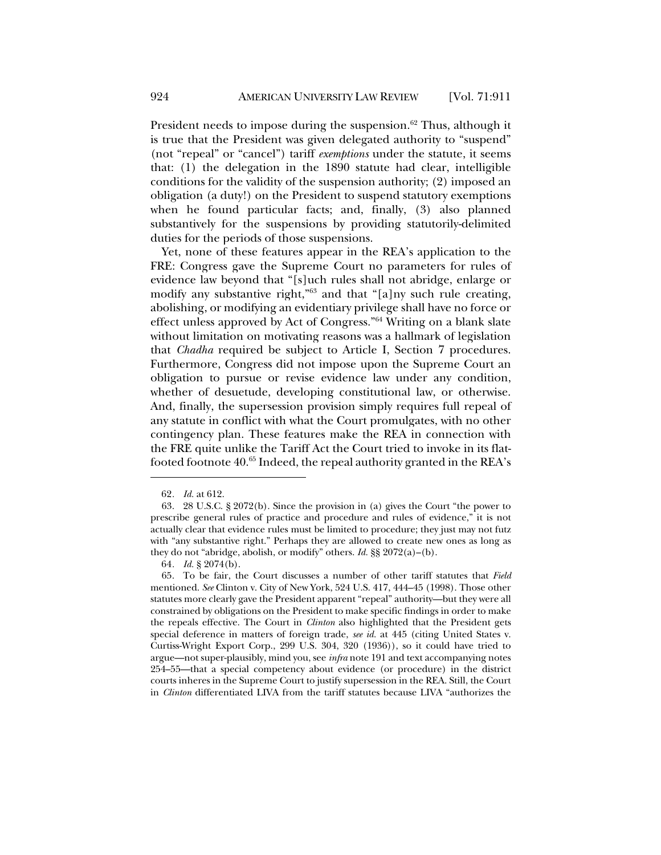President needs to impose during the suspension. $62$  Thus, although it is true that the President was given delegated authority to "suspend" (not "repeal" or "cancel") tariff *exemptions* under the statute, it seems that: (1) the delegation in the 1890 statute had clear, intelligible conditions for the validity of the suspension authority; (2) imposed an obligation (a duty!) on the President to suspend statutory exemptions when he found particular facts; and, finally, (3) also planned substantively for the suspensions by providing statutorily-delimited duties for the periods of those suspensions.

Yet, none of these features appear in the REA's application to the FRE: Congress gave the Supreme Court no parameters for rules of evidence law beyond that "[s]uch rules shall not abridge, enlarge or modify any substantive right,"63 and that "[a]ny such rule creating, abolishing, or modifying an evidentiary privilege shall have no force or effect unless approved by Act of Congress."64 Writing on a blank slate without limitation on motivating reasons was a hallmark of legislation that *Chadha* required be subject to Article I, Section 7 procedures. Furthermore, Congress did not impose upon the Supreme Court an obligation to pursue or revise evidence law under any condition, whether of desuetude, developing constitutional law, or otherwise. And, finally, the supersession provision simply requires full repeal of any statute in conflict with what the Court promulgates, with no other contingency plan. These features make the REA in connection with the FRE quite unlike the Tariff Act the Court tried to invoke in its flatfooted footnote 40.<sup>65</sup> Indeed, the repeal authority granted in the REA's

64*. Id.* § 2074(b).

65. To be fair, the Court discusses a number of other tariff statutes that *Field* mentioned. *See* Clinton v. City of New York, 524 U.S. 417, 444–45 (1998). Those other statutes more clearly gave the President apparent "repeal" authority—but they were all constrained by obligations on the President to make specific findings in order to make the repeals effective. The Court in *Clinton* also highlighted that the President gets special deference in matters of foreign trade, *see id.* at 445 (citing United States v. Curtiss-Wright Export Corp., 299 U.S. 304, 320 (1936)), so it could have tried to argue—not super-plausibly, mind you, see *infra* note 191 and text accompanying notes 254–55—that a special competency about evidence (or procedure) in the district courts inheres in the Supreme Court to justify supersession in the REA. Still, the Court in *Clinton* differentiated LIVA from the tariff statutes because LIVA "authorizes the

<sup>62</sup>*. Id.* at 612.

<sup>63.</sup> 28 U.S.C. § 2072(b). Since the provision in (a) gives the Court "the power to prescribe general rules of practice and procedure and rules of evidence," it is not actually clear that evidence rules must be limited to procedure; they just may not futz with "any substantive right." Perhaps they are allowed to create new ones as long as they do not "abridge, abolish, or modify" others. *Id.* §§ 2072(a)–(b).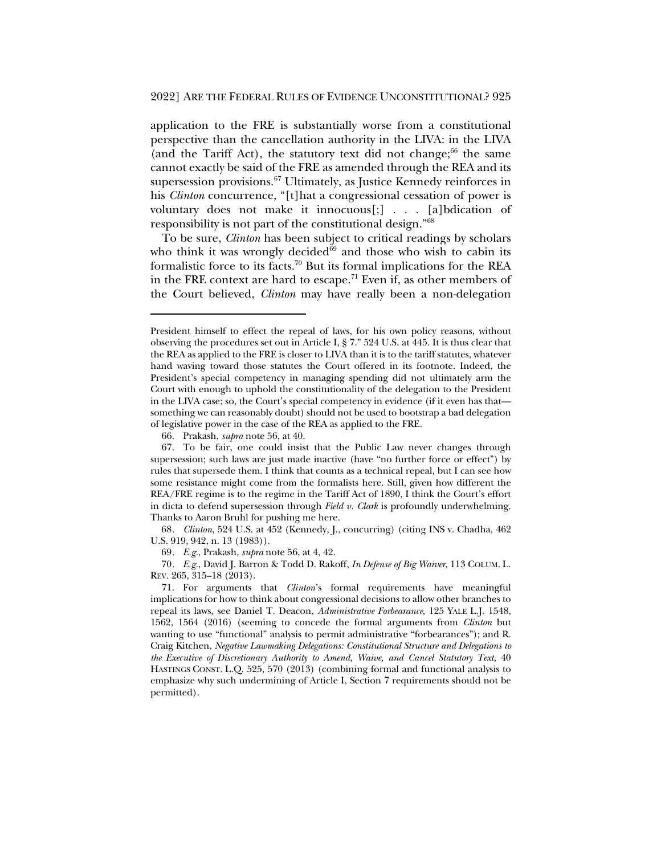application to the FRE is substantially worse from a constitutional perspective than the cancellation authority in the LIVA: in the LIVA (and the Tariff Act), the statutory text did not change; $66$  the same cannot exactly be said of the FRE as amended through the REA and its supersession provisions.<sup>67</sup> Ultimately, as Justice Kennedy reinforces in his *Clinton* concurrence, "[t]hat a congressional cessation of power is voluntary does not make it innocuous[;] . . . [a]bdication of responsibility is not part of the constitutional design."68

To be sure, *Clinton* has been subject to critical readings by scholars who think it was wrongly decided $\delta^9$  and those who wish to cabin its formalistic force to its facts.70 But its formal implications for the REA in the FRE context are hard to escape.<sup>71</sup> Even if, as other members of the Court believed, *Clinton* may have really been a non-delegation

68*. Clinton*, 524 U.S. at 452 (Kennedy, J., concurring) (citing INS v. Chadha, 462 U.S. 919, 942, n. 13 (1983)).

69*. E.g.*, Prakash, *supra* note 56, at 4, 42.

70*. E.g.*, David J. Barron & Todd D. Rakoff, *In Defense of Big Waiver*, 113 COLUM. L. REV. 265, 315–18 (2013).

President himself to effect the repeal of laws, for his own policy reasons, without observing the procedures set out in Article I, § 7." 524 U.S. at 445. It is thus clear that the REA as applied to the FRE is closer to LIVA than it is to the tariff statutes, whatever hand waving toward those statutes the Court offered in its footnote. Indeed, the President's special competency in managing spending did not ultimately arm the Court with enough to uphold the constitutionality of the delegation to the President in the LIVA case; so, the Court's special competency in evidence (if it even has that something we can reasonably doubt) should not be used to bootstrap a bad delegation of legislative power in the case of the REA as applied to the FRE.

<sup>66.</sup> Prakash, *supra* note 56, at 40.

<sup>67.</sup> To be fair, one could insist that the Public Law never changes through supersession; such laws are just made inactive (have "no further force or effect") by rules that supersede them. I think that counts as a technical repeal, but I can see how some resistance might come from the formalists here. Still, given how different the REA/FRE regime is to the regime in the Tariff Act of 1890, I think the Court's effort in dicta to defend supersession through *Field v. Clark* is profoundly underwhelming. Thanks to Aaron Bruhl for pushing me here.

<sup>71.</sup> For arguments that *Clinton*'s formal requirements have meaningful implications for how to think about congressional decisions to allow other branches to repeal its laws, see Daniel T. Deacon, *Administrative Forbearance*, 125 YALE L.J. 1548, 1562, 1564 (2016) (seeming to concede the formal arguments from *Clinton* but wanting to use "functional" analysis to permit administrative "forbearances"); and R. Craig Kitchen, *Negative Lawmaking Delegations: Constitutional Structure and Delegations to the Executive of Discretionary Authority to Amend, Waive, and Cancel Statutory Text*, 40 HASTINGS CONST. L.Q. 525, 570 (2013) (combining formal and functional analysis to emphasize why such undermining of Article I, Section 7 requirements should not be permitted).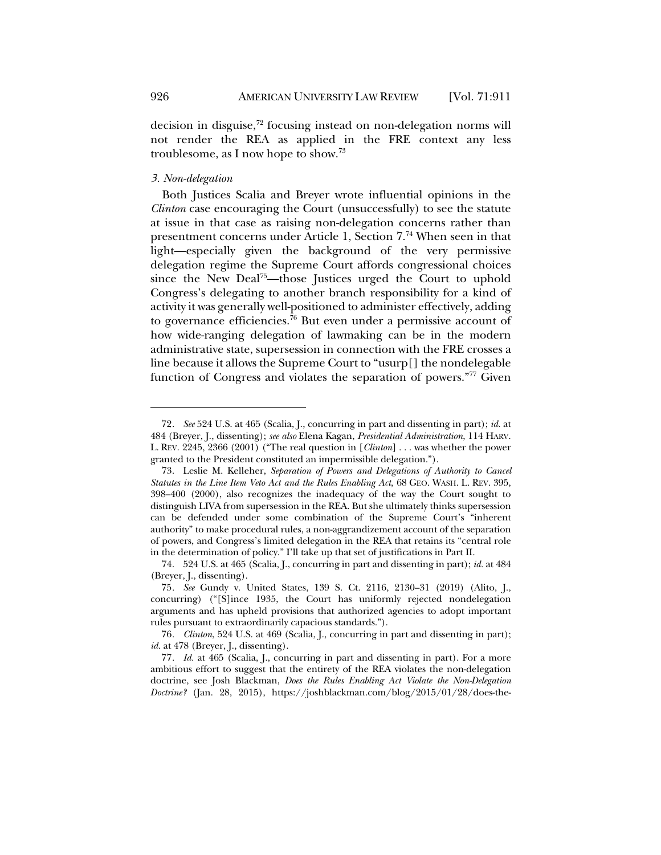decision in disguise,<sup>72</sup> focusing instead on non-delegation norms will not render the REA as applied in the FRE context any less troublesome, as I now hope to show.73

# *3. Non-delegation*

Both Justices Scalia and Breyer wrote influential opinions in the *Clinton* case encouraging the Court (unsuccessfully) to see the statute at issue in that case as raising non-delegation concerns rather than presentment concerns under Article 1, Section 7.74 When seen in that light—especially given the background of the very permissive delegation regime the Supreme Court affords congressional choices since the New Deal<sup>75</sup>—those Justices urged the Court to uphold Congress's delegating to another branch responsibility for a kind of activity it was generally well-positioned to administer effectively, adding to governance efficiencies.<sup>76</sup> But even under a permissive account of how wide-ranging delegation of lawmaking can be in the modern administrative state, supersession in connection with the FRE crosses a line because it allows the Supreme Court to "usurp[] the nondelegable function of Congress and violates the separation of powers."77 Given

<sup>72</sup>*. See* 524 U.S. at 465 (Scalia, J., concurring in part and dissenting in part); *id.* at 484 (Breyer, J., dissenting); *see also* Elena Kagan, *Presidential Administration*, 114 HARV. L. REV. 2245, 2366 (2001) ("The real question in [*Clinton*] . . . was whether the power granted to the President constituted an impermissible delegation.").

<sup>73.</sup> Leslie M. Kelleher, *Separation of Powers and Delegations of Authority to Cancel Statutes in the Line Item Veto Act and the Rules Enabling Act*, 68 GEO. WASH. L. REV. 395, 398–400 (2000), also recognizes the inadequacy of the way the Court sought to distinguish LIVA from supersession in the REA. But she ultimately thinks supersession can be defended under some combination of the Supreme Court's "inherent authority" to make procedural rules, a non-aggrandizement account of the separation of powers, and Congress's limited delegation in the REA that retains its "central role in the determination of policy." I'll take up that set of justifications in Part II.

<sup>74.</sup> 524 U.S. at 465 (Scalia, J., concurring in part and dissenting in part); *id.* at 484 (Breyer, J., dissenting).

<sup>75</sup>*. See* Gundy v. United States, 139 S. Ct. 2116, 2130–31 (2019) (Alito, J., concurring) ("[S]ince 1935, the Court has uniformly rejected nondelegation arguments and has upheld provisions that authorized agencies to adopt important rules pursuant to extraordinarily capacious standards.").

<sup>76</sup>*. Clinton*, 524 U.S. at 469 (Scalia, J., concurring in part and dissenting in part); *id.* at 478 (Breyer, J., dissenting).

<sup>77</sup>*. Id.* at 465 (Scalia, J., concurring in part and dissenting in part). For a more ambitious effort to suggest that the entirety of the REA violates the non-delegation doctrine, see Josh Blackman, *Does the Rules Enabling Act Violate the Non-Delegation Doctrine?* (Jan. 28, 2015), https://joshblackman.com/blog/2015/01/28/does-the-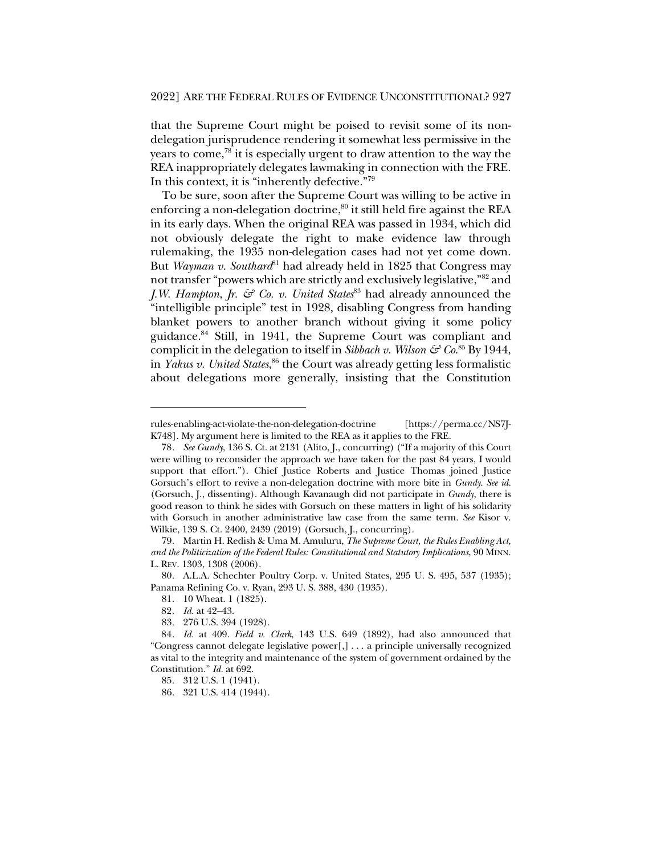that the Supreme Court might be poised to revisit some of its nondelegation jurisprudence rendering it somewhat less permissive in the years to come,<sup>78</sup> it is especially urgent to draw attention to the way the REA inappropriately delegates lawmaking in connection with the FRE. In this context, it is "inherently defective."79

To be sure, soon after the Supreme Court was willing to be active in enforcing a non-delegation doctrine,<sup>80</sup> it still held fire against the REA in its early days. When the original REA was passed in 1934, which did not obviously delegate the right to make evidence law through rulemaking, the 1935 non-delegation cases had not yet come down. But *Wayman v. Southard*<sup>81</sup> had already held in 1825 that Congress may not transfer "powers which are strictly and exclusively legislative,"82 and *J.W. Hampton*, *Jr. & Co. v. United States*<sup>83</sup> had already announced the "intelligible principle" test in 1928, disabling Congress from handing blanket powers to another branch without giving it some policy guidance.84 Still, in 1941, the Supreme Court was compliant and complicit in the delegation to itself in *Sibbach v. Wilson & Co*. <sup>85</sup> By 1944, in *Yakus v. United States*, <sup>86</sup> the Court was already getting less formalistic about delegations more generally, insisting that the Constitution

rules-enabling-act-violate-the-non-delegation-doctrine [https://perma.cc/NS7J-K748]. My argument here is limited to the REA as it applies to the FRE.

<sup>78</sup>*. See Gundy*, 136 S. Ct. at 2131 (Alito, J., concurring) ("If a majority of this Court were willing to reconsider the approach we have taken for the past 84 years, I would support that effort."). Chief Justice Roberts and Justice Thomas joined Justice Gorsuch's effort to revive a non-delegation doctrine with more bite in *Gundy*. *See id.* (Gorsuch, J., dissenting). Although Kavanaugh did not participate in *Gundy*, there is good reason to think he sides with Gorsuch on these matters in light of his solidarity with Gorsuch in another administrative law case from the same term. *See* Kisor v. Wilkie, 139 S. Ct. 2400, 2439 (2019) (Gorsuch, J., concurring).

<sup>79.</sup> Martin H. Redish & Uma M. Amuluru, *The Supreme Court, the Rules Enabling Act, and the Politicization of the Federal Rules: Constitutional and Statutory Implications*, 90 MINN. L. REV. 1303, 1308 (2006).

<sup>80.</sup> A.L.A. Schechter Poultry Corp. v. United States, 295 U. S. 495, 537 (1935); Panama Refining Co. v. Ryan, 293 U. S. 388, 430 (1935).

<sup>81.</sup> 10 Wheat. 1 (1825).

<sup>82</sup>*. Id.* at 42–43.

<sup>83.</sup> 276 U.S. 394 (1928).

<sup>84</sup>*. Id.* at 409. *Field v. Clark*, 143 U.S. 649 (1892), had also announced that "Congress cannot delegate legislative power[,] . . . a principle universally recognized as vital to the integrity and maintenance of the system of government ordained by the Constitution." *Id.* at 692.

<sup>85.</sup> 312 U.S. 1 (1941).

<sup>86.</sup> 321 U.S. 414 (1944).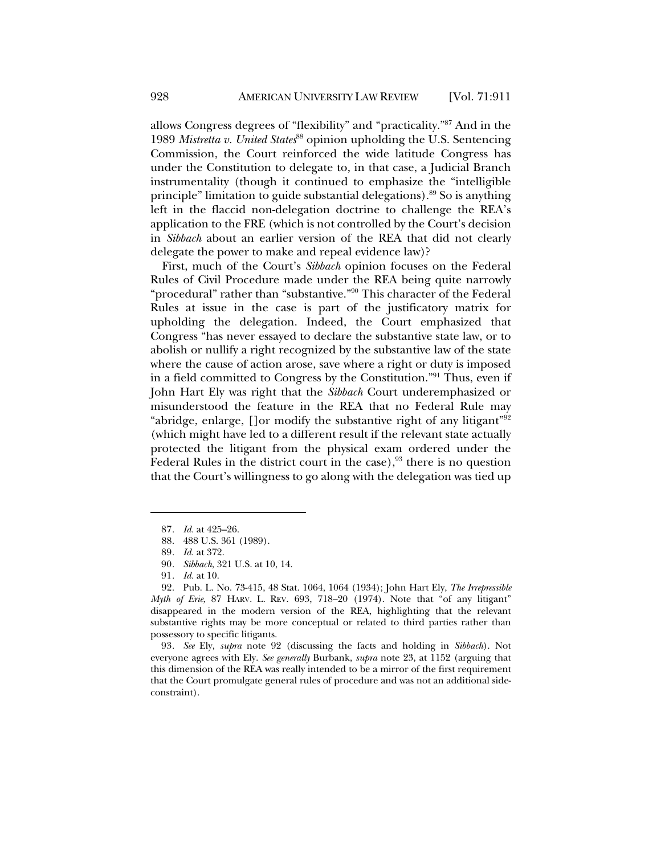allows Congress degrees of "flexibility" and "practicality."87 And in the 1989 *Mistretta v. United States*<sup>88</sup> opinion upholding the U.S. Sentencing Commission, the Court reinforced the wide latitude Congress has under the Constitution to delegate to, in that case, a Judicial Branch instrumentality (though it continued to emphasize the "intelligible principle" limitation to guide substantial delegations).89 So is anything left in the flaccid non-delegation doctrine to challenge the REA's application to the FRE (which is not controlled by the Court's decision in *Sibbach* about an earlier version of the REA that did not clearly delegate the power to make and repeal evidence law)?

First, much of the Court's *Sibbach* opinion focuses on the Federal Rules of Civil Procedure made under the REA being quite narrowly "procedural" rather than "substantive."90 This character of the Federal Rules at issue in the case is part of the justificatory matrix for upholding the delegation. Indeed, the Court emphasized that Congress "has never essayed to declare the substantive state law, or to abolish or nullify a right recognized by the substantive law of the state where the cause of action arose, save where a right or duty is imposed in a field committed to Congress by the Constitution."91 Thus, even if John Hart Ely was right that the *Sibbach* Court underemphasized or misunderstood the feature in the REA that no Federal Rule may "abridge, enlarge, []or modify the substantive right of any litigant"92 (which might have led to a different result if the relevant state actually protected the litigant from the physical exam ordered under the Federal Rules in the district court in the case), $93$  there is no question that the Court's willingness to go along with the delegation was tied up

93*. See* Ely, *supra* note 92 (discussing the facts and holding in *Sibbach*). Not everyone agrees with Ely. *See generally* Burbank, *supra* note 23, at 1152 (arguing that this dimension of the REA was really intended to be a mirror of the first requirement that the Court promulgate general rules of procedure and was not an additional sideconstraint).

<sup>87</sup>*. Id.* at 425–26.

<sup>88.</sup> 488 U.S. 361 (1989).

<sup>89</sup>*. Id.* at 372.

<sup>90</sup>*. Sibbach*, 321 U.S. at 10, 14.

<sup>91</sup>*. Id.* at 10.

<sup>92.</sup> Pub. L. No. 73-415, 48 Stat. 1064, 1064 (1934); John Hart Ely, *The Irrepressible Myth of Erie*, 87 HARV. L. REV. 693, 718–20 (1974). Note that "of any litigant" disappeared in the modern version of the REA, highlighting that the relevant substantive rights may be more conceptual or related to third parties rather than possessory to specific litigants.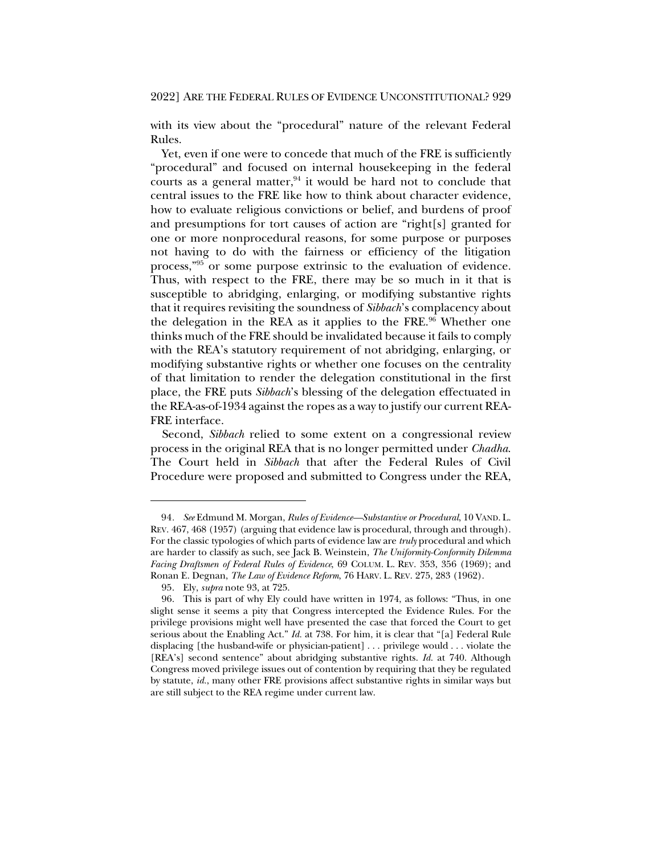with its view about the "procedural" nature of the relevant Federal Rules.

Yet, even if one were to concede that much of the FRE is sufficiently "procedural" and focused on internal housekeeping in the federal courts as a general matter, $94$  it would be hard not to conclude that central issues to the FRE like how to think about character evidence, how to evaluate religious convictions or belief, and burdens of proof and presumptions for tort causes of action are "right[s] granted for one or more nonprocedural reasons, for some purpose or purposes not having to do with the fairness or efficiency of the litigation process,"95 or some purpose extrinsic to the evaluation of evidence. Thus, with respect to the FRE, there may be so much in it that is susceptible to abridging, enlarging, or modifying substantive rights that it requires revisiting the soundness of *Sibbach*'s complacency about the delegation in the REA as it applies to the FRE.<sup>96</sup> Whether one thinks much of the FRE should be invalidated because it fails to comply with the REA's statutory requirement of not abridging, enlarging, or modifying substantive rights or whether one focuses on the centrality of that limitation to render the delegation constitutional in the first place, the FRE puts *Sibbach*'s blessing of the delegation effectuated in the REA-as-of-1934 against the ropes as a way to justify our current REA-FRE interface.

Second, *Sibbach* relied to some extent on a congressional review process in the original REA that is no longer permitted under *Chadha*. The Court held in *Sibbach* that after the Federal Rules of Civil Procedure were proposed and submitted to Congress under the REA,

<sup>94</sup>*. See* Edmund M. Morgan, *Rules of Evidence—Substantive or Procedural*, 10 VAND. L. REV. 467, 468 (1957) (arguing that evidence law is procedural, through and through). For the classic typologies of which parts of evidence law are *truly* procedural and which are harder to classify as such, see Jack B. Weinstein, *The Uniformity-Conformity Dilemma Facing Draftsmen of Federal Rules of Evidence*, 69 COLUM. L. REV. 353, 356 (1969); and Ronan E. Degnan, *The Law of Evidence Reform*, 76 HARV. L. REV. 275, 283 (1962).

<sup>95.</sup> Ely, *supra* note 93, at 725.

<sup>96.</sup> This is part of why Ely could have written in 1974, as follows: "Thus, in one slight sense it seems a pity that Congress intercepted the Evidence Rules. For the privilege provisions might well have presented the case that forced the Court to get serious about the Enabling Act." *Id.* at 738. For him, it is clear that "[a] Federal Rule displacing [the husband-wife or physician-patient] . . . privilege would . . . violate the [REA's] second sentence" about abridging substantive rights. *Id.* at 740. Although Congress moved privilege issues out of contention by requiring that they be regulated by statute, *id.*, many other FRE provisions affect substantive rights in similar ways but are still subject to the REA regime under current law.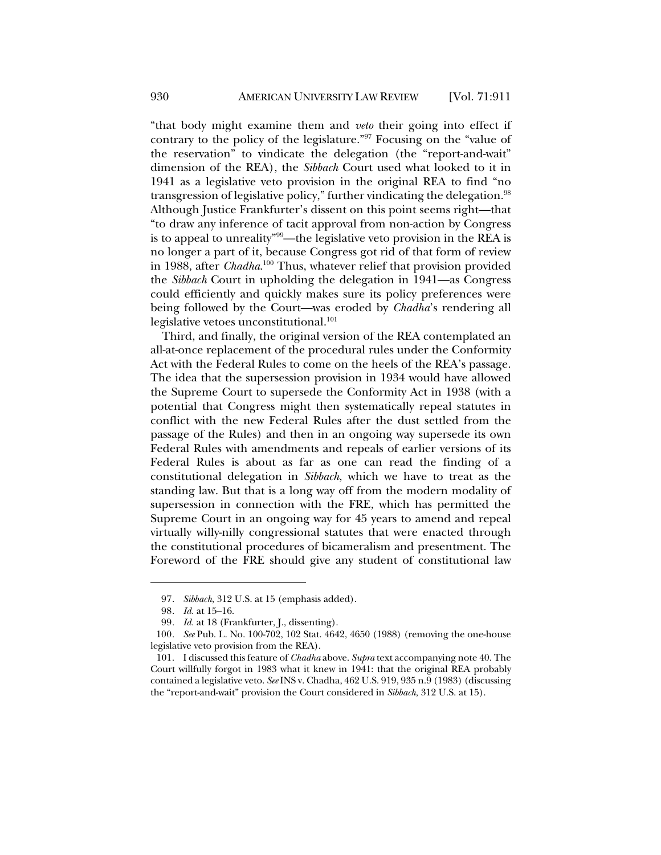"that body might examine them and *veto* their going into effect if contrary to the policy of the legislature."97 Focusing on the "value of the reservation" to vindicate the delegation (the "report-and-wait" dimension of the REA), the *Sibbach* Court used what looked to it in 1941 as a legislative veto provision in the original REA to find "no transgression of legislative policy," further vindicating the delegation.<sup>98</sup> Although Justice Frankfurter's dissent on this point seems right—that "to draw any inference of tacit approval from non-action by Congress is to appeal to unreality"99—the legislative veto provision in the REA is no longer a part of it, because Congress got rid of that form of review in 1988, after *Chadha*. <sup>100</sup> Thus, whatever relief that provision provided the *Sibbach* Court in upholding the delegation in 1941—as Congress could efficiently and quickly makes sure its policy preferences were being followed by the Court—was eroded by *Chadha*'s rendering all legislative vetoes unconstitutional.<sup>101</sup>

Third, and finally, the original version of the REA contemplated an all-at-once replacement of the procedural rules under the Conformity Act with the Federal Rules to come on the heels of the REA's passage. The idea that the supersession provision in 1934 would have allowed the Supreme Court to supersede the Conformity Act in 1938 (with a potential that Congress might then systematically repeal statutes in conflict with the new Federal Rules after the dust settled from the passage of the Rules) and then in an ongoing way supersede its own Federal Rules with amendments and repeals of earlier versions of its Federal Rules is about as far as one can read the finding of a constitutional delegation in *Sibbach*, which we have to treat as the standing law. But that is a long way off from the modern modality of supersession in connection with the FRE, which has permitted the Supreme Court in an ongoing way for 45 years to amend and repeal virtually willy-nilly congressional statutes that were enacted through the constitutional procedures of bicameralism and presentment. The Foreword of the FRE should give any student of constitutional law

<sup>97</sup>*. Sibbach*, 312 U.S. at 15 (emphasis added).

<sup>98</sup>*. Id.* at 15–16.

<sup>99</sup>*. Id.* at 18 (Frankfurter, J., dissenting).

<sup>100</sup>*. See* Pub. L. No. 100-702, 102 Stat. 4642, 4650 (1988) (removing the one-house legislative veto provision from the REA).

<sup>101.</sup> I discussed this feature of *Chadha* above. *Supra* text accompanying note 40. The Court willfully forgot in 1983 what it knew in 1941: that the original REA probably contained a legislative veto. *See* INS v. Chadha, 462 U.S. 919, 935 n.9 (1983) (discussing the "report-and-wait" provision the Court considered in *Sibbach*, 312 U.S. at 15).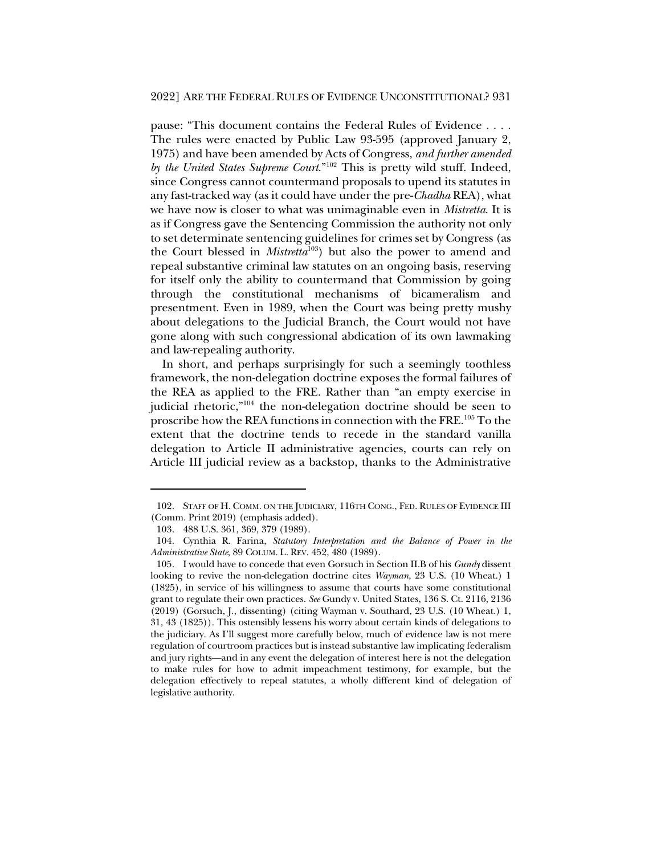pause: "This document contains the Federal Rules of Evidence . . . . The rules were enacted by Public Law 93-595 (approved January 2, 1975) and have been amended by Acts of Congress, *and further amended by the United States Supreme Court*."102 This is pretty wild stuff. Indeed, since Congress cannot countermand proposals to upend its statutes in any fast-tracked way (as it could have under the pre-*Chadha* REA), what we have now is closer to what was unimaginable even in *Mistretta*. It is as if Congress gave the Sentencing Commission the authority not only to set determinate sentencing guidelines for crimes set by Congress (as the Court blessed in *Mistretta*103) but also the power to amend and repeal substantive criminal law statutes on an ongoing basis, reserving for itself only the ability to countermand that Commission by going through the constitutional mechanisms of bicameralism and presentment. Even in 1989, when the Court was being pretty mushy about delegations to the Judicial Branch, the Court would not have gone along with such congressional abdication of its own lawmaking and law-repealing authority.

In short, and perhaps surprisingly for such a seemingly toothless framework, the non-delegation doctrine exposes the formal failures of the REA as applied to the FRE. Rather than "an empty exercise in judicial rhetoric,"104 the non-delegation doctrine should be seen to proscribe how the REA functions in connection with the FRE.105 To the extent that the doctrine tends to recede in the standard vanilla delegation to Article II administrative agencies, courts can rely on Article III judicial review as a backstop, thanks to the Administrative

<sup>102.</sup> STAFF OF H. COMM. ON THE JUDICIARY, 116TH CONG., FED. RULES OF EVIDENCE III (Comm. Print 2019) (emphasis added).

<sup>103.</sup> 488 U.S. 361, 369, 379 (1989).

<sup>104.</sup> Cynthia R. Farina, *Statutory Interpretation and the Balance of Power in the Administrative State*, 89 COLUM. L. REV. 452, 480 (1989).

<sup>105.</sup> I would have to concede that even Gorsuch in Section II.B of his *Gundy* dissent looking to revive the non-delegation doctrine cites *Wayman*, 23 U.S. (10 Wheat.) 1 (1825), in service of his willingness to assume that courts have some constitutional grant to regulate their own practices. *See* Gundy v. United States, 136 S. Ct. 2116, 2136 (2019) (Gorsuch, J., dissenting) (citing Wayman v. Southard, 23 U.S. (10 Wheat.) 1, 31, 43 (1825)). This ostensibly lessens his worry about certain kinds of delegations to the judiciary. As I'll suggest more carefully below, much of evidence law is not mere regulation of courtroom practices but is instead substantive law implicating federalism and jury rights—and in any event the delegation of interest here is not the delegation to make rules for how to admit impeachment testimony, for example, but the delegation effectively to repeal statutes, a wholly different kind of delegation of legislative authority.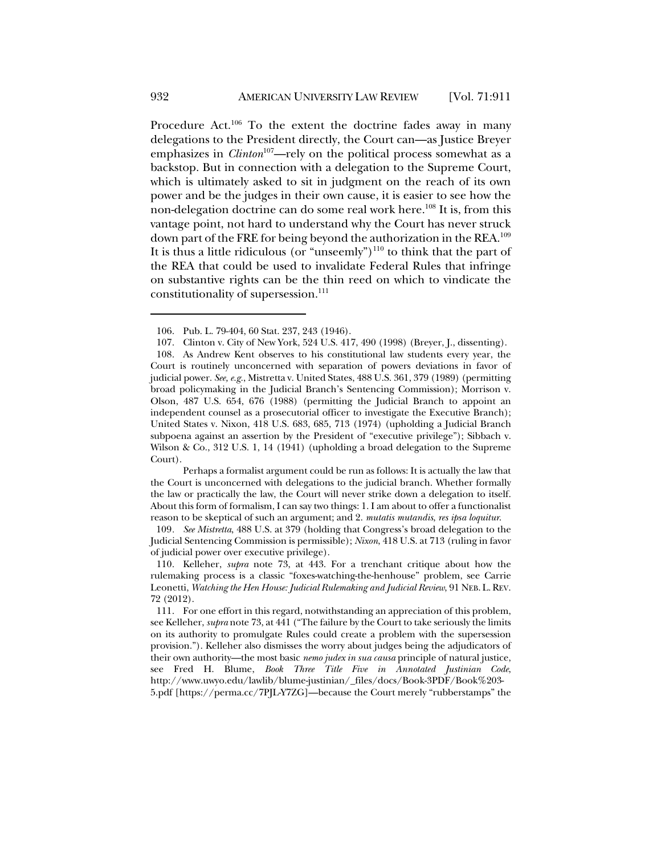Procedure Act.<sup>106</sup> To the extent the doctrine fades away in many delegations to the President directly, the Court can—as Justice Breyer emphasizes in *Clinton*<sup>107</sup>—rely on the political process somewhat as a backstop. But in connection with a delegation to the Supreme Court, which is ultimately asked to sit in judgment on the reach of its own power and be the judges in their own cause, it is easier to see how the non-delegation doctrine can do some real work here.<sup>108</sup> It is, from this vantage point, not hard to understand why the Court has never struck down part of the FRE for being beyond the authorization in the REA.109 It is thus a little ridiculous (or "unseemly")<sup>110</sup> to think that the part of the REA that could be used to invalidate Federal Rules that infringe on substantive rights can be the thin reed on which to vindicate the constitutionality of supersession.<sup>111</sup>

Perhaps a formalist argument could be run as follows: It is actually the law that the Court is unconcerned with delegations to the judicial branch. Whether formally the law or practically the law, the Court will never strike down a delegation to itself. About this form of formalism, I can say two things: 1. I am about to offer a functionalist reason to be skeptical of such an argument; and 2. *mutatis mutandis*, *res ipsa loquitur*.

109*. See Mistretta*, 488 U.S. at 379 (holding that Congress's broad delegation to the Judicial Sentencing Commission is permissible); *Nixon*, 418 U.S. at 713 (ruling in favor of judicial power over executive privilege).

<sup>106.</sup> Pub. L. 79-404, 60 Stat. 237, 243 (1946).

<sup>107.</sup> Clinton v. City of New York, 524 U.S. 417, 490 (1998) (Breyer, J., dissenting).

<sup>108.</sup> As Andrew Kent observes to his constitutional law students every year, the Court is routinely unconcerned with separation of powers deviations in favor of judicial power. *See, e.g.*, Mistretta v. United States, 488 U.S. 361, 379 (1989) (permitting broad policymaking in the Judicial Branch's Sentencing Commission); Morrison v. Olson, 487 U.S. 654, 676 (1988) (permitting the Judicial Branch to appoint an independent counsel as a prosecutorial officer to investigate the Executive Branch); United States v. Nixon, 418 U.S. 683, 685, 713 (1974) (upholding a Judicial Branch subpoena against an assertion by the President of "executive privilege"); Sibbach v. Wilson & Co., 312 U.S. 1, 14 (1941) (upholding a broad delegation to the Supreme Court).

<sup>110.</sup> Kelleher, *supra* note 73, at 443. For a trenchant critique about how the rulemaking process is a classic "foxes-watching-the-henhouse" problem, see Carrie Leonetti, *Watching the Hen House: Judicial Rulemaking and Judicial Review*, 91 NEB. L.REV. 72 (2012).

<sup>111.</sup> For one effort in this regard, notwithstanding an appreciation of this problem, see Kelleher, *supra* note 73, at 441 ("The failure by the Court to take seriously the limits on its authority to promulgate Rules could create a problem with the supersession provision."). Kelleher also dismisses the worry about judges being the adjudicators of their own authority—the most basic *nemo judex in sua causa* principle of natural justice, see Fred H. Blume, *Book Three Title Five in Annotated Justinian Code*, http://www.uwyo.edu/lawlib/blume-justinian/\_files/docs/Book-3PDF/Book%203- 5.pdf [https://perma.cc/7PJL-Y7ZG]—because the Court merely "rubberstamps" the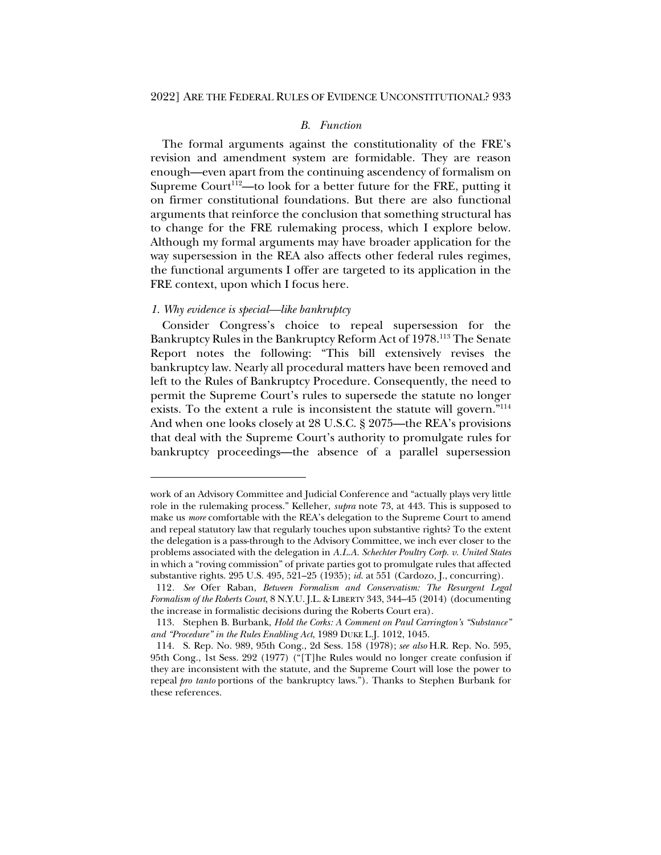## *B. Function*

The formal arguments against the constitutionality of the FRE's revision and amendment system are formidable. They are reason enough—even apart from the continuing ascendency of formalism on Supreme Court<sup>112</sup>—to look for a better future for the FRE, putting it on firmer constitutional foundations. But there are also functional arguments that reinforce the conclusion that something structural has to change for the FRE rulemaking process, which I explore below. Although my formal arguments may have broader application for the way supersession in the REA also affects other federal rules regimes, the functional arguments I offer are targeted to its application in the FRE context, upon which I focus here.

### *1. Why evidence is special—like bankruptcy*

Consider Congress's choice to repeal supersession for the Bankruptcy Rules in the Bankruptcy Reform Act of 1978.113 The Senate Report notes the following: "This bill extensively revises the bankruptcy law. Nearly all procedural matters have been removed and left to the Rules of Bankruptcy Procedure. Consequently, the need to permit the Supreme Court's rules to supersede the statute no longer exists. To the extent a rule is inconsistent the statute will govern."114 And when one looks closely at 28 U.S.C. § 2075—the REA's provisions that deal with the Supreme Court's authority to promulgate rules for bankruptcy proceedings—the absence of a parallel supersession

work of an Advisory Committee and Judicial Conference and "actually plays very little role in the rulemaking process." Kelleher, *supra* note 73, at 443. This is supposed to make us *more* comfortable with the REA's delegation to the Supreme Court to amend and repeal statutory law that regularly touches upon substantive rights? To the extent the delegation is a pass-through to the Advisory Committee, we inch ever closer to the problems associated with the delegation in *A.L.A. Schechter Poultry Corp. v. United States* in which a "roving commission" of private parties got to promulgate rules that affected substantive rights. 295 U.S. 495, 521–25 (1935); *id.* at 551 (Cardozo, J., concurring).

<sup>112</sup>*. See* Ofer Raban, *Between Formalism and Conservatism: The Resurgent Legal Formalism of the Roberts Court*, 8 N.Y.U. J.L. & LIBERTY 343, 344–45 (2014) (documenting the increase in formalistic decisions during the Roberts Court era).

<sup>113.</sup> Stephen B. Burbank, *Hold the Corks: A Comment on Paul Carrington's "Substance" and "Procedure" in the Rules Enabling Act*, 1989 DUKE L.J. 1012, 1045.

<sup>114.</sup> S. Rep. No. 989, 95th Cong., 2d Sess. 158 (1978); *see also* H.R. Rep. No. 595, 95th Cong., 1st Sess. 292 (1977) ("[T]he Rules would no longer create confusion if they are inconsistent with the statute, and the Supreme Court will lose the power to repeal *pro tanto* portions of the bankruptcy laws."). Thanks to Stephen Burbank for these references.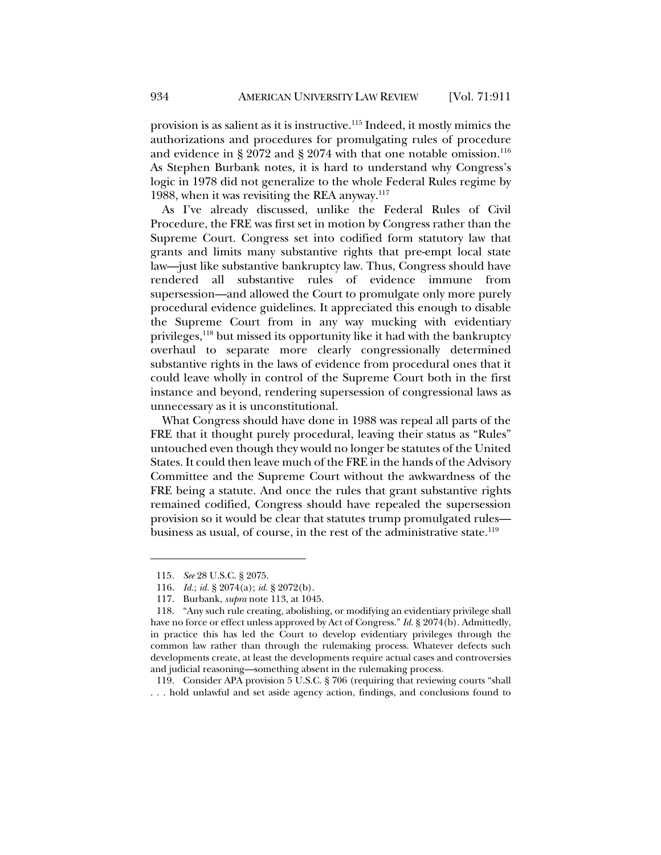provision is as salient as it is instructive.115 Indeed, it mostly mimics the authorizations and procedures for promulgating rules of procedure and evidence in § 2072 and § 2074 with that one notable omission.<sup>116</sup> As Stephen Burbank notes, it is hard to understand why Congress's logic in 1978 did not generalize to the whole Federal Rules regime by 1988, when it was revisiting the REA anyway. $117$ 

As I've already discussed, unlike the Federal Rules of Civil Procedure, the FRE was first set in motion by Congress rather than the Supreme Court. Congress set into codified form statutory law that grants and limits many substantive rights that pre-empt local state law—just like substantive bankruptcy law. Thus, Congress should have rendered all substantive rules of evidence immune from supersession—and allowed the Court to promulgate only more purely procedural evidence guidelines. It appreciated this enough to disable the Supreme Court from in any way mucking with evidentiary privileges,<sup>118</sup> but missed its opportunity like it had with the bankruptcy overhaul to separate more clearly congressionally determined substantive rights in the laws of evidence from procedural ones that it could leave wholly in control of the Supreme Court both in the first instance and beyond, rendering supersession of congressional laws as unnecessary as it is unconstitutional.

What Congress should have done in 1988 was repeal all parts of the FRE that it thought purely procedural, leaving their status as "Rules" untouched even though they would no longer be statutes of the United States. It could then leave much of the FRE in the hands of the Advisory Committee and the Supreme Court without the awkwardness of the FRE being a statute. And once the rules that grant substantive rights remained codified, Congress should have repealed the supersession provision so it would be clear that statutes trump promulgated rules business as usual, of course, in the rest of the administrative state.<sup>119</sup>

119. Consider APA provision 5 U.S.C. § 706 (requiring that reviewing courts "shall . . . hold unlawful and set aside agency action, findings, and conclusions found to

<sup>115</sup>*. See* 28 U.S.C. § 2075.

<sup>116.</sup> *Id.*; *id.* § 2074(a); *id.* § 2072(b).

<sup>117.</sup> Burbank, *supra* note 113, at 1045.

<sup>118.</sup> "Any such rule creating, abolishing, or modifying an evidentiary privilege shall have no force or effect unless approved by Act of Congress." *Id.* § 2074(b). Admittedly, in practice this has led the Court to develop evidentiary privileges through the common law rather than through the rulemaking process. Whatever defects such developments create, at least the developments require actual cases and controversies and judicial reasoning—something absent in the rulemaking process.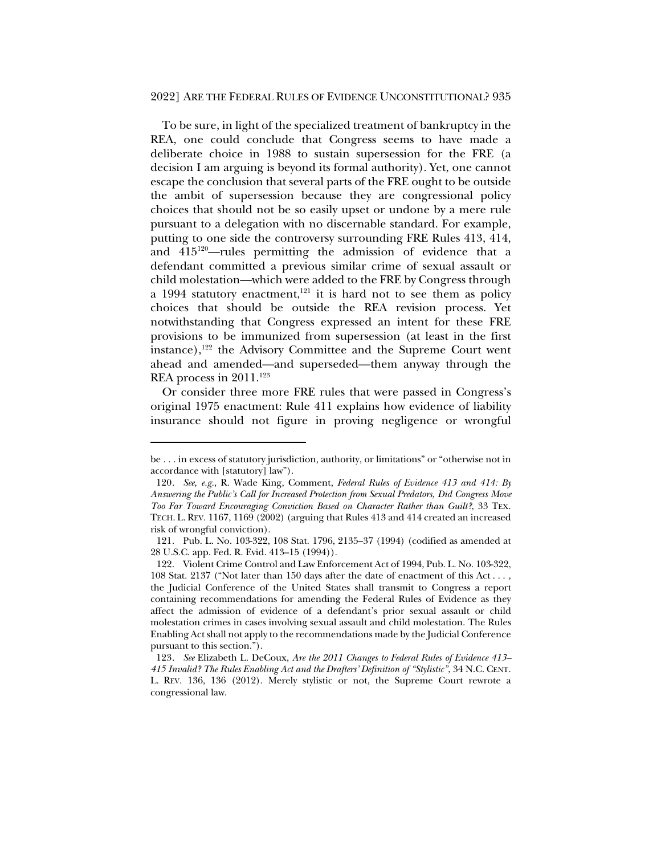#### 2022] ARE THE FEDERAL RULES OF EVIDENCE UNCONSTITUTIONAL? 935

To be sure, in light of the specialized treatment of bankruptcy in the REA, one could conclude that Congress seems to have made a deliberate choice in 1988 to sustain supersession for the FRE (a decision I am arguing is beyond its formal authority). Yet, one cannot escape the conclusion that several parts of the FRE ought to be outside the ambit of supersession because they are congressional policy choices that should not be so easily upset or undone by a mere rule pursuant to a delegation with no discernable standard. For example, putting to one side the controversy surrounding FRE Rules 413, 414, and  $415^{120}$ —rules permitting the admission of evidence that a defendant committed a previous similar crime of sexual assault or child molestation—which were added to the FRE by Congress through a 1994 statutory enactment, $121$  it is hard not to see them as policy choices that should be outside the REA revision process. Yet notwithstanding that Congress expressed an intent for these FRE provisions to be immunized from supersession (at least in the first instance),<sup>122</sup> the Advisory Committee and the Supreme Court went ahead and amended—and superseded—them anyway through the REA process in 2011.<sup>123</sup>

Or consider three more FRE rules that were passed in Congress's original 1975 enactment: Rule 411 explains how evidence of liability insurance should not figure in proving negligence or wrongful

be . . . in excess of statutory jurisdiction, authority, or limitations" or "otherwise not in accordance with [statutory] law").

<sup>120</sup>*. See, e.g.*, R. Wade King, Comment, *Federal Rules of Evidence 413 and 414: By Answering the Public's Call for Increased Protection from Sexual Predators, Did Congress Move Too Far Toward Encouraging Conviction Based on Character Rather than Guilt?*, 33 TEX. TECH. L. REV. 1167, 1169 (2002) (arguing that Rules 413 and 414 created an increased risk of wrongful conviction).

<sup>121.</sup> Pub. L. No. 103-322, 108 Stat. 1796, 2135–37 (1994) (codified as amended at 28 U.S.C. app. Fed. R. Evid. 413–15 (1994)).

<sup>122.</sup> Violent Crime Control and Law Enforcement Act of 1994, Pub. L. No. 103-322, 108 Stat. 2137 ("Not later than 150 days after the date of enactment of this Act . . . , the Judicial Conference of the United States shall transmit to Congress a report containing recommendations for amending the Federal Rules of Evidence as they affect the admission of evidence of a defendant's prior sexual assault or child molestation crimes in cases involving sexual assault and child molestation. The Rules Enabling Act shall not apply to the recommendations made by the Judicial Conference pursuant to this section.").

<sup>123</sup>*. See* Elizabeth L. DeCoux, *Are the 2011 Changes to Federal Rules of Evidence 413– 415 Invalid? The Rules Enabling Act and the Drafters' Definition of "Stylistic"*, 34 N.C. CENT. L. REV. 136, 136 (2012). Merely stylistic or not, the Supreme Court rewrote a congressional law.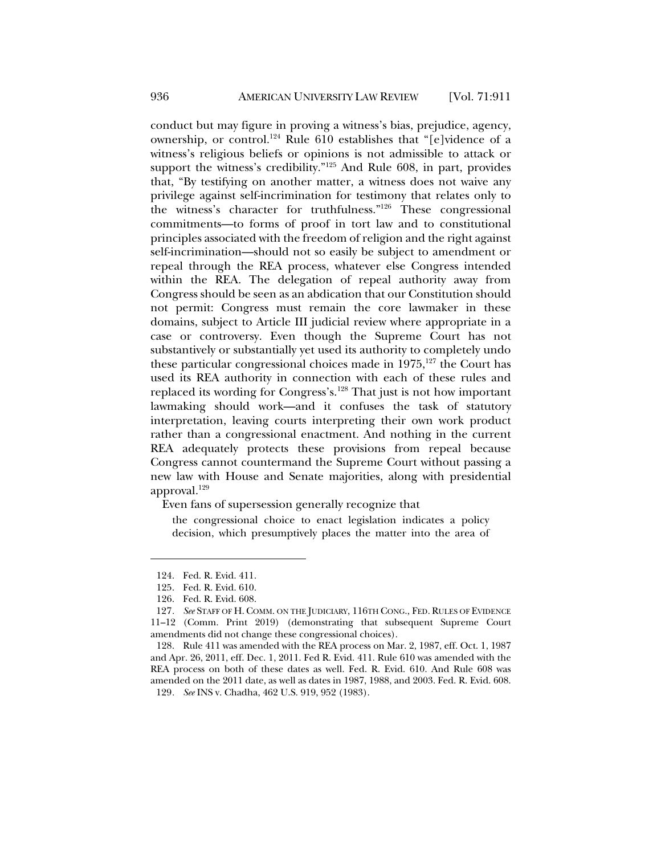conduct but may figure in proving a witness's bias, prejudice, agency, ownership, or control.<sup>124</sup> Rule 610 establishes that "[e]vidence of a witness's religious beliefs or opinions is not admissible to attack or support the witness's credibility."125 And Rule 608, in part, provides that, "By testifying on another matter, a witness does not waive any privilege against self-incrimination for testimony that relates only to the witness's character for truthfulness."126 These congressional commitments—to forms of proof in tort law and to constitutional principles associated with the freedom of religion and the right against self-incrimination—should not so easily be subject to amendment or repeal through the REA process, whatever else Congress intended within the REA. The delegation of repeal authority away from Congress should be seen as an abdication that our Constitution should not permit: Congress must remain the core lawmaker in these domains, subject to Article III judicial review where appropriate in a case or controversy. Even though the Supreme Court has not substantively or substantially yet used its authority to completely undo these particular congressional choices made in  $1975$ ,<sup>127</sup> the Court has used its REA authority in connection with each of these rules and replaced its wording for Congress's.128 That just is not how important lawmaking should work—and it confuses the task of statutory interpretation, leaving courts interpreting their own work product rather than a congressional enactment. And nothing in the current REA adequately protects these provisions from repeal because Congress cannot countermand the Supreme Court without passing a new law with House and Senate majorities, along with presidential approval. $129$ 

Even fans of supersession generally recognize that

the congressional choice to enact legislation indicates a policy decision, which presumptively places the matter into the area of

<sup>124.</sup> Fed. R. Evid. 411.

<sup>125.</sup> Fed. R. Evid. 610.

<sup>126.</sup> Fed. R. Evid. 608.

<sup>127</sup>*. See* STAFF OF H. COMM. ON THE JUDICIARY, 116TH CONG., FED. RULES OF EVIDENCE 11–12 (Comm. Print 2019) (demonstrating that subsequent Supreme Court amendments did not change these congressional choices).

<sup>128.</sup> Rule 411 was amended with the REA process on Mar. 2, 1987, eff. Oct. 1, 1987 and Apr. 26, 2011, eff. Dec. 1, 2011. Fed R. Evid. 411. Rule 610 was amended with the REA process on both of these dates as well. Fed. R. Evid. 610. And Rule 608 was amended on the 2011 date, as well as dates in 1987, 1988, and 2003. Fed. R. Evid. 608. 129*. See* INS v. Chadha, 462 U.S. 919, 952 (1983).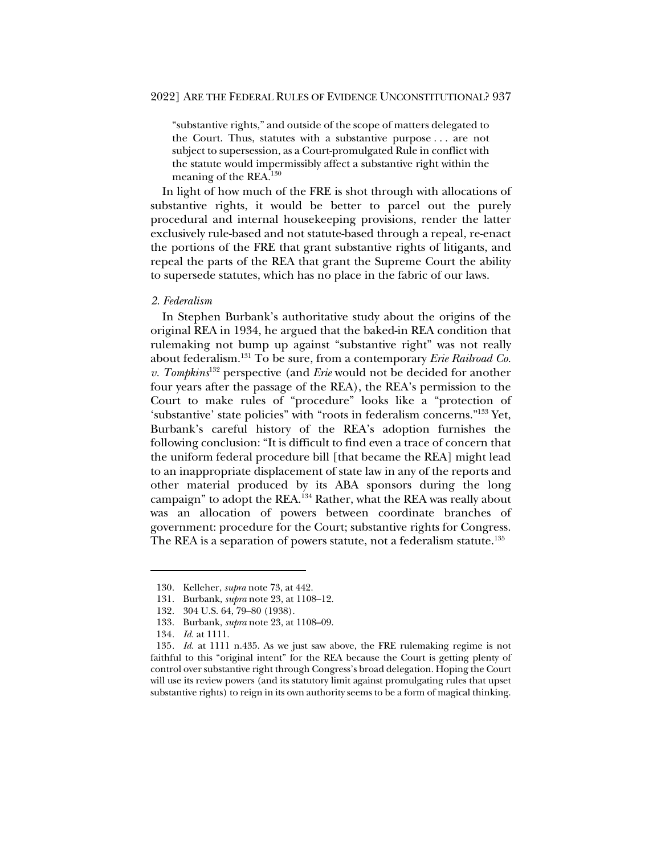"substantive rights," and outside of the scope of matters delegated to the Court. Thus, statutes with a substantive purpose . . . are not subject to supersession, as a Court-promulgated Rule in conflict with the statute would impermissibly affect a substantive right within the meaning of the REA.130

In light of how much of the FRE is shot through with allocations of substantive rights, it would be better to parcel out the purely procedural and internal housekeeping provisions, render the latter exclusively rule-based and not statute-based through a repeal, re-enact the portions of the FRE that grant substantive rights of litigants, and repeal the parts of the REA that grant the Supreme Court the ability to supersede statutes, which has no place in the fabric of our laws.

#### *2. Federalism*

In Stephen Burbank's authoritative study about the origins of the original REA in 1934, he argued that the baked-in REA condition that rulemaking not bump up against "substantive right" was not really about federalism.131 To be sure, from a contemporary *Erie Railroad Co. v. Tompkins*<sup>132</sup> perspective (and *Erie* would not be decided for another four years after the passage of the REA), the REA's permission to the Court to make rules of "procedure" looks like a "protection of 'substantive' state policies" with "roots in federalism concerns."133 Yet, Burbank's careful history of the REA's adoption furnishes the following conclusion: "It is difficult to find even a trace of concern that the uniform federal procedure bill [that became the REA] might lead to an inappropriate displacement of state law in any of the reports and other material produced by its ABA sponsors during the long campaign" to adopt the REA.134 Rather, what the REA was really about was an allocation of powers between coordinate branches of government: procedure for the Court; substantive rights for Congress. The REA is a separation of powers statute, not a federalism statute.<sup>135</sup>

<sup>130.</sup> Kelleher, *supra* note 73, at 442.

<sup>131.</sup> Burbank, *supra* note 23, at 1108–12.

<sup>132.</sup> 304 U.S. 64, 79–80 (1938).

<sup>133.</sup> Burbank, *supra* note 23, at 1108–09.

<sup>134</sup>*. Id.* at 1111.

<sup>135</sup>*. Id.* at 1111 n.435. As we just saw above, the FRE rulemaking regime is not faithful to this "original intent" for the REA because the Court is getting plenty of control over substantive right through Congress's broad delegation. Hoping the Court will use its review powers (and its statutory limit against promulgating rules that upset substantive rights) to reign in its own authority seems to be a form of magical thinking.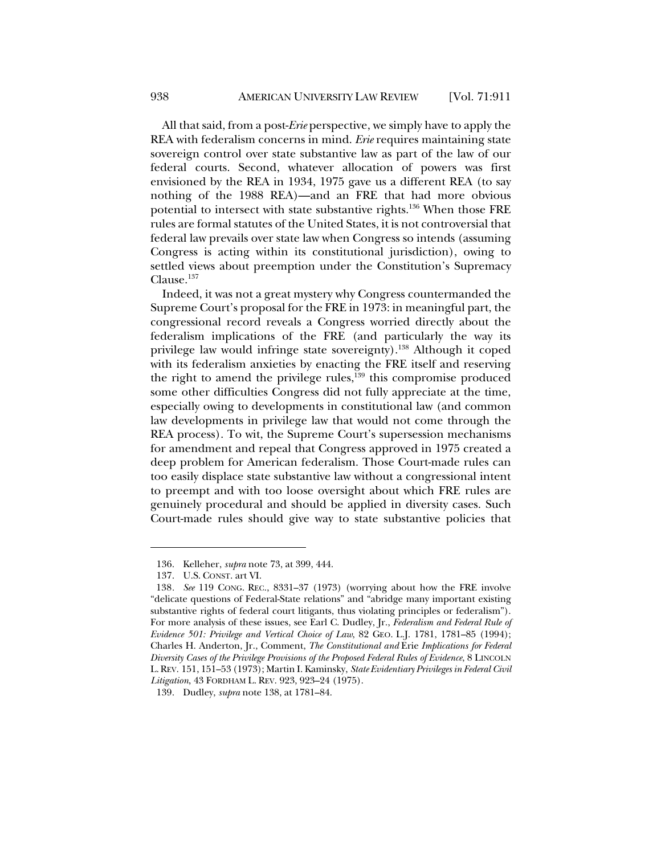All that said, from a post-*Erie* perspective, we simply have to apply the REA with federalism concerns in mind. *Erie* requires maintaining state sovereign control over state substantive law as part of the law of our federal courts. Second, whatever allocation of powers was first envisioned by the REA in 1934, 1975 gave us a different REA (to say nothing of the 1988 REA)—and an FRE that had more obvious potential to intersect with state substantive rights.136 When those FRE rules are formal statutes of the United States, it is not controversial that federal law prevails over state law when Congress so intends (assuming Congress is acting within its constitutional jurisdiction), owing to settled views about preemption under the Constitution's Supremacy Clause.137

Indeed, it was not a great mystery why Congress countermanded the Supreme Court's proposal for the FRE in 1973: in meaningful part, the congressional record reveals a Congress worried directly about the federalism implications of the FRE (and particularly the way its privilege law would infringe state sovereignty).<sup>138</sup> Although it coped with its federalism anxieties by enacting the FRE itself and reserving the right to amend the privilege rules, $\frac{139}{139}$  this compromise produced some other difficulties Congress did not fully appreciate at the time, especially owing to developments in constitutional law (and common law developments in privilege law that would not come through the REA process). To wit, the Supreme Court's supersession mechanisms for amendment and repeal that Congress approved in 1975 created a deep problem for American federalism. Those Court-made rules can too easily displace state substantive law without a congressional intent to preempt and with too loose oversight about which FRE rules are genuinely procedural and should be applied in diversity cases. Such Court-made rules should give way to state substantive policies that

<sup>136.</sup> Kelleher, *supra* note 73, at 399, 444.

<sup>137.</sup> U.S. CONST. art VI.

<sup>138</sup>*. See* 119 CONG. REC., 8331–37 (1973) (worrying about how the FRE involve "delicate questions of Federal-State relations" and "abridge many important existing substantive rights of federal court litigants, thus violating principles or federalism"). For more analysis of these issues, see Earl C. Dudley, Jr., *Federalism and Federal Rule of Evidence 501: Privilege and Vertical Choice of Law*, 82 GEO. L.J. 1781, 1781–85 (1994); Charles H. Anderton, Jr., Comment, *The Constitutional and* Erie *Implications for Federal Diversity Cases of the Privilege Provisions of the Proposed Federal Rules of Evidence*, 8 LINCOLN L.REV. 151, 151–53 (1973); Martin I. Kaminsky, *State Evidentiary Privileges in Federal Civil Litigation*, 43 FORDHAM L. REV. 923, 923–24 (1975).

<sup>139.</sup> Dudley, *supra* note 138, at 1781–84.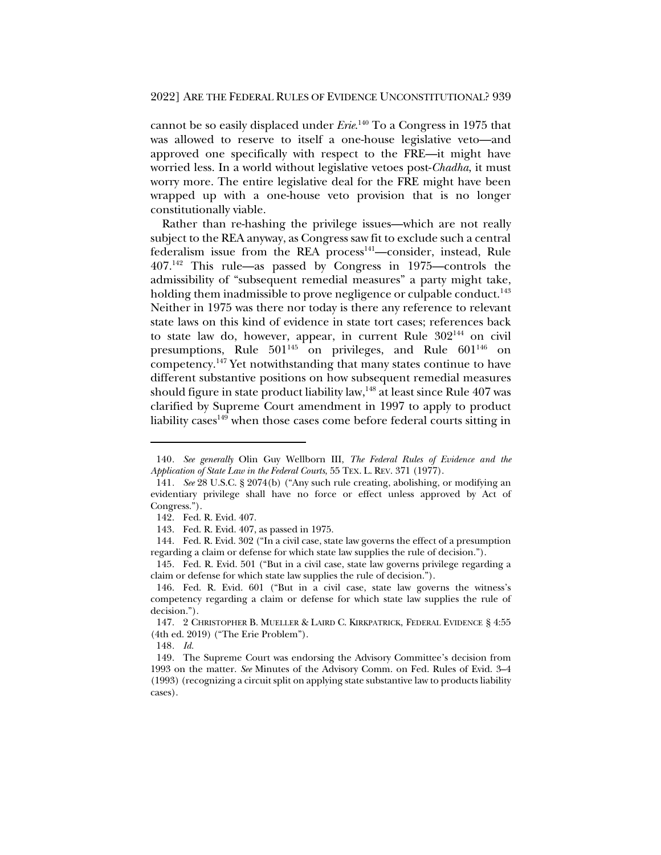cannot be so easily displaced under *Erie*. <sup>140</sup> To a Congress in 1975 that was allowed to reserve to itself a one-house legislative veto—and approved one specifically with respect to the FRE—it might have worried less. In a world without legislative vetoes post-*Chadha*, it must worry more. The entire legislative deal for the FRE might have been wrapped up with a one-house veto provision that is no longer constitutionally viable.

Rather than re-hashing the privilege issues—which are not really subject to the REA anyway, as Congress saw fit to exclude such a central federalism issue from the REA process<sup>141</sup>—consider, instead, Rule 407.142 This rule—as passed by Congress in 1975—controls the admissibility of "subsequent remedial measures" a party might take, holding them inadmissible to prove negligence or culpable conduct.<sup>143</sup> Neither in 1975 was there nor today is there any reference to relevant state laws on this kind of evidence in state tort cases; references back to state law do, however, appear, in current Rule 302144 on civil presumptions, Rule  $501^{145}$  on privileges, and Rule  $601^{146}$  on competency.147 Yet notwithstanding that many states continue to have different substantive positions on how subsequent remedial measures should figure in state product liability law,  $148$  at least since Rule 407 was clarified by Supreme Court amendment in 1997 to apply to product liability cases<sup>149</sup> when those cases come before federal courts sitting in

<sup>140</sup>*. See generally* Olin Guy Wellborn III, *The Federal Rules of Evidence and the Application of State Law in the Federal Courts*, 55 TEX. L. REV. 371 (1977).

<sup>141</sup>*. See* 28 U.S.C. § 2074(b) ("Any such rule creating, abolishing, or modifying an evidentiary privilege shall have no force or effect unless approved by Act of Congress.").

<sup>142.</sup> Fed. R. Evid. 407.

<sup>143.</sup> Fed. R. Evid. 407, as passed in 1975.

<sup>144.</sup> Fed. R. Evid. 302 ("In a civil case, state law governs the effect of a presumption regarding a claim or defense for which state law supplies the rule of decision.").

<sup>145.</sup> Fed. R. Evid. 501 ("But in a civil case, state law governs privilege regarding a claim or defense for which state law supplies the rule of decision.").

<sup>146.</sup> Fed. R. Evid. 601 ("But in a civil case, state law governs the witness's competency regarding a claim or defense for which state law supplies the rule of decision.").

<sup>147.</sup> 2 CHRISTOPHER B. MUELLER & LAIRD C. KIRKPATRICK, FEDERAL EVIDENCE § 4:55 (4th ed. 2019) ("The Erie Problem").

<sup>148</sup>*. Id.*

<sup>149.</sup> The Supreme Court was endorsing the Advisory Committee's decision from 1993 on the matter. *See* Minutes of the Advisory Comm. on Fed. Rules of Evid. 3–4 (1993) (recognizing a circuit split on applying state substantive law to products liability cases).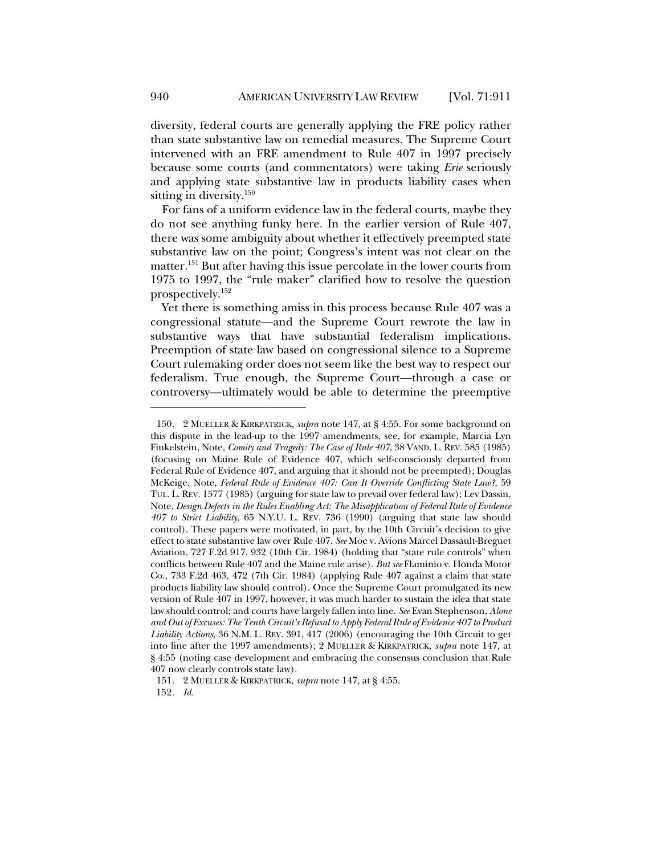diversity, federal courts are generally applying the FRE policy rather than state substantive law on remedial measures. The Supreme Court intervened with an FRE amendment to Rule 407 in 1997 precisely because some courts (and commentators) were taking *Erie* seriously and applying state substantive law in products liability cases when sitting in diversity.<sup>150</sup>

For fans of a uniform evidence law in the federal courts, maybe they do not see anything funky here. In the earlier version of Rule 407, there was some ambiguity about whether it effectively preempted state substantive law on the point; Congress's intent was not clear on the matter.<sup>151</sup> But after having this issue percolate in the lower courts from 1975 to 1997, the "rule maker" clarified how to resolve the question prospectively.152

Yet there is something amiss in this process because Rule 407 was a congressional statute—and the Supreme Court rewrote the law in substantive ways that have substantial federalism implications. Preemption of state law based on congressional silence to a Supreme Court rulemaking order does not seem like the best way to respect our federalism. True enough, the Supreme Court—through a case or controversy—ultimately would be able to determine the preemptive

151. 2 MUELLER & KIRKPATRICK, *supra* note 147, at § 4:55.

152*. Id.*

<sup>150.</sup> 2 MUELLER & KIRKPATRICK, *supra* note 147, at § 4:55. For some background on this dispute in the lead-up to the 1997 amendments, see, for example, Marcia Lyn Finkelstein, Note, *Comity and Tragedy: The Case of Rule 407*, 38 VAND. L. REV. 585 (1985) (focusing on Maine Rule of Evidence 407, which self-consciously departed from Federal Rule of Evidence 407, and arguing that it should not be preempted); Douglas McKeige, Note, *Federal Rule of Evidence 407: Can It Override Conflicting State Law?*, 59 TUL. L. REV. 1577 (1985) (arguing for state law to prevail over federal law); Lev Dassin, Note, *Design Defects in the Rules Enabling Act: The Misapplication of Federal Rule of Evidence 407 to Strict Liability*, 65 N.Y.U. L. REV. 736 (1990) (arguing that state law should control). These papers were motivated, in part, by the 10th Circuit's decision to give effect to state substantive law over Rule 407. *See* Moe v. Avions Marcel Dassault-Breguet Aviation, 727 F.2d 917, 932 (10th Cir. 1984) (holding that "state rule controls" when conflicts between Rule 407 and the Maine rule arise). *But see* Flaminio v. Honda Motor Co., 733 F.2d 463, 472 (7th Cir. 1984) (applying Rule 407 against a claim that state products liability law should control). Once the Supreme Court promulgated its new version of Rule 407 in 1997, however, it was much harder to sustain the idea that state law should control; and courts have largely fallen into line. *See* Evan Stephenson, *Alone and Out of Excuses: The Tenth Circuit's Refusal to Apply Federal Rule of Evidence 407 to Product Liability Actions*, 36 N.M. L. REV. 391, 417 (2006) (encouraging the 10th Circuit to get into line after the 1997 amendments); 2 MUELLER & KIRKPATRICK, *supra* note 147, at § 4:55 (noting case development and embracing the consensus conclusion that Rule 407 now clearly controls state law).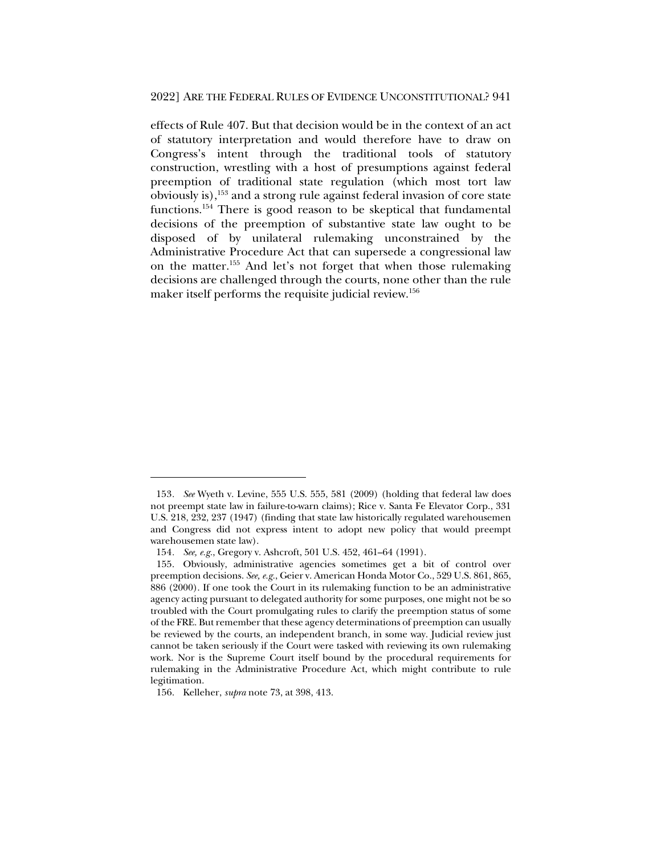effects of Rule 407. But that decision would be in the context of an act of statutory interpretation and would therefore have to draw on Congress's intent through the traditional tools of statutory construction, wrestling with a host of presumptions against federal preemption of traditional state regulation (which most tort law obviously is),153 and a strong rule against federal invasion of core state functions.154 There is good reason to be skeptical that fundamental decisions of the preemption of substantive state law ought to be disposed of by unilateral rulemaking unconstrained by the Administrative Procedure Act that can supersede a congressional law on the matter.155 And let's not forget that when those rulemaking decisions are challenged through the courts, none other than the rule maker itself performs the requisite judicial review.<sup>156</sup>

<sup>153</sup>*. See* Wyeth v. Levine, 555 U.S. 555, 581 (2009) (holding that federal law does not preempt state law in failure-to-warn claims); Rice v. Santa Fe Elevator Corp., 331 U.S. 218, 232, 237 (1947) (finding that state law historically regulated warehousemen and Congress did not express intent to adopt new policy that would preempt warehousemen state law).

<sup>154</sup>*. See, e.g.*, Gregory v. Ashcroft, 501 U.S. 452, 461–64 (1991).

<sup>155.</sup> Obviously, administrative agencies sometimes get a bit of control over preemption decisions. *See, e.g.*, Geier v. American Honda Motor Co., 529 U.S. 861, 865, 886 (2000). If one took the Court in its rulemaking function to be an administrative agency acting pursuant to delegated authority for some purposes, one might not be so troubled with the Court promulgating rules to clarify the preemption status of some of the FRE. But remember that these agency determinations of preemption can usually be reviewed by the courts, an independent branch, in some way. Judicial review just cannot be taken seriously if the Court were tasked with reviewing its own rulemaking work. Nor is the Supreme Court itself bound by the procedural requirements for rulemaking in the Administrative Procedure Act, which might contribute to rule legitimation.

<sup>156.</sup> Kelleher, *supra* note 73, at 398, 413.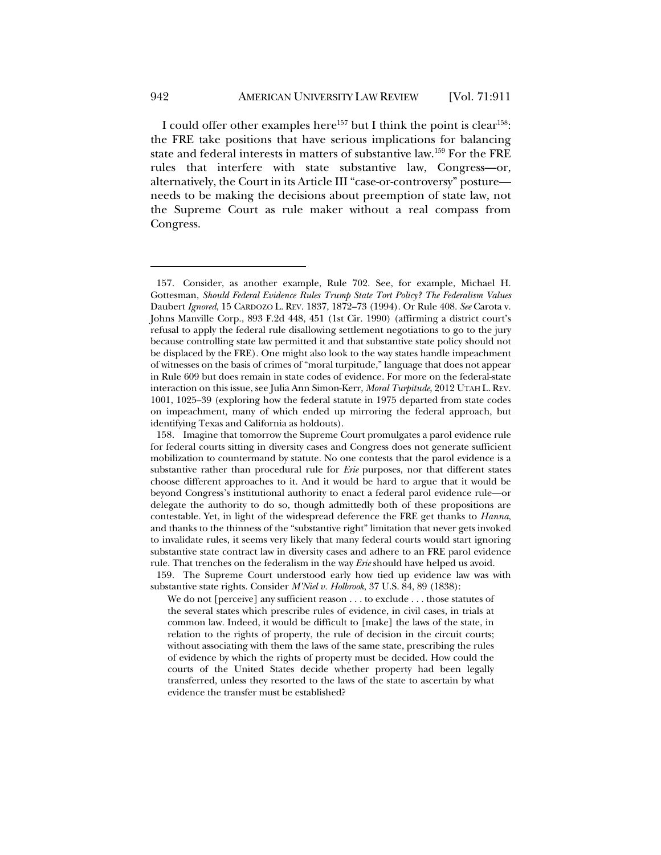I could offer other examples here<sup>157</sup> but I think the point is clear<sup>158</sup>: the FRE take positions that have serious implications for balancing state and federal interests in matters of substantive law.159 For the FRE rules that interfere with state substantive law, Congress—or, alternatively, the Court in its Article III "case-or-controversy" posture needs to be making the decisions about preemption of state law, not the Supreme Court as rule maker without a real compass from Congress.

159. The Supreme Court understood early how tied up evidence law was with substantive state rights. Consider *M'Niel v. Holbrook*, 37 U.S. 84, 89 (1838):

We do not [perceive] any sufficient reason . . . to exclude . . . those statutes of the several states which prescribe rules of evidence, in civil cases, in trials at common law. Indeed, it would be difficult to [make] the laws of the state, in relation to the rights of property, the rule of decision in the circuit courts; without associating with them the laws of the same state, prescribing the rules of evidence by which the rights of property must be decided. How could the courts of the United States decide whether property had been legally transferred, unless they resorted to the laws of the state to ascertain by what evidence the transfer must be established?

<sup>157.</sup> Consider, as another example, Rule 702. See, for example, Michael H. Gottesman, *Should Federal Evidence Rules Trump State Tort Policy? The Federalism Values* Daubert *Ignored*, 15 CARDOZO L. REV. 1837, 1872–73 (1994). Or Rule 408. *See* Carota v. Johns Manville Corp., 893 F.2d 448, 451 (1st Cir. 1990) (affirming a district court's refusal to apply the federal rule disallowing settlement negotiations to go to the jury because controlling state law permitted it and that substantive state policy should not be displaced by the FRE). One might also look to the way states handle impeachment of witnesses on the basis of crimes of "moral turpitude," language that does not appear in Rule 609 but does remain in state codes of evidence. For more on the federal-state interaction on this issue, see Julia Ann Simon-Kerr, *Moral Turpitude*, 2012 UTAH L. REV. 1001, 1025–39 (exploring how the federal statute in 1975 departed from state codes on impeachment, many of which ended up mirroring the federal approach, but identifying Texas and California as holdouts).

<sup>158.</sup> Imagine that tomorrow the Supreme Court promulgates a parol evidence rule for federal courts sitting in diversity cases and Congress does not generate sufficient mobilization to countermand by statute. No one contests that the parol evidence is a substantive rather than procedural rule for *Erie* purposes, nor that different states choose different approaches to it. And it would be hard to argue that it would be beyond Congress's institutional authority to enact a federal parol evidence rule—or delegate the authority to do so, though admittedly both of these propositions are contestable. Yet, in light of the widespread deference the FRE get thanks to *Hanna*, and thanks to the thinness of the "substantive right" limitation that never gets invoked to invalidate rules, it seems very likely that many federal courts would start ignoring substantive state contract law in diversity cases and adhere to an FRE parol evidence rule. That trenches on the federalism in the way *Erie* should have helped us avoid.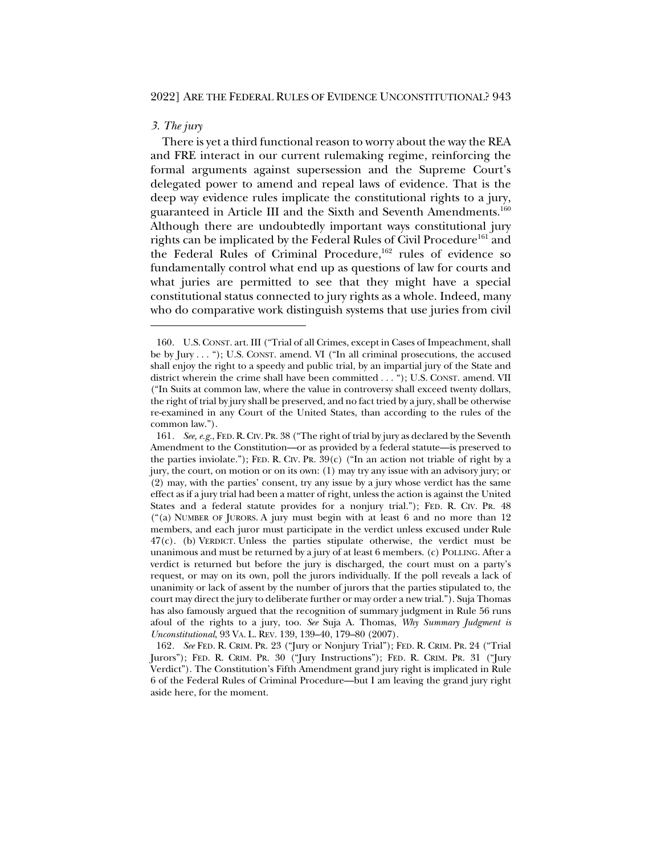# *3. The jury*

There is yet a third functional reason to worry about the way the REA and FRE interact in our current rulemaking regime, reinforcing the formal arguments against supersession and the Supreme Court's delegated power to amend and repeal laws of evidence. That is the deep way evidence rules implicate the constitutional rights to a jury, guaranteed in Article III and the Sixth and Seventh Amendments.<sup>160</sup> Although there are undoubtedly important ways constitutional jury rights can be implicated by the Federal Rules of Civil Procedure<sup>161</sup> and the Federal Rules of Criminal Procedure,<sup>162</sup> rules of evidence so fundamentally control what end up as questions of law for courts and what juries are permitted to see that they might have a special constitutional status connected to jury rights as a whole. Indeed, many who do comparative work distinguish systems that use juries from civil

<sup>160.</sup> U.S.CONST. art. III ("Trial of all Crimes, except in Cases of Impeachment, shall be by Jury . . . "); U.S. CONST. amend. VI ("In all criminal prosecutions, the accused shall enjoy the right to a speedy and public trial, by an impartial jury of the State and district wherein the crime shall have been committed . . . "); U.S. CONST. amend. VII ("In Suits at common law, where the value in controversy shall exceed twenty dollars, the right of trial by jury shall be preserved, and no fact tried by a jury, shall be otherwise re-examined in any Court of the United States, than according to the rules of the common law.").

<sup>161</sup>*. See, e.g.*, FED.R.CIV. PR. 38 ("The right of trial by jury as declared by the Seventh Amendment to the Constitution—or as provided by a federal statute—is preserved to the parties inviolate."); FED. R. CIV. PR.  $39(c)$  ("In an action not triable of right by a jury, the court, on motion or on its own: (1) may try any issue with an advisory jury; or (2) may, with the parties' consent, try any issue by a jury whose verdict has the same effect as if a jury trial had been a matter of right, unless the action is against the United States and a federal statute provides for a nonjury trial."); FED. R. CIV. PR. 48 ("(a) NUMBER OF JURORS. A jury must begin with at least 6 and no more than 12 members, and each juror must participate in the verdict unless excused under Rule 47(c). (b) VERDICT. Unless the parties stipulate otherwise, the verdict must be unanimous and must be returned by a jury of at least 6 members. (c) POLLING. After a verdict is returned but before the jury is discharged, the court must on a party's request, or may on its own, poll the jurors individually. If the poll reveals a lack of unanimity or lack of assent by the number of jurors that the parties stipulated to, the court may direct the jury to deliberate further or may order a new trial."). Suja Thomas has also famously argued that the recognition of summary judgment in Rule 56 runs afoul of the rights to a jury, too. *See* Suja A. Thomas, *Why Summary Judgment is Unconstitutional*, 93 VA. L. REV. 139, 139–40, 179–80 (2007).

<sup>162</sup>*. See* FED. R. CRIM. PR. 23 ("Jury or Nonjury Trial"); FED. R. CRIM. PR. 24 ("Trial Jurors"); FED. R. CRIM. PR. 30 ("Jury Instructions"); FED. R. CRIM. PR. 31 ("Jury Verdict"). The Constitution's Fifth Amendment grand jury right is implicated in Rule 6 of the Federal Rules of Criminal Procedure—but I am leaving the grand jury right aside here, for the moment.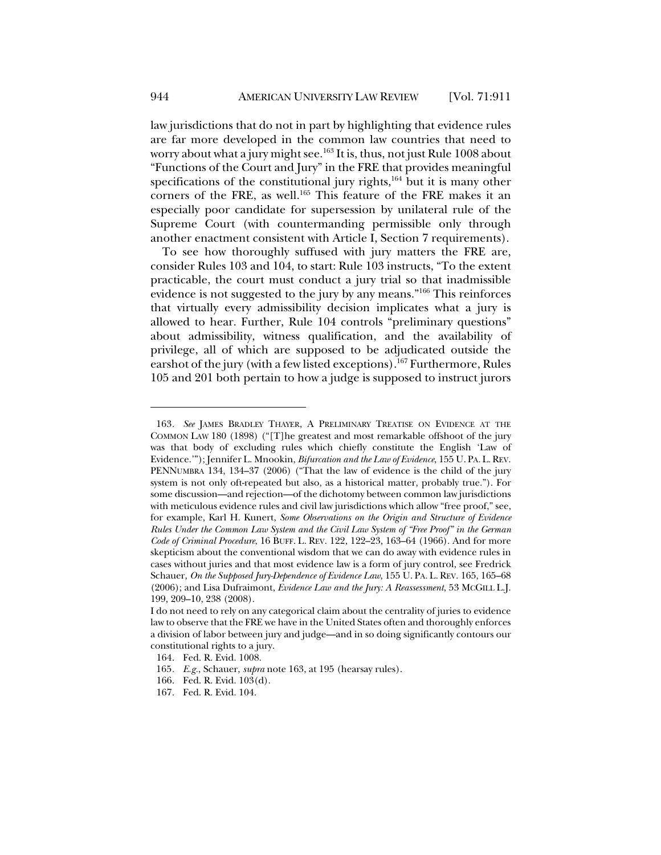law jurisdictions that do not in part by highlighting that evidence rules are far more developed in the common law countries that need to worry about what a jury might see.<sup>163</sup> It is, thus, not just Rule 1008 about "Functions of the Court and Jury" in the FRE that provides meaningful specifications of the constitutional jury rights, $164$  but it is many other corners of the FRE, as well.<sup>165</sup> This feature of the FRE makes it an especially poor candidate for supersession by unilateral rule of the Supreme Court (with countermanding permissible only through another enactment consistent with Article I, Section 7 requirements).

To see how thoroughly suffused with jury matters the FRE are, consider Rules 103 and 104, to start: Rule 103 instructs, "To the extent practicable, the court must conduct a jury trial so that inadmissible evidence is not suggested to the jury by any means."166 This reinforces that virtually every admissibility decision implicates what a jury is allowed to hear. Further, Rule 104 controls "preliminary questions" about admissibility, witness qualification, and the availability of privilege, all of which are supposed to be adjudicated outside the earshot of the jury (with a few listed exceptions).<sup>167</sup> Furthermore, Rules 105 and 201 both pertain to how a judge is supposed to instruct jurors

<sup>163</sup>*. See* JAMES BRADLEY THAYER, A PRELIMINARY TREATISE ON EVIDENCE AT THE COMMON LAW 180 (1898) ("[T]he greatest and most remarkable offshoot of the jury was that body of excluding rules which chiefly constitute the English 'Law of Evidence.'"); Jennifer L. Mnookin, *Bifurcation and the Law of Evidence*, 155 U. PA. L.REV. PENNUMBRA 134, 134–37 (2006) ("That the law of evidence is the child of the jury system is not only oft-repeated but also, as a historical matter, probably true."). For some discussion—and rejection—of the dichotomy between common law jurisdictions with meticulous evidence rules and civil law jurisdictions which allow "free proof," see, for example, Karl H. Kunert, *Some Observations on the Origin and Structure of Evidence Rules Under the Common Law System and the Civil Law System of "Free Proof" in the German Code of Criminal Procedure*, 16 BUFF. L. REV. 122, 122–23, 163–64 (1966). And for more skepticism about the conventional wisdom that we can do away with evidence rules in cases without juries and that most evidence law is a form of jury control, see Fredrick Schauer, *On the Supposed Jury-Dependence of Evidence Law*, 155 U. PA. L. REV. 165, 165–68 (2006); and Lisa Dufraimont, *Evidence Law and the Jury: A Reassessment*, 53 MCGILL L.J. 199, 209–10, 238 (2008).

I do not need to rely on any categorical claim about the centrality of juries to evidence law to observe that the FRE we have in the United States often and thoroughly enforces a division of labor between jury and judge—and in so doing significantly contours our constitutional rights to a jury.

<sup>164.</sup> Fed. R. Evid. 1008.

<sup>165</sup>*. E.g.*, Schauer, *supra* note 163, at 195 (hearsay rules).

<sup>166.</sup> Fed. R. Evid. 103(d).

<sup>167.</sup> Fed. R. Evid. 104.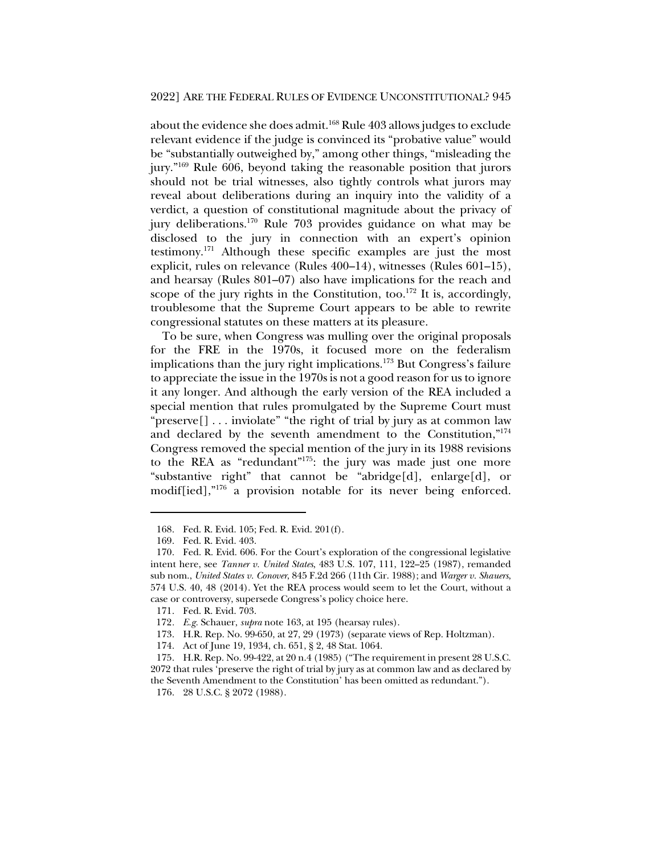about the evidence she does admit.<sup>168</sup> Rule 403 allows judges to exclude relevant evidence if the judge is convinced its "probative value" would be "substantially outweighed by," among other things, "misleading the jury."169 Rule 606, beyond taking the reasonable position that jurors should not be trial witnesses, also tightly controls what jurors may reveal about deliberations during an inquiry into the validity of a verdict, a question of constitutional magnitude about the privacy of jury deliberations.170 Rule 703 provides guidance on what may be disclosed to the jury in connection with an expert's opinion testimony.171 Although these specific examples are just the most explicit, rules on relevance (Rules 400–14), witnesses (Rules 601–15), and hearsay (Rules 801–07) also have implications for the reach and scope of the jury rights in the Constitution, too.<sup>172</sup> It is, accordingly, troublesome that the Supreme Court appears to be able to rewrite congressional statutes on these matters at its pleasure.

To be sure, when Congress was mulling over the original proposals for the FRE in the 1970s, it focused more on the federalism implications than the jury right implications.173 But Congress's failure to appreciate the issue in the 1970s is not a good reason for us to ignore it any longer. And although the early version of the REA included a special mention that rules promulgated by the Supreme Court must "preserve[] . . . inviolate" "the right of trial by jury as at common law and declared by the seventh amendment to the Constitution,"<sup>174</sup> Congress removed the special mention of the jury in its 1988 revisions to the REA as "redundant"175: the jury was made just one more "substantive right" that cannot be "abridge[d], enlarge[d], or modif[ied],"176 a provision notable for its never being enforced.

<sup>168.</sup> Fed. R. Evid. 105; Fed. R. Evid. 201(f).

<sup>169.</sup> Fed. R. Evid. 403.

<sup>170.</sup> Fed. R. Evid. 606. For the Court's exploration of the congressional legislative intent here, see *Tanner v. United States*, 483 U.S. 107, 111, 122–25 (1987), remanded sub nom., *United States v. Conover*, 845 F.2d 266 (11th Cir. 1988); and *Warger v. Shauers*, 574 U.S. 40, 48 (2014). Yet the REA process would seem to let the Court, without a case or controversy, supersede Congress's policy choice here.

<sup>171.</sup> Fed. R. Evid. 703.

<sup>172</sup>*. E.g.* Schauer, *supra* note 163, at 195 (hearsay rules).

<sup>173.</sup> H.R. Rep. No. 99-650, at 27, 29 (1973) (separate views of Rep. Holtzman).

<sup>174.</sup> Act of June 19, 1934, ch. 651, § 2, 48 Stat. 1064.

<sup>175.</sup> H.R. Rep. No. 99-422, at 20 n.4 (1985) ("The requirement in present 28 U.S.C. 2072 that rules 'preserve the right of trial by jury as at common law and as declared by the Seventh Amendment to the Constitution' has been omitted as redundant.").

<sup>176.</sup> 28 U.S.C. § 2072 (1988).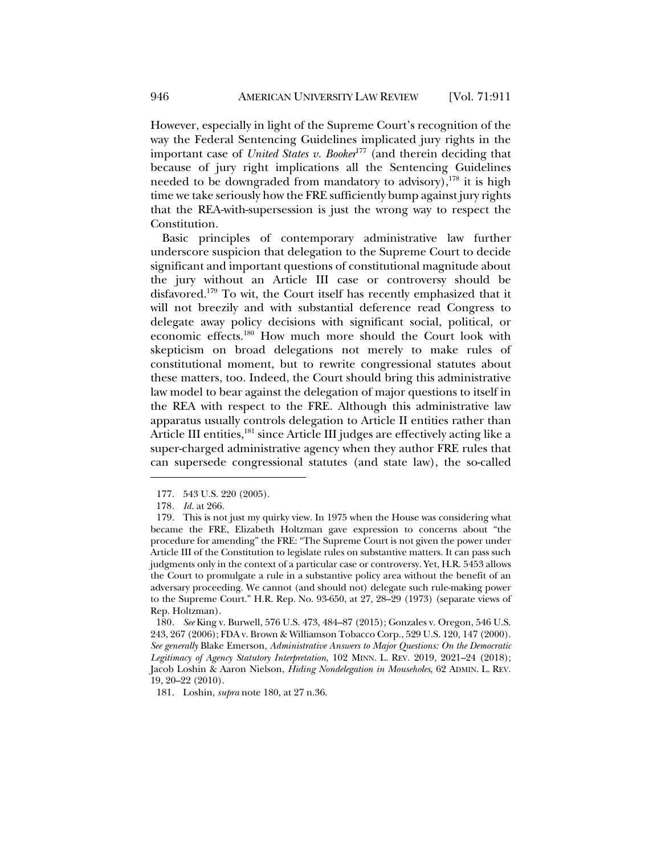However, especially in light of the Supreme Court's recognition of the way the Federal Sentencing Guidelines implicated jury rights in the important case of *United States v. Booker*<sup>177</sup> (and therein deciding that because of jury right implications all the Sentencing Guidelines needed to be downgraded from mandatory to advisory),<sup>178</sup> it is high time we take seriously how the FRE sufficiently bump against jury rights that the REA-with-supersession is just the wrong way to respect the Constitution.

Basic principles of contemporary administrative law further underscore suspicion that delegation to the Supreme Court to decide significant and important questions of constitutional magnitude about the jury without an Article III case or controversy should be disfavored.179 To wit, the Court itself has recently emphasized that it will not breezily and with substantial deference read Congress to delegate away policy decisions with significant social, political, or economic effects.180 How much more should the Court look with skepticism on broad delegations not merely to make rules of constitutional moment, but to rewrite congressional statutes about these matters, too. Indeed, the Court should bring this administrative law model to bear against the delegation of major questions to itself in the REA with respect to the FRE. Although this administrative law apparatus usually controls delegation to Article II entities rather than Article III entities,<sup>181</sup> since Article III judges are effectively acting like a super-charged administrative agency when they author FRE rules that can supersede congressional statutes (and state law), the so-called

180*. See* King v. Burwell, 576 U.S. 473, 484–87 (2015); Gonzales v. Oregon, 546 U.S. 243, 267 (2006); FDA v. Brown & Williamson Tobacco Corp., 529 U.S. 120, 147 (2000). *See generally* Blake Emerson, *Administrative Answers to Major Questions: On the Democratic Legitimacy of Agency Statutory Interpretation*, 102 MINN. L. REV. 2019, 2021–24 (2018); Jacob Loshin & Aaron Nielson, *Hiding Nondelegation in Mouseholes*, 62 ADMIN. L. REV. 19, 20–22 (2010).

181. Loshin, *supra* note 180, at 27 n.36.

<sup>177.</sup> 543 U.S. 220 (2005).

<sup>178</sup>*. Id.* at 266.

<sup>179.</sup> This is not just my quirky view. In 1975 when the House was considering what became the FRE, Elizabeth Holtzman gave expression to concerns about "the procedure for amending" the FRE: "The Supreme Court is not given the power under Article III of the Constitution to legislate rules on substantive matters. It can pass such judgments only in the context of a particular case or controversy. Yet, H.R. 5453 allows the Court to promulgate a rule in a substantive policy area without the benefit of an adversary proceeding. We cannot (and should not) delegate such rule-making power to the Supreme Court." H.R. Rep. No. 93-650, at 27, 28–29 (1973) (separate views of Rep. Holtzman).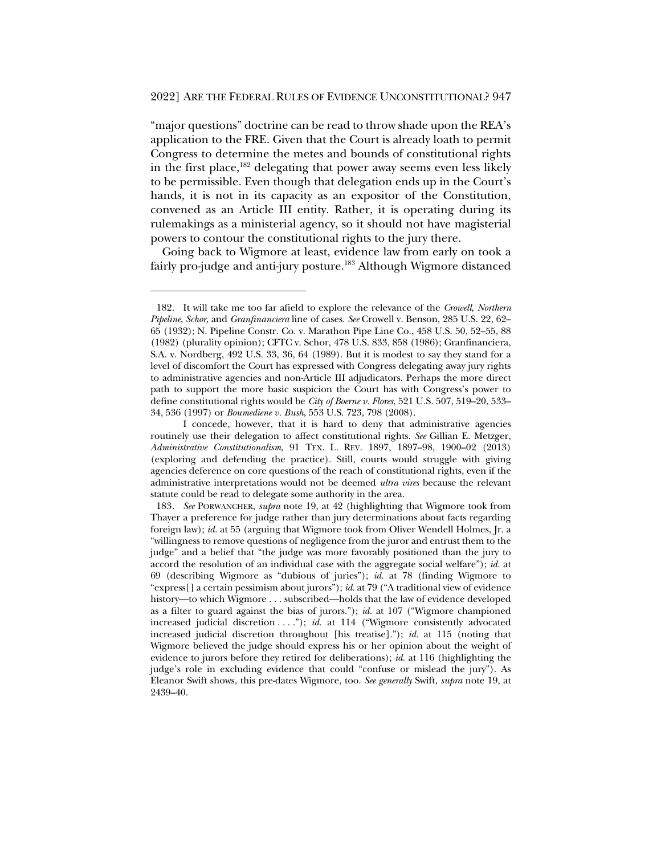"major questions" doctrine can be read to throw shade upon the REA's application to the FRE. Given that the Court is already loath to permit Congress to determine the metes and bounds of constitutional rights in the first place, $182$  delegating that power away seems even less likely to be permissible. Even though that delegation ends up in the Court's hands, it is not in its capacity as an expositor of the Constitution, convened as an Article III entity. Rather, it is operating during its rulemakings as a ministerial agency, so it should not have magisterial powers to contour the constitutional rights to the jury there.

Going back to Wigmore at least, evidence law from early on took a fairly pro-judge and anti-jury posture.<sup>183</sup> Although Wigmore distanced

<sup>182.</sup> It will take me too far afield to explore the relevance of the *Crowell*, *Northern Pipeline*, *Schor*, and *Granfinanciera* line of cases. *See* Crowell v. Benson, 285 U.S. 22, 62– 65 (1932); N. Pipeline Constr. Co. v. Marathon Pipe Line Co., 458 U.S. 50, 52–55, 88 (1982) (plurality opinion); CFTC v. Schor, 478 U.S. 833, 858 (1986); Granfinanciera, S.A. v. Nordberg, 492 U.S. 33, 36, 64 (1989). But it is modest to say they stand for a level of discomfort the Court has expressed with Congress delegating away jury rights to administrative agencies and non-Article III adjudicators. Perhaps the more direct path to support the more basic suspicion the Court has with Congress's power to define constitutional rights would be *City of Boerne v. Flores*, 521 U.S. 507, 519–20, 533– 34, 536 (1997) or *Boumediene v. Bush*, 553 U.S. 723, 798 (2008).

I concede, however, that it is hard to deny that administrative agencies routinely use their delegation to affect constitutional rights. *See* Gillian E. Metzger, *Administrative Constitutionalism*, 91 TEX. L. REV. 1897, 1897–98, 1900–02 (2013) (exploring and defending the practice). Still, courts would struggle with giving agencies deference on core questions of the reach of constitutional rights, even if the administrative interpretations would not be deemed *ultra vires* because the relevant statute could be read to delegate some authority in the area.

<sup>183</sup>*. See* PORWANCHER, *supra* note 19, at 42 (highlighting that Wigmore took from Thayer a preference for judge rather than jury determinations about facts regarding foreign law); *id.* at 55 (arguing that Wigmore took from Oliver Wendell Holmes, Jr. a "willingness to remove questions of negligence from the juror and entrust them to the judge" and a belief that "the judge was more favorably positioned than the jury to accord the resolution of an individual case with the aggregate social welfare"); *id.* at 69 (describing Wigmore as "dubious of juries"); *id.* at 78 (finding Wigmore to "express[] a certain pessimism about jurors"); *id.* at 79 ("A traditional view of evidence history—to which Wigmore . . . subscribed—holds that the law of evidence developed as a filter to guard against the bias of jurors."); *id.* at 107 ("Wigmore championed increased judicial discretion . . . ."); *id.* at 114 ("Wigmore consistently advocated increased judicial discretion throughout [his treatise]."); *id.* at 115 (noting that Wigmore believed the judge should express his or her opinion about the weight of evidence to jurors before they retired for deliberations); *id.* at 116 (highlighting the judge's role in excluding evidence that could "confuse or mislead the jury"). As Eleanor Swift shows, this pre-dates Wigmore, too. *See generally* Swift, *supra* note 19, at 2439–40.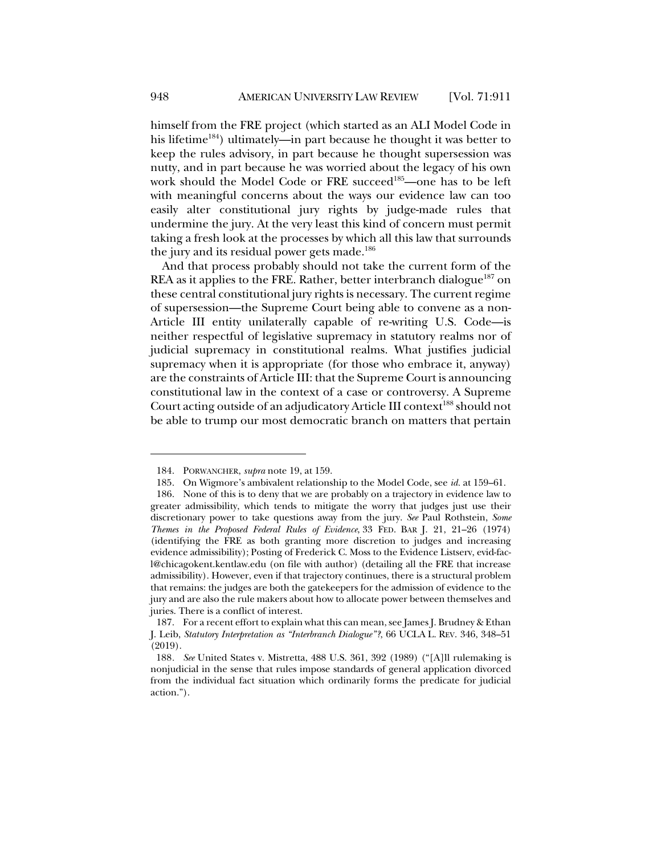himself from the FRE project (which started as an ALI Model Code in his lifetime<sup>184</sup>) ultimately—in part because he thought it was better to keep the rules advisory, in part because he thought supersession was nutty, and in part because he was worried about the legacy of his own work should the Model Code or FRE succeed<sup>185</sup>—one has to be left with meaningful concerns about the ways our evidence law can too easily alter constitutional jury rights by judge-made rules that undermine the jury. At the very least this kind of concern must permit taking a fresh look at the processes by which all this law that surrounds the jury and its residual power gets made.<sup>186</sup>

And that process probably should not take the current form of the REA as it applies to the FRE. Rather, better interbranch dialogue<sup>187</sup> on these central constitutional jury rights is necessary. The current regime of supersession—the Supreme Court being able to convene as a non-Article III entity unilaterally capable of re-writing U.S. Code—is neither respectful of legislative supremacy in statutory realms nor of judicial supremacy in constitutional realms. What justifies judicial supremacy when it is appropriate (for those who embrace it, anyway) are the constraints of Article III: that the Supreme Court is announcing constitutional law in the context of a case or controversy. A Supreme Court acting outside of an adjudicatory Article III context<sup>188</sup> should not be able to trump our most democratic branch on matters that pertain

<sup>184.</sup> PORWANCHER, *supra* note 19, at 159.

<sup>185.</sup> On Wigmore's ambivalent relationship to the Model Code, see *id.* at 159–61.

<sup>186.</sup> None of this is to deny that we are probably on a trajectory in evidence law to greater admissibility, which tends to mitigate the worry that judges just use their discretionary power to take questions away from the jury. *See* Paul Rothstein, *Some Themes in the Proposed Federal Rules of Evidence*, 33 FED. BAR J. 21, 21–26 (1974) (identifying the FRE as both granting more discretion to judges and increasing evidence admissibility); Posting of Frederick C. Moss to the Evidence Listserv, evid-facl@chicagokent.kentlaw.edu (on file with author) (detailing all the FRE that increase admissibility). However, even if that trajectory continues, there is a structural problem that remains: the judges are both the gatekeepers for the admission of evidence to the jury and are also the rule makers about how to allocate power between themselves and juries. There is a conflict of interest.

<sup>187.</sup> For a recent effort to explain what this can mean, see James J. Brudney & Ethan J. Leib, *Statutory Interpretation as "Interbranch Dialogue"?*, 66 UCLA L. REV. 346, 348–51 (2019).

<sup>188</sup>*. See* United States v. Mistretta, 488 U.S. 361, 392 (1989) ("[A]ll rulemaking is nonjudicial in the sense that rules impose standards of general application divorced from the individual fact situation which ordinarily forms the predicate for judicial action.").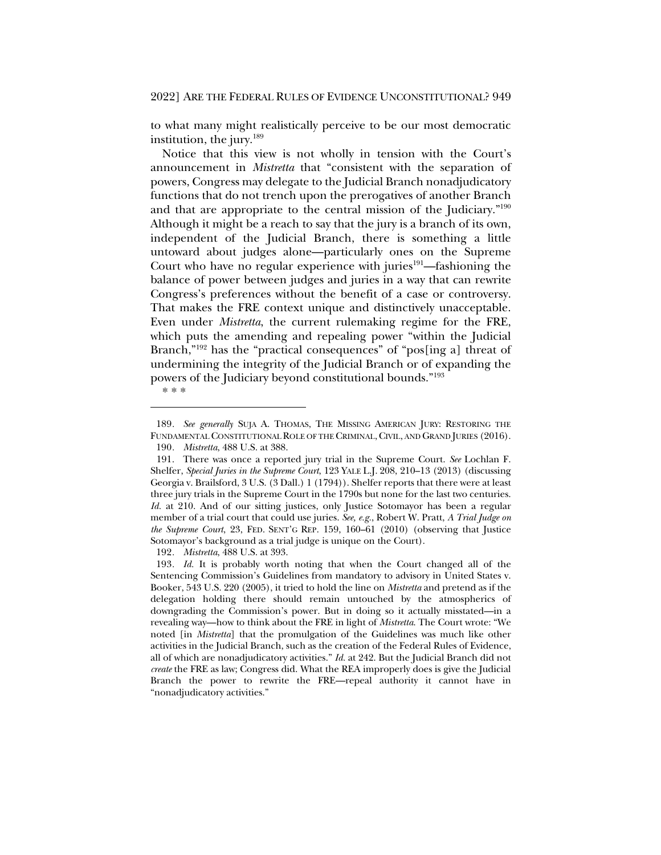to what many might realistically perceive to be our most democratic institution, the jury.<sup>189</sup>

Notice that this view is not wholly in tension with the Court's announcement in *Mistretta* that "consistent with the separation of powers, Congress may delegate to the Judicial Branch nonadjudicatory functions that do not trench upon the prerogatives of another Branch and that are appropriate to the central mission of the Judiciary."190 Although it might be a reach to say that the jury is a branch of its own, independent of the Judicial Branch, there is something a little untoward about judges alone—particularly ones on the Supreme Court who have no regular experience with juries<sup>191</sup>—fashioning the balance of power between judges and juries in a way that can rewrite Congress's preferences without the benefit of a case or controversy. That makes the FRE context unique and distinctively unacceptable. Even under *Mistretta*, the current rulemaking regime for the FRE, which puts the amending and repealing power "within the Judicial Branch,"<sup>192</sup> has the "practical consequences" of "pos[ing a] threat of undermining the integrity of the Judicial Branch or of expanding the powers of the Judiciary beyond constitutional bounds."193

\* \* \*

192*. Mistretta*, 488 U.S. at 393.

<sup>189</sup>*. See generally* SUJA A. THOMAS, THE MISSING AMERICAN JURY: RESTORING THE FUNDAMENTAL CONSTITUTIONAL ROLE OF THE CRIMINAL,CIVIL, AND GRAND JURIES (2016). 190*. Mistretta*, 488 U.S. at 388.

<sup>191.</sup> There was once a reported jury trial in the Supreme Court. *See* Lochlan F. Shelfer, *Special Juries in the Supreme Court*, 123 YALE L.J. 208, 210–13 (2013) (discussing Georgia v. Brailsford, 3 U.S. (3 Dall.) 1 (1794)). Shelfer reports that there were at least three jury trials in the Supreme Court in the 1790s but none for the last two centuries. *Id.* at 210. And of our sitting justices, only Justice Sotomayor has been a regular member of a trial court that could use juries. *See, e.g.*, Robert W. Pratt, *A Trial Judge on the Supreme Court*, 23, FED. SENT'G REP. 159, 160–61 (2010) (observing that Justice Sotomayor's background as a trial judge is unique on the Court).

<sup>193</sup>*. Id.* It is probably worth noting that when the Court changed all of the Sentencing Commission's Guidelines from mandatory to advisory in United States v. Booker, 543 U.S. 220 (2005), it tried to hold the line on *Mistretta* and pretend as if the delegation holding there should remain untouched by the atmospherics of downgrading the Commission's power. But in doing so it actually misstated—in a revealing way—how to think about the FRE in light of *Mistretta*. The Court wrote: "We noted [in *Mistretta*] that the promulgation of the Guidelines was much like other activities in the Judicial Branch, such as the creation of the Federal Rules of Evidence, all of which are nonadjudicatory activities." *Id.* at 242. But the Judicial Branch did not *create* the FRE as law; Congress did. What the REA improperly does is give the Judicial Branch the power to rewrite the FRE—repeal authority it cannot have in "nonadjudicatory activities."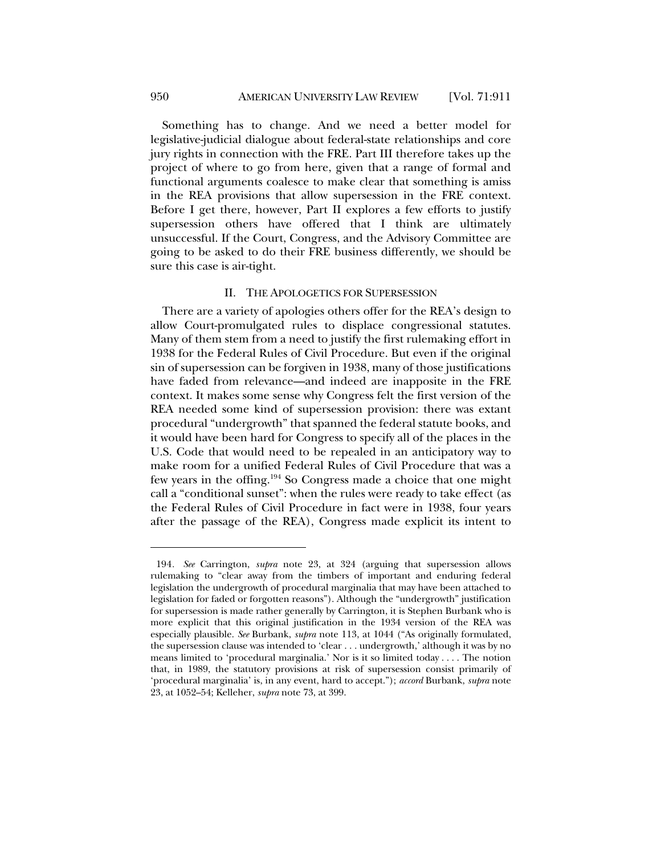Something has to change. And we need a better model for legislative-judicial dialogue about federal-state relationships and core jury rights in connection with the FRE. Part III therefore takes up the project of where to go from here, given that a range of formal and functional arguments coalesce to make clear that something is amiss in the REA provisions that allow supersession in the FRE context. Before I get there, however, Part II explores a few efforts to justify supersession others have offered that I think are ultimately unsuccessful. If the Court, Congress, and the Advisory Committee are going to be asked to do their FRE business differently, we should be sure this case is air-tight.

### II. THE APOLOGETICS FOR SUPERSESSION

There are a variety of apologies others offer for the REA's design to allow Court-promulgated rules to displace congressional statutes. Many of them stem from a need to justify the first rulemaking effort in 1938 for the Federal Rules of Civil Procedure. But even if the original sin of supersession can be forgiven in 1938, many of those justifications have faded from relevance—and indeed are inapposite in the FRE context. It makes some sense why Congress felt the first version of the REA needed some kind of supersession provision: there was extant procedural "undergrowth" that spanned the federal statute books, and it would have been hard for Congress to specify all of the places in the U.S. Code that would need to be repealed in an anticipatory way to make room for a unified Federal Rules of Civil Procedure that was a few years in the offing.194 So Congress made a choice that one might call a "conditional sunset": when the rules were ready to take effect (as the Federal Rules of Civil Procedure in fact were in 1938, four years after the passage of the REA), Congress made explicit its intent to

<sup>194</sup>*. See* Carrington, *supra* note 23, at 324 (arguing that supersession allows rulemaking to "clear away from the timbers of important and enduring federal legislation the undergrowth of procedural marginalia that may have been attached to legislation for faded or forgotten reasons"). Although the "undergrowth" justification for supersession is made rather generally by Carrington, it is Stephen Burbank who is more explicit that this original justification in the 1934 version of the REA was especially plausible. *See* Burbank, *supra* note 113, at 1044 ("As originally formulated, the supersession clause was intended to 'clear . . . undergrowth,' although it was by no means limited to 'procedural marginalia.' Nor is it so limited today . . . . The notion that, in 1989, the statutory provisions at risk of supersession consist primarily of 'procedural marginalia' is, in any event, hard to accept."); *accord* Burbank, *supra* note 23, at 1052–54; Kelleher, *supra* note 73, at 399.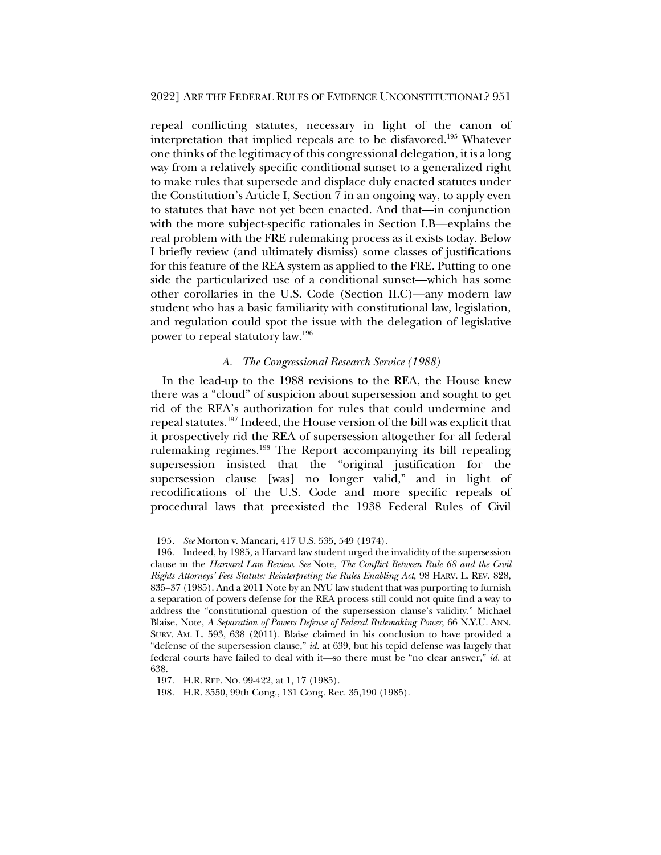repeal conflicting statutes, necessary in light of the canon of interpretation that implied repeals are to be disfavored.195 Whatever one thinks of the legitimacy of this congressional delegation, it is a long way from a relatively specific conditional sunset to a generalized right to make rules that supersede and displace duly enacted statutes under the Constitution's Article I, Section 7 in an ongoing way, to apply even to statutes that have not yet been enacted. And that—in conjunction with the more subject-specific rationales in Section I.B—explains the real problem with the FRE rulemaking process as it exists today. Below I briefly review (and ultimately dismiss) some classes of justifications for this feature of the REA system as applied to the FRE. Putting to one side the particularized use of a conditional sunset—which has some other corollaries in the U.S. Code (Section II.C)—any modern law student who has a basic familiarity with constitutional law, legislation, and regulation could spot the issue with the delegation of legislative power to repeal statutory law.196

# *A. The Congressional Research Service (1988)*

In the lead-up to the 1988 revisions to the REA, the House knew there was a "cloud" of suspicion about supersession and sought to get rid of the REA's authorization for rules that could undermine and repeal statutes.197 Indeed, the House version of the bill was explicit that it prospectively rid the REA of supersession altogether for all federal rulemaking regimes.198 The Report accompanying its bill repealing supersession insisted that the "original justification for the supersession clause [was] no longer valid," and in light of recodifications of the U.S. Code and more specific repeals of procedural laws that preexisted the 1938 Federal Rules of Civil

<sup>195</sup>*. See* Morton v. Mancari, 417 U.S. 535, 549 (1974).

<sup>196.</sup> Indeed, by 1985, a Harvard law student urged the invalidity of the supersession clause in the *Harvard Law Review*. *See* Note, *The Conflict Between Rule 68 and the Civil Rights Attorneys' Fees Statute: Reinterpreting the Rules Enabling Act*, 98 HARV. L. REV. 828, 835–37 (1985). And a 2011 Note by an NYU law student that was purporting to furnish a separation of powers defense for the REA process still could not quite find a way to address the "constitutional question of the supersession clause's validity." Michael Blaise, Note, *A Separation of Powers Defense of Federal Rulemaking Power*, 66 N.Y.U. ANN. SURV. AM. L. 593, 638 (2011). Blaise claimed in his conclusion to have provided a "defense of the supersession clause," *id.* at 639, but his tepid defense was largely that federal courts have failed to deal with it—so there must be "no clear answer," *id.* at 638.

<sup>197.</sup> H.R. REP. NO. 99-422, at 1, 17 (1985).

<sup>198.</sup> H.R. 3550, 99th Cong., 131 Cong. Rec. 35,190 (1985).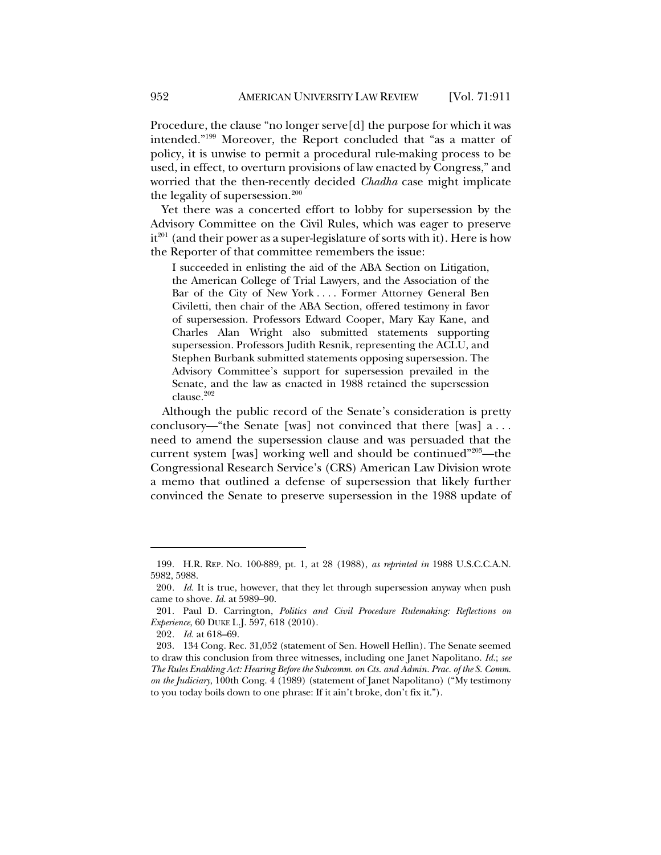Procedure, the clause "no longer serve[d] the purpose for which it was intended."199 Moreover, the Report concluded that "as a matter of policy, it is unwise to permit a procedural rule-making process to be used, in effect, to overturn provisions of law enacted by Congress," and worried that the then-recently decided *Chadha* case might implicate the legality of supersession. $200$ 

Yet there was a concerted effort to lobby for supersession by the Advisory Committee on the Civil Rules, which was eager to preserve  $it^{201}$  (and their power as a super-legislature of sorts with it). Here is how the Reporter of that committee remembers the issue:

I succeeded in enlisting the aid of the ABA Section on Litigation, the American College of Trial Lawyers, and the Association of the Bar of the City of New York . . . . Former Attorney General Ben Civiletti, then chair of the ABA Section, offered testimony in favor of supersession. Professors Edward Cooper, Mary Kay Kane, and Charles Alan Wright also submitted statements supporting supersession. Professors Judith Resnik, representing the ACLU, and Stephen Burbank submitted statements opposing supersession. The Advisory Committee's support for supersession prevailed in the Senate, and the law as enacted in 1988 retained the supersession clause.<sup>202</sup>

Although the public record of the Senate's consideration is pretty conclusory—"the Senate [was] not convinced that there [was] a . . . need to amend the supersession clause and was persuaded that the current system [was] working well and should be continued"203—the Congressional Research Service's (CRS) American Law Division wrote a memo that outlined a defense of supersession that likely further convinced the Senate to preserve supersession in the 1988 update of

<sup>199.</sup> H.R. REP. NO. 100-889, pt. 1, at 28 (1988), *as reprinted in* 1988 U.S.C.C.A.N. 5982, 5988.

<sup>200</sup>*. Id.* It is true, however, that they let through supersession anyway when push came to shove. *Id.* at 5989–90.

<sup>201.</sup> Paul D. Carrington, *Politics and Civil Procedure Rulemaking: Reflections on Experience*, 60 DUKE L.J. 597, 618 (2010).

<sup>202</sup>*. Id.* at 618–69.

<sup>203.</sup> 134 Cong. Rec. 31,052 (statement of Sen. Howell Heflin). The Senate seemed to draw this conclusion from three witnesses, including one Janet Napolitano. *Id.*; *see The Rules Enabling Act: Hearing Before the Subcomm. on Cts. and Admin. Prac. of the S. Comm. on the Judiciary*, 100th Cong. 4 (1989) (statement of Janet Napolitano) ("My testimony to you today boils down to one phrase: If it ain't broke, don't fix it.").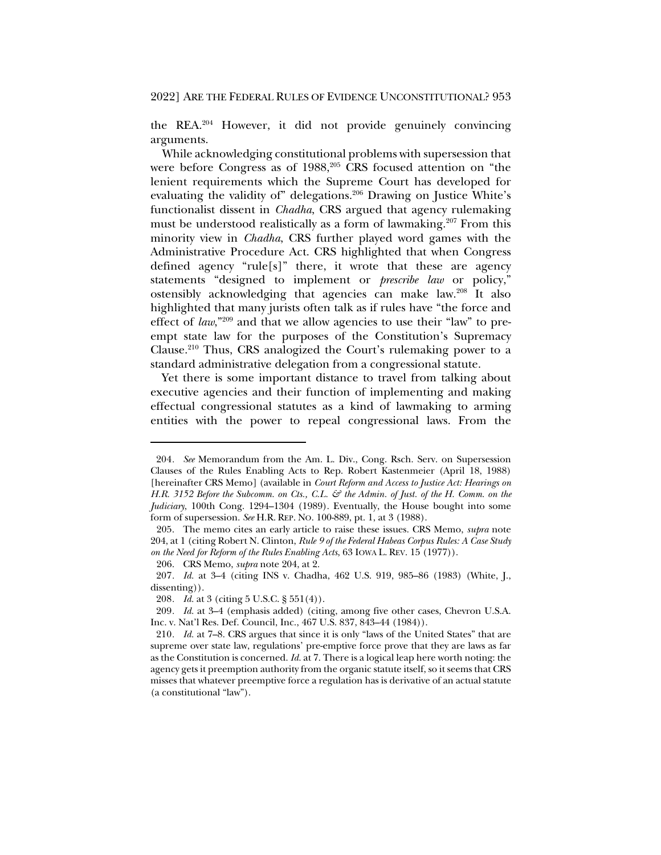the REA.204 However, it did not provide genuinely convincing arguments.

While acknowledging constitutional problems with supersession that were before Congress as of 1988,<sup>205</sup> CRS focused attention on "the lenient requirements which the Supreme Court has developed for evaluating the validity of" delegations.<sup>206</sup> Drawing on Justice White's functionalist dissent in *Chadha*, CRS argued that agency rulemaking must be understood realistically as a form of lawmaking.<sup>207</sup> From this minority view in *Chadha*, CRS further played word games with the Administrative Procedure Act. CRS highlighted that when Congress defined agency "rule[s]" there, it wrote that these are agency statements "designed to implement or *prescribe law* or policy," ostensibly acknowledging that agencies can make law.208 It also highlighted that many jurists often talk as if rules have "the force and effect of *law*,"<sup>209</sup> and that we allow agencies to use their "law" to preempt state law for the purposes of the Constitution's Supremacy Clause.210 Thus, CRS analogized the Court's rulemaking power to a standard administrative delegation from a congressional statute.

Yet there is some important distance to travel from talking about executive agencies and their function of implementing and making effectual congressional statutes as a kind of lawmaking to arming entities with the power to repeal congressional laws. From the

206. CRS Memo, *supra* note 204, at 2.

208*. Id.* at 3 (citing 5 U.S.C. § 551(4)).

<sup>204</sup>*. See* Memorandum from the Am. L. Div., Cong. Rsch. Serv. on Supersession Clauses of the Rules Enabling Acts to Rep. Robert Kastenmeier (April 18, 1988) [hereinafter CRS Memo] (available in *Court Reform and Access to Justice Act: Hearings on H.R. 3152 Before the Subcomm. on Cts., C.L. & the Admin. of Just. of the H. Comm. on the Judiciary*, 100th Cong. 1294–1304 (1989). Eventually, the House bought into some form of supersession. *See* H.R. REP. NO. 100-889, pt. 1, at 3 (1988).

<sup>205.</sup> The memo cites an early article to raise these issues. CRS Memo, *supra* note 204, at 1 (citing Robert N. Clinton, *Rule 9 of the Federal Habeas Corpus Rules: A Case Study on the Need for Reform of the Rules Enabling Acts*, 63 IOWA L. REV. 15 (1977)).

<sup>207</sup>*. Id.* at 3–4 (citing INS v. Chadha, 462 U.S. 919, 985–86 (1983) (White, J., dissenting)).

<sup>209</sup>*. Id.* at 3–4 (emphasis added) (citing, among five other cases, Chevron U.S.A. Inc. v. Nat'l Res. Def. Council, Inc., 467 U.S. 837, 843–44 (1984)).

<sup>210</sup>*. Id.* at 7–8. CRS argues that since it is only "laws of the United States" that are supreme over state law, regulations' pre-emptive force prove that they are laws as far as the Constitution is concerned. *Id.* at 7. There is a logical leap here worth noting: the agency gets it preemption authority from the organic statute itself, so it seems that CRS misses that whatever preemptive force a regulation has is derivative of an actual statute (a constitutional "law").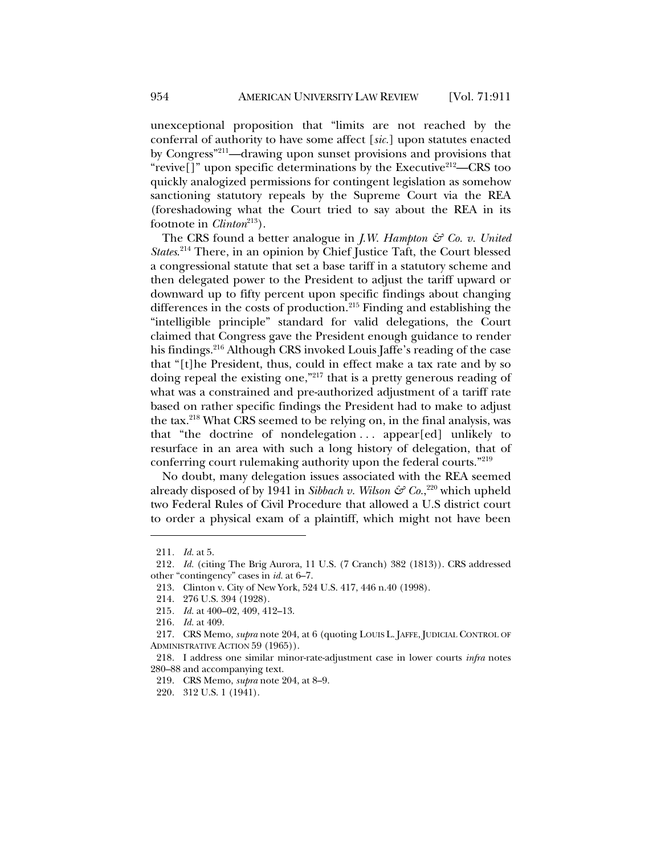unexceptional proposition that "limits are not reached by the conferral of authority to have some affect [*sic.*] upon statutes enacted by Congress"211—drawing upon sunset provisions and provisions that "revive $[$ ]" upon specific determinations by the Executive<sup>212</sup>—CRS too quickly analogized permissions for contingent legislation as somehow sanctioning statutory repeals by the Supreme Court via the REA (foreshadowing what the Court tried to say about the REA in its footnote in *Clinton*<sup>213</sup>).

The CRS found a better analogue in *J.W. Hampton & Co. v. United States*. <sup>214</sup> There, in an opinion by Chief Justice Taft, the Court blessed a congressional statute that set a base tariff in a statutory scheme and then delegated power to the President to adjust the tariff upward or downward up to fifty percent upon specific findings about changing differences in the costs of production.<sup>215</sup> Finding and establishing the "intelligible principle" standard for valid delegations, the Court claimed that Congress gave the President enough guidance to render his findings.<sup>216</sup> Although CRS invoked Louis Jaffe's reading of the case that "[t]he President, thus, could in effect make a tax rate and by so doing repeal the existing one,"217 that is a pretty generous reading of what was a constrained and pre-authorized adjustment of a tariff rate based on rather specific findings the President had to make to adjust the tax.218 What CRS seemed to be relying on, in the final analysis, was that "the doctrine of nondelegation . . . appear[ed] unlikely to resurface in an area with such a long history of delegation, that of conferring court rulemaking authority upon the federal courts."219

No doubt, many delegation issues associated with the REA seemed already disposed of by 1941 in *Sibbach v. Wilson & Co.*, <sup>220</sup> which upheld two Federal Rules of Civil Procedure that allowed a U.S district court to order a physical exam of a plaintiff, which might not have been

<sup>211</sup>*. Id.* at 5.

<sup>212</sup>*. Id.* (citing The Brig Aurora, 11 U.S. (7 Cranch) 382 (1813)). CRS addressed other "contingency" cases in *id.* at 6–7.

<sup>213.</sup> Clinton v. City of New York, 524 U.S. 417, 446 n.40 (1998).

<sup>214.</sup> 276 U.S. 394 (1928).

<sup>215</sup>*. Id.* at 400–02, 409, 412–13.

<sup>216</sup>*. Id.* at 409.

<sup>217.</sup> CRS Memo, *supra* note 204, at 6 (quoting LOUIS L. JAFFE, JUDICIAL CONTROL OF ADMINISTRATIVE ACTION 59 (1965)).

<sup>218.</sup> I address one similar minor-rate-adjustment case in lower courts *infra* notes 280–88 and accompanying text.

<sup>219.</sup> CRS Memo, *supra* note 204, at 8–9.

<sup>220.</sup> 312 U.S. 1 (1941).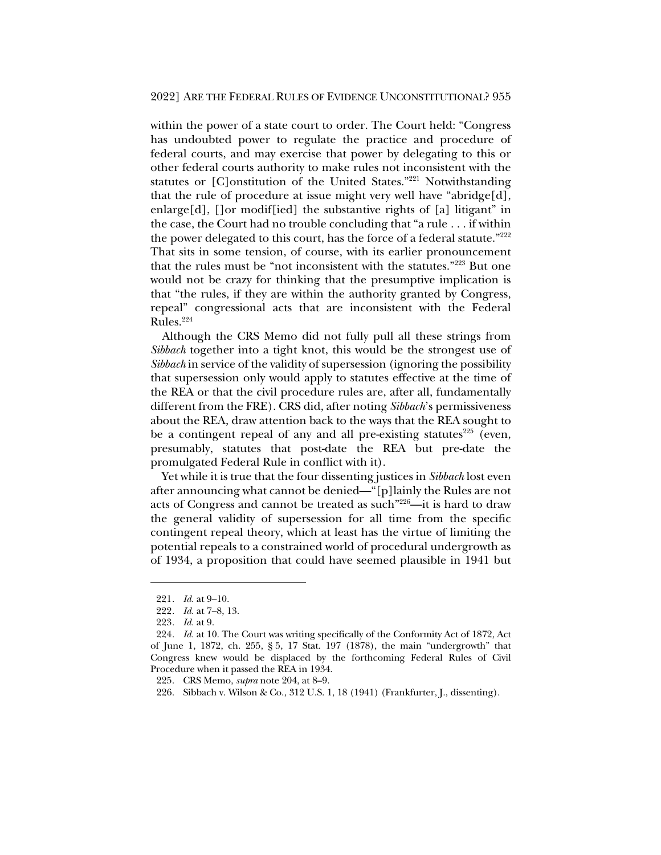within the power of a state court to order. The Court held: "Congress has undoubted power to regulate the practice and procedure of federal courts, and may exercise that power by delegating to this or other federal courts authority to make rules not inconsistent with the statutes or [C]onstitution of the United States."221 Notwithstanding that the rule of procedure at issue might very well have "abridge[d], enlarge[d], []or modif[ied] the substantive rights of [a] litigant" in the case, the Court had no trouble concluding that "a rule . . . if within the power delegated to this court, has the force of a federal statute."<sup>222</sup> That sits in some tension, of course, with its earlier pronouncement that the rules must be "not inconsistent with the statutes."223 But one would not be crazy for thinking that the presumptive implication is that "the rules, if they are within the authority granted by Congress, repeal" congressional acts that are inconsistent with the Federal Rules.224

Although the CRS Memo did not fully pull all these strings from *Sibbach* together into a tight knot, this would be the strongest use of *Sibbach* in service of the validity of supersession (ignoring the possibility that supersession only would apply to statutes effective at the time of the REA or that the civil procedure rules are, after all, fundamentally different from the FRE). CRS did, after noting *Sibbach*'s permissiveness about the REA, draw attention back to the ways that the REA sought to be a contingent repeal of any and all pre-existing statutes $^{225}$  (even, presumably, statutes that post-date the REA but pre-date the promulgated Federal Rule in conflict with it).

Yet while it is true that the four dissenting justices in *Sibbach* lost even after announcing what cannot be denied—"[p]lainly the Rules are not acts of Congress and cannot be treated as such"226—it is hard to draw the general validity of supersession for all time from the specific contingent repeal theory, which at least has the virtue of limiting the potential repeals to a constrained world of procedural undergrowth as of 1934, a proposition that could have seemed plausible in 1941 but

<sup>221</sup>*. Id.* at 9–10.

<sup>222</sup>*. Id.* at 7–8, 13.

<sup>223</sup>*. Id.* at 9.

<sup>224</sup>*. Id.* at 10. The Court was writing specifically of the Conformity Act of 1872, Act of June 1, 1872, ch. 255, § 5, 17 Stat. 197 (1878), the main "undergrowth" that Congress knew would be displaced by the forthcoming Federal Rules of Civil Procedure when it passed the REA in 1934.

<sup>225.</sup> CRS Memo, *supra* note 204, at 8–9.

<sup>226.</sup> Sibbach v. Wilson & Co., 312 U.S. 1, 18 (1941) (Frankfurter, J., dissenting).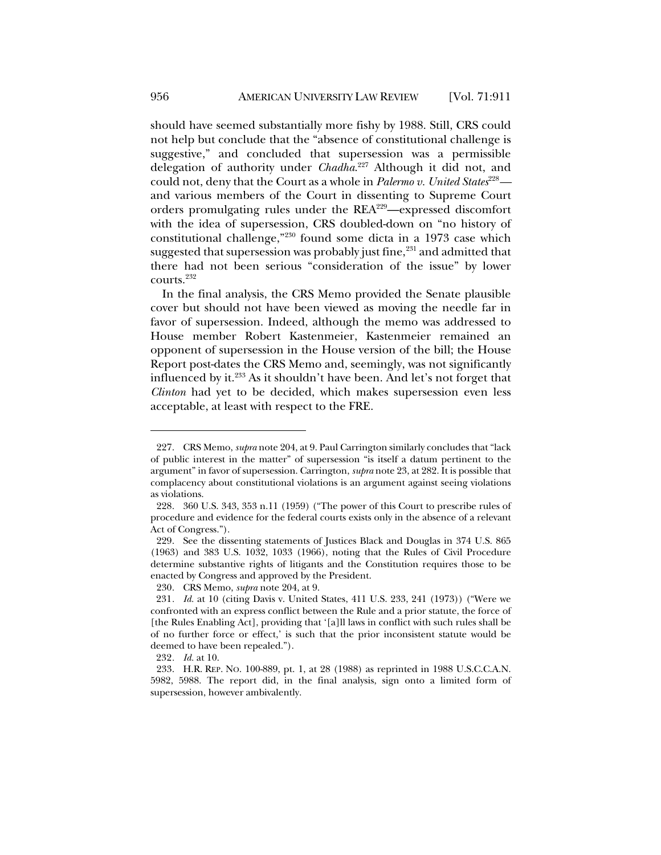should have seemed substantially more fishy by 1988. Still, CRS could not help but conclude that the "absence of constitutional challenge is suggestive," and concluded that supersession was a permissible delegation of authority under *Chadha*. <sup>227</sup> Although it did not, and could not, deny that the Court as a whole in *Palermo v. United States*<sup>228</sup> and various members of the Court in dissenting to Supreme Court orders promulgating rules under the REA229—expressed discomfort with the idea of supersession, CRS doubled-down on "no history of constitutional challenge,"230 found some dicta in a 1973 case which suggested that supersession was probably just fine, $231$  and admitted that there had not been serious "consideration of the issue" by lower courts.232

In the final analysis, the CRS Memo provided the Senate plausible cover but should not have been viewed as moving the needle far in favor of supersession. Indeed, although the memo was addressed to House member Robert Kastenmeier, Kastenmeier remained an opponent of supersession in the House version of the bill; the House Report post-dates the CRS Memo and, seemingly, was not significantly influenced by it.233 As it shouldn't have been. And let's not forget that *Clinton* had yet to be decided, which makes supersession even less acceptable, at least with respect to the FRE.

<sup>227.</sup> CRS Memo, *supra* note 204, at 9. Paul Carrington similarly concludes that "lack of public interest in the matter" of supersession "is itself a datum pertinent to the argument" in favor of supersession. Carrington, *supra* note 23, at 282. It is possible that complacency about constitutional violations is an argument against seeing violations as violations.

<sup>228.</sup> 360 U.S. 343, 353 n.11 (1959) ("The power of this Court to prescribe rules of procedure and evidence for the federal courts exists only in the absence of a relevant Act of Congress.").

<sup>229.</sup> See the dissenting statements of Justices Black and Douglas in 374 U.S. 865 (1963) and 383 U.S. 1032, 1033 (1966), noting that the Rules of Civil Procedure determine substantive rights of litigants and the Constitution requires those to be enacted by Congress and approved by the President.

<sup>230.</sup> CRS Memo, *supra* note 204, at 9.

<sup>231</sup>*. Id.* at 10 (citing Davis v. United States, 411 U.S. 233, 241 (1973)) ("Were we confronted with an express conflict between the Rule and a prior statute, the force of [the Rules Enabling Act], providing that '[a]ll laws in conflict with such rules shall be of no further force or effect,' is such that the prior inconsistent statute would be deemed to have been repealed.").

<sup>232</sup>*. Id.* at 10.

<sup>233.</sup> H.R. REP. NO. 100-889, pt. 1, at 28 (1988) as reprinted in 1988 U.S.C.C.A.N. 5982, 5988. The report did, in the final analysis, sign onto a limited form of supersession, however ambivalently.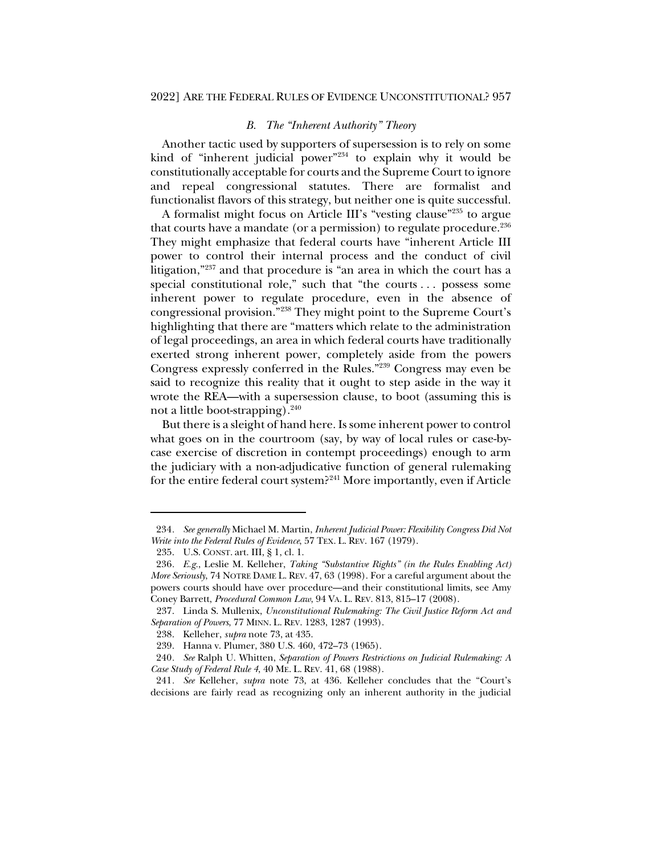### *B. The "Inherent Authority" Theory*

Another tactic used by supporters of supersession is to rely on some kind of "inherent judicial power"<sup>234</sup> to explain why it would be constitutionally acceptable for courts and the Supreme Court to ignore and repeal congressional statutes. There are formalist and functionalist flavors of this strategy, but neither one is quite successful.

A formalist might focus on Article III's "vesting clause"235 to argue that courts have a mandate (or a permission) to regulate procedure.<sup>236</sup> They might emphasize that federal courts have "inherent Article III power to control their internal process and the conduct of civil litigation,"237 and that procedure is "an area in which the court has a special constitutional role," such that "the courts . . . possess some inherent power to regulate procedure, even in the absence of congressional provision."238 They might point to the Supreme Court's highlighting that there are "matters which relate to the administration of legal proceedings, an area in which federal courts have traditionally exerted strong inherent power, completely aside from the powers Congress expressly conferred in the Rules."239 Congress may even be said to recognize this reality that it ought to step aside in the way it wrote the REA—with a supersession clause, to boot (assuming this is not a little boot-strapping).<sup>240</sup>

But there is a sleight of hand here. Is some inherent power to control what goes on in the courtroom (say, by way of local rules or case-bycase exercise of discretion in contempt proceedings) enough to arm the judiciary with a non-adjudicative function of general rulemaking for the entire federal court system?241 More importantly, even if Article

<sup>234</sup>*. See generally* Michael M. Martin, *Inherent Judicial Power: Flexibility Congress Did Not Write into the Federal Rules of Evidence*, 57 TEX. L. REV. 167 (1979).

<sup>235.</sup> U.S. CONST. art. III, § 1, cl. 1.

<sup>236</sup>*. E.g.*, Leslie M. Kelleher, *Taking "Substantive Rights" (in the Rules Enabling Act) More Seriously*, 74 NOTRE DAME L. REV. 47, 63 (1998). For a careful argument about the powers courts should have over procedure—and their constitutional limits, see Amy Coney Barrett, *Procedural Common Law*, 94 VA. L. REV. 813, 815–17 (2008).

<sup>237.</sup> Linda S. Mullenix, *Unconstitutional Rulemaking: The Civil Justice Reform Act and Separation of Powers*, 77 MINN. L. REV. 1283, 1287 (1993).

<sup>238.</sup> Kelleher, *supra* note 73, at 435.

<sup>239.</sup> Hanna v. Plumer, 380 U.S. 460, 472–73 (1965).

<sup>240</sup>*. See* Ralph U. Whitten, *Separation of Powers Restrictions on Judicial Rulemaking: A Case Study of Federal Rule 4*, 40 ME. L. REV. 41, 68 (1988).

<sup>241</sup>*. See* Kelleher, *supra* note 73, at 436. Kelleher concludes that the "Court's decisions are fairly read as recognizing only an inherent authority in the judicial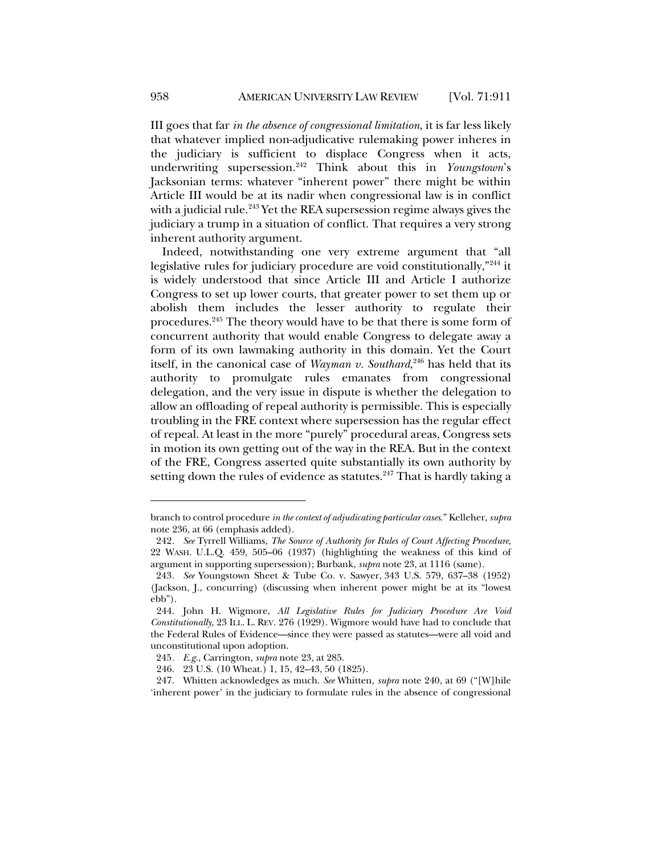III goes that far *in the absence of congressional limitation*, it is far less likely that whatever implied non-adjudicative rulemaking power inheres in the judiciary is sufficient to displace Congress when it acts, underwriting supersession.242 Think about this in *Youngstown*'s Jacksonian terms: whatever "inherent power" there might be within Article III would be at its nadir when congressional law is in conflict with a judicial rule.<sup>243</sup> Yet the REA supersession regime always gives the judiciary a trump in a situation of conflict. That requires a very strong inherent authority argument.

Indeed, notwithstanding one very extreme argument that "all legislative rules for judiciary procedure are void constitutionally,"244 it is widely understood that since Article III and Article I authorize Congress to set up lower courts, that greater power to set them up or abolish them includes the lesser authority to regulate their procedures.245 The theory would have to be that there is some form of concurrent authority that would enable Congress to delegate away a form of its own lawmaking authority in this domain. Yet the Court itself, in the canonical case of *Wayman v. Southard*, <sup>246</sup> has held that its authority to promulgate rules emanates from congressional delegation, and the very issue in dispute is whether the delegation to allow an offloading of repeal authority is permissible. This is especially troubling in the FRE context where supersession has the regular effect of repeal. At least in the more "purely" procedural areas, Congress sets in motion its own getting out of the way in the REA. But in the context of the FRE, Congress asserted quite substantially its own authority by setting down the rules of evidence as statutes.<sup>247</sup> That is hardly taking a

branch to control procedure *in the context of adjudicating particular cases*." Kelleher, *supra* note 236, at 66 (emphasis added).

<sup>242</sup>*. See* Tyrrell Williams, *The Source of Authority for Rules of Court Affecting Procedure*, 22 WASH. U.L.Q. 459, 505–06 (1937) (highlighting the weakness of this kind of argument in supporting supersession); Burbank, *supra* note 23, at 1116 (same).

<sup>243</sup>*. See* Youngstown Sheet & Tube Co. v. Sawyer, 343 U.S. 579, 637–38 (1952) (Jackson, J., concurring) (discussing when inherent power might be at its "lowest ebb").

<sup>244.</sup> John H. Wigmore, *All Legislative Rules for Judiciary Procedure Are Void Constitutionally*, 23 ILL. L. REV. 276 (1929). Wigmore would have had to conclude that the Federal Rules of Evidence—since they were passed as statutes—were all void and unconstitutional upon adoption.

<sup>245</sup>*. E.g.*, Carrington, *supra* note 23, at 285.

<sup>246.</sup> 23 U.S. (10 Wheat.) 1, 15, 42–43, 50 (1825).

<sup>247.</sup> Whitten acknowledges as much. *See* Whitten, *supra* note 240, at 69 ("[W]hile 'inherent power' in the judiciary to formulate rules in the absence of congressional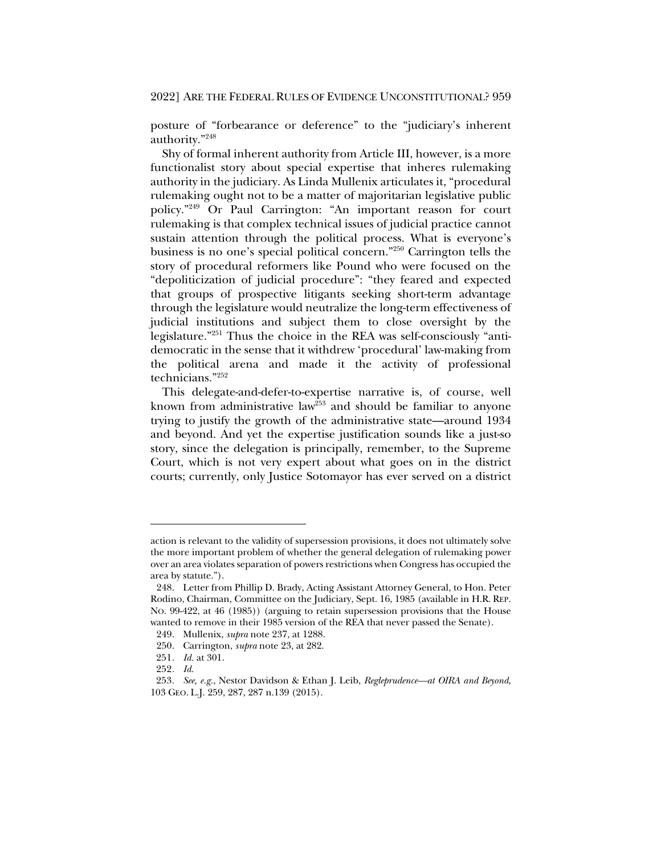posture of "forbearance or deference" to the "judiciary's inherent authority."248

Shy of formal inherent authority from Article III, however, is a more functionalist story about special expertise that inheres rulemaking authority in the judiciary. As Linda Mullenix articulates it, "procedural rulemaking ought not to be a matter of majoritarian legislative public policy."249 Or Paul Carrington: "An important reason for court rulemaking is that complex technical issues of judicial practice cannot sustain attention through the political process. What is everyone's business is no one's special political concern."250 Carrington tells the story of procedural reformers like Pound who were focused on the "depoliticization of judicial procedure": "they feared and expected that groups of prospective litigants seeking short-term advantage through the legislature would neutralize the long-term effectiveness of judicial institutions and subject them to close oversight by the legislature."251 Thus the choice in the REA was self-consciously "antidemocratic in the sense that it withdrew 'procedural' law-making from the political arena and made it the activity of professional technicians."252

This delegate-and-defer-to-expertise narrative is, of course, well known from administrative law<sup>253</sup> and should be familiar to anyone trying to justify the growth of the administrative state—around 1934 and beyond. And yet the expertise justification sounds like a just-so story, since the delegation is principally, remember, to the Supreme Court, which is not very expert about what goes on in the district courts; currently, only Justice Sotomayor has ever served on a district

action is relevant to the validity of supersession provisions, it does not ultimately solve the more important problem of whether the general delegation of rulemaking power over an area violates separation of powers restrictions when Congress has occupied the area by statute.").

<sup>248.</sup> Letter from Phillip D. Brady, Acting Assistant Attorney General, to Hon. Peter Rodino, Chairman, Committee on the Judiciary, Sept. 16, 1985 (available in H.R. REP. NO. 99-422, at 46 (1985)) (arguing to retain supersession provisions that the House wanted to remove in their 1985 version of the REA that never passed the Senate).

<sup>249.</sup> Mullenix, *supra* note 237, at 1288.

<sup>250.</sup> Carrington, *supra* note 23, at 282.

<sup>251</sup>*. Id.* at 301.

<sup>252</sup>*. Id.*

<sup>253</sup>*. See, e.g.*, Nestor Davidson & Ethan J. Leib, *Regleprudence—at OIRA and Beyond*, 103 GEO. L.J. 259, 287, 287 n.139 (2015).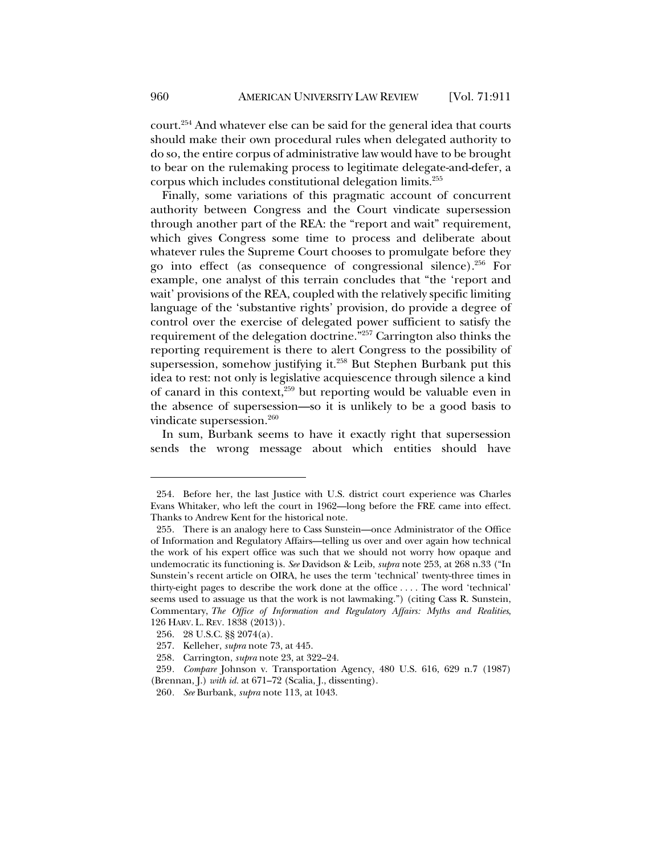court.254 And whatever else can be said for the general idea that courts should make their own procedural rules when delegated authority to do so, the entire corpus of administrative law would have to be brought to bear on the rulemaking process to legitimate delegate-and-defer, a corpus which includes constitutional delegation limits.255

Finally, some variations of this pragmatic account of concurrent authority between Congress and the Court vindicate supersession through another part of the REA: the "report and wait" requirement, which gives Congress some time to process and deliberate about whatever rules the Supreme Court chooses to promulgate before they go into effect (as consequence of congressional silence).256 For example, one analyst of this terrain concludes that "the 'report and wait' provisions of the REA, coupled with the relatively specific limiting language of the 'substantive rights' provision, do provide a degree of control over the exercise of delegated power sufficient to satisfy the requirement of the delegation doctrine."257 Carrington also thinks the reporting requirement is there to alert Congress to the possibility of supersession, somehow justifying it.<sup>258</sup> But Stephen Burbank put this idea to rest: not only is legislative acquiescence through silence a kind of canard in this context, $259$  but reporting would be valuable even in the absence of supersession—so it is unlikely to be a good basis to vindicate supersession.<sup>260</sup>

In sum, Burbank seems to have it exactly right that supersession sends the wrong message about which entities should have

<sup>254.</sup> Before her, the last Justice with U.S. district court experience was Charles Evans Whitaker, who left the court in 1962—long before the FRE came into effect. Thanks to Andrew Kent for the historical note.

<sup>255.</sup> There is an analogy here to Cass Sunstein—once Administrator of the Office of Information and Regulatory Affairs—telling us over and over again how technical the work of his expert office was such that we should not worry how opaque and undemocratic its functioning is. *See* Davidson & Leib, *supra* note 253, at 268 n.33 ("In Sunstein's recent article on OIRA, he uses the term 'technical' twenty-three times in thirty-eight pages to describe the work done at the office . . . . The word 'technical' seems used to assuage us that the work is not lawmaking.") (citing Cass R. Sunstein, Commentary, *The Office of Information and Regulatory Affairs: Myths and Realities*, 126 HARV. L. REV. 1838 (2013)).

<sup>256.</sup> 28 U.S.C. §§ 2074(a).

<sup>257.</sup> Kelleher, *supra* note 73, at 445.

<sup>258.</sup> Carrington, *supra* note 23, at 322–24.

<sup>259</sup>*. Compare* Johnson v. Transportation Agency, 480 U.S. 616, 629 n.7 (1987) (Brennan, J.) *with id.* at 671–72 (Scalia, J., dissenting).

<sup>260</sup>*. See* Burbank, *supra* note 113, at 1043.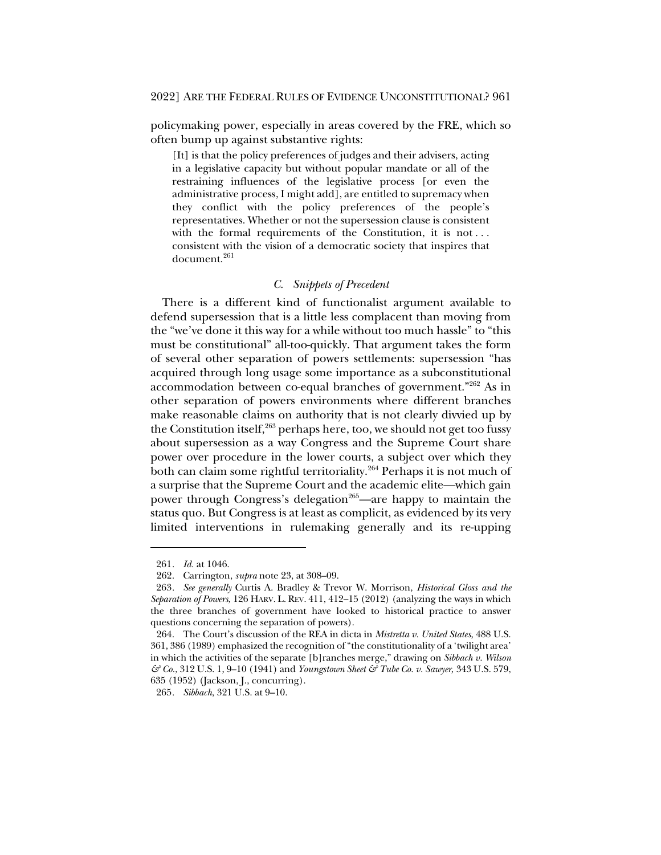policymaking power, especially in areas covered by the FRE, which so often bump up against substantive rights:

[It] is that the policy preferences of judges and their advisers, acting in a legislative capacity but without popular mandate or all of the restraining influences of the legislative process [or even the administrative process, I might add], are entitled to supremacy when they conflict with the policy preferences of the people's representatives. Whether or not the supersession clause is consistent with the formal requirements of the Constitution, it is not... consistent with the vision of a democratic society that inspires that document.<sup>261</sup>

# *C. Snippets of Precedent*

There is a different kind of functionalist argument available to defend supersession that is a little less complacent than moving from the "we've done it this way for a while without too much hassle" to "this must be constitutional" all-too-quickly. That argument takes the form of several other separation of powers settlements: supersession "has acquired through long usage some importance as a subconstitutional accommodation between co-equal branches of government."262 As in other separation of powers environments where different branches make reasonable claims on authority that is not clearly divvied up by the Constitution itself, $263$  perhaps here, too, we should not get too fussy about supersession as a way Congress and the Supreme Court share power over procedure in the lower courts, a subject over which they both can claim some rightful territoriality.<sup>264</sup> Perhaps it is not much of a surprise that the Supreme Court and the academic elite—which gain power through Congress's delegation<sup>265</sup>—are happy to maintain the status quo. But Congress is at least as complicit, as evidenced by its very limited interventions in rulemaking generally and its re-upping

<sup>261</sup>*. Id.* at 1046.

<sup>262.</sup> Carrington, *supra* note 23, at 308–09.

<sup>263</sup>*. See generally* Curtis A. Bradley & Trevor W. Morrison, *Historical Gloss and the Separation of Powers*, 126 HARV. L. REV. 411, 412–15 (2012) (analyzing the ways in which the three branches of government have looked to historical practice to answer questions concerning the separation of powers).

<sup>264.</sup> The Court's discussion of the REA in dicta in *Mistretta v. United States*, 488 U.S. 361, 386 (1989) emphasized the recognition of "the constitutionality of a 'twilight area' in which the activities of the separate [b]ranches merge," drawing on *Sibbach v. Wilson & Co.*, 312 U.S. 1, 9–10 (1941) and *Youngstown Sheet & Tube Co. v. Sawyer*, 343 U.S. 579, 635 (1952) (Jackson, J., concurring).

<sup>265</sup>*. Sibbach*, 321 U.S. at 9–10.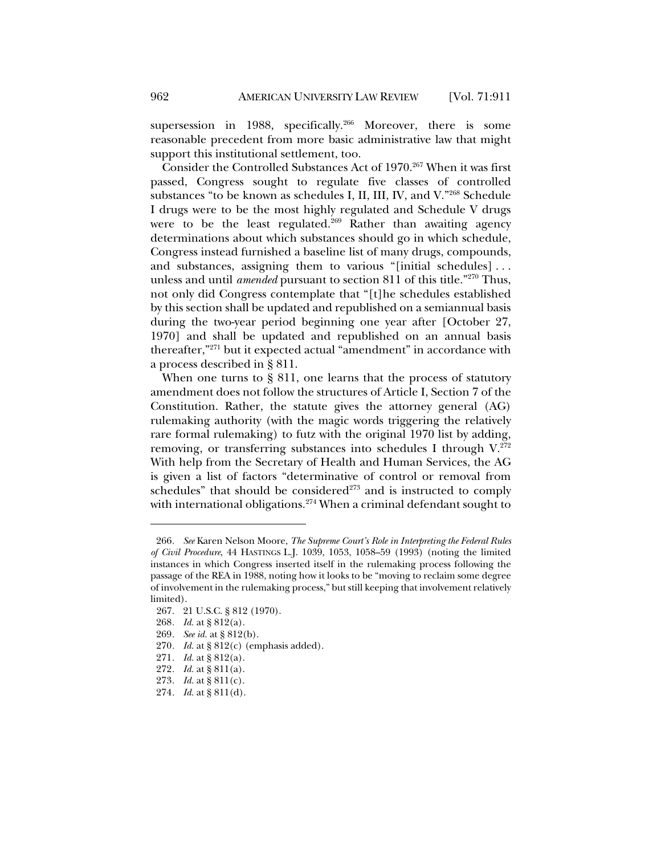supersession in 1988, specifically.<sup>266</sup> Moreover, there is some reasonable precedent from more basic administrative law that might support this institutional settlement, too.

Consider the Controlled Substances Act of 1970.<sup>267</sup> When it was first passed, Congress sought to regulate five classes of controlled substances "to be known as schedules I, II, III, IV, and V."268 Schedule I drugs were to be the most highly regulated and Schedule V drugs were to be the least regulated.<sup>269</sup> Rather than awaiting agency determinations about which substances should go in which schedule, Congress instead furnished a baseline list of many drugs, compounds, and substances, assigning them to various "[initial schedules] . . . unless and until *amended* pursuant to section 811 of this title."270 Thus, not only did Congress contemplate that "[t]he schedules established by this section shall be updated and republished on a semiannual basis during the two-year period beginning one year after [October 27, 1970] and shall be updated and republished on an annual basis thereafter,"271 but it expected actual "amendment" in accordance with a process described in § 811.

When one turns to § 811, one learns that the process of statutory amendment does not follow the structures of Article I, Section 7 of the Constitution. Rather, the statute gives the attorney general (AG) rulemaking authority (with the magic words triggering the relatively rare formal rulemaking) to futz with the original 1970 list by adding, removing, or transferring substances into schedules I through  $V^{272}$ . With help from the Secretary of Health and Human Services, the AG is given a list of factors "determinative of control or removal from schedules" that should be considered<sup>273</sup> and is instructed to comply with international obligations.<sup>274</sup> When a criminal defendant sought to

<sup>266</sup>*. See* Karen Nelson Moore, *The Supreme Court's Role in Interpreting the Federal Rules of Civil Procedure*, 44 HASTINGS L.J. 1039, 1053, 1058–59 (1993) (noting the limited instances in which Congress inserted itself in the rulemaking process following the passage of the REA in 1988, noting how it looks to be "moving to reclaim some degree of involvement in the rulemaking process," but still keeping that involvement relatively limited).

<sup>267.</sup> 21 U.S.C. § 812 (1970).

<sup>268</sup>*. Id.* at § 812(a).

<sup>269</sup>*. See id.* at § 812(b).

<sup>270</sup>*. Id.* at § 812(c) (emphasis added).

<sup>271</sup>*. Id.* at § 812(a).

<sup>272</sup>*. Id.* at § 811(a).

<sup>273</sup>*. Id.* at § 811(c).

<sup>274</sup>*. Id.* at § 811(d).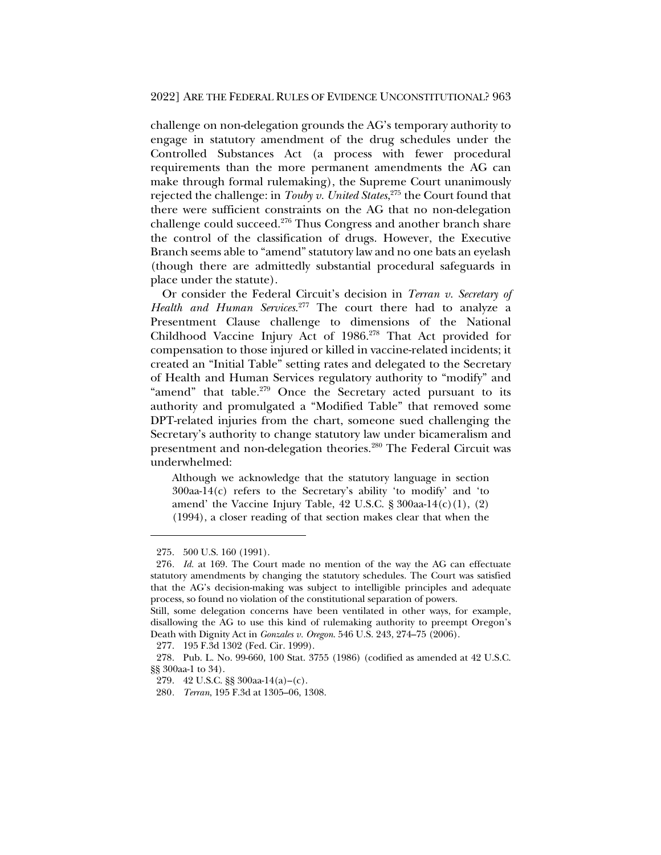challenge on non-delegation grounds the AG's temporary authority to engage in statutory amendment of the drug schedules under the Controlled Substances Act (a process with fewer procedural requirements than the more permanent amendments the AG can make through formal rulemaking), the Supreme Court unanimously rejected the challenge: in *Touby v. United States*, <sup>275</sup> the Court found that there were sufficient constraints on the AG that no non-delegation challenge could succeed.<sup>276</sup> Thus Congress and another branch share the control of the classification of drugs. However, the Executive Branch seems able to "amend" statutory law and no one bats an eyelash (though there are admittedly substantial procedural safeguards in place under the statute).

Or consider the Federal Circuit's decision in *Terran v. Secretary of Health and Human Services*. <sup>277</sup> The court there had to analyze a Presentment Clause challenge to dimensions of the National Childhood Vaccine Injury Act of 1986.278 That Act provided for compensation to those injured or killed in vaccine-related incidents; it created an "Initial Table" setting rates and delegated to the Secretary of Health and Human Services regulatory authority to "modify" and "amend" that table.<sup>279</sup> Once the Secretary acted pursuant to its authority and promulgated a "Modified Table" that removed some DPT-related injuries from the chart, someone sued challenging the Secretary's authority to change statutory law under bicameralism and presentment and non-delegation theories.280 The Federal Circuit was underwhelmed:

Although we acknowledge that the statutory language in section  $300$ aa-14(c) refers to the Secretary's ability 'to modify' and 'to amend' the Vaccine Injury Table,  $42 \text{ U.S.C. }$ §  $300$ aa- $14(c)(1)$ ,  $(2)$ (1994), a closer reading of that section makes clear that when the

<sup>275.</sup> 500 U.S. 160 (1991).

<sup>276</sup>*. Id.* at 169. The Court made no mention of the way the AG can effectuate statutory amendments by changing the statutory schedules. The Court was satisfied that the AG's decision-making was subject to intelligible principles and adequate process, so found no violation of the constitutional separation of powers.

Still, some delegation concerns have been ventilated in other ways, for example, disallowing the AG to use this kind of rulemaking authority to preempt Oregon's Death with Dignity Act in *Gonzales v. Oregon*. 546 U.S. 243, 274–75 (2006).

<sup>277.</sup> 195 F.3d 1302 (Fed. Cir. 1999).

<sup>278.</sup> Pub. L. No. 99-660, 100 Stat. 3755 (1986) (codified as amended at 42 U.S.C. §§ 300aa-1 to 34).

<sup>279.</sup> 42 U.S.C. §§ 300aa-14(a)–(c).

<sup>280</sup>*. Terran*, 195 F.3d at 1305–06, 1308.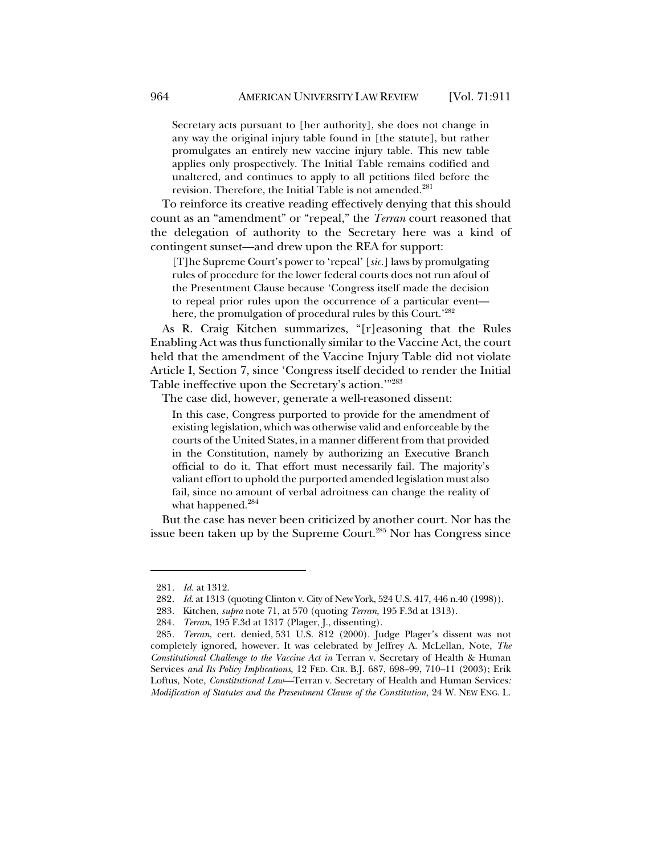Secretary acts pursuant to [her authority], she does not change in any way the original injury table found in [the statute], but rather promulgates an entirely new vaccine injury table. This new table applies only prospectively. The Initial Table remains codified and unaltered, and continues to apply to all petitions filed before the revision. Therefore, the Initial Table is not amended.<sup>281</sup>

To reinforce its creative reading effectively denying that this should count as an "amendment" or "repeal," the *Terran* court reasoned that the delegation of authority to the Secretary here was a kind of contingent sunset—and drew upon the REA for support:

[T]he Supreme Court's power to 'repeal' [*sic.*] laws by promulgating rules of procedure for the lower federal courts does not run afoul of the Presentment Clause because 'Congress itself made the decision to repeal prior rules upon the occurrence of a particular event here, the promulgation of procedural rules by this Court.'282

As R. Craig Kitchen summarizes, "[r]easoning that the Rules Enabling Act was thus functionally similar to the Vaccine Act, the court held that the amendment of the Vaccine Injury Table did not violate Article I, Section 7, since 'Congress itself decided to render the Initial Table ineffective upon the Secretary's action.'"283

The case did, however, generate a well-reasoned dissent:

In this case, Congress purported to provide for the amendment of existing legislation, which was otherwise valid and enforceable by the courts of the United States, in a manner different from that provided in the Constitution, namely by authorizing an Executive Branch official to do it. That effort must necessarily fail. The majority's valiant effort to uphold the purported amended legislation must also fail, since no amount of verbal adroitness can change the reality of what happened.<sup>284</sup>

But the case has never been criticized by another court. Nor has the issue been taken up by the Supreme Court.<sup>285</sup> Nor has Congress since

<sup>281</sup>*. Id.* at 1312.

<sup>282</sup>*. Id.* at 1313 (quoting Clinton v. City of New York, 524 U.S. 417, 446 n.40 (1998)).

<sup>283.</sup> Kitchen, *supra* note 71, at 570 (quoting *Terran*, 195 F.3d at 1313).

<sup>284</sup>*. Terran*, 195 F.3d at 1317 (Plager, J., dissenting).

<sup>285</sup>*. Terran*, cert. denied, 531 U.S. 812 (2000). Judge Plager's dissent was not completely ignored, however. It was celebrated by Jeffrey A. McLellan, Note, *The Constitutional Challenge to the Vaccine Act in* Terran v. Secretary of Health & Human Services *and Its Policy Implications*, 12 FED. CIR. B.J. 687, 698–99, 710–11 (2003); Erik Loftus, Note, *Constitutional Law—*Terran v. Secretary of Health and Human Services*: Modification of Statutes and the Presentment Clause of the Constitution*, 24 W. NEW ENG. L.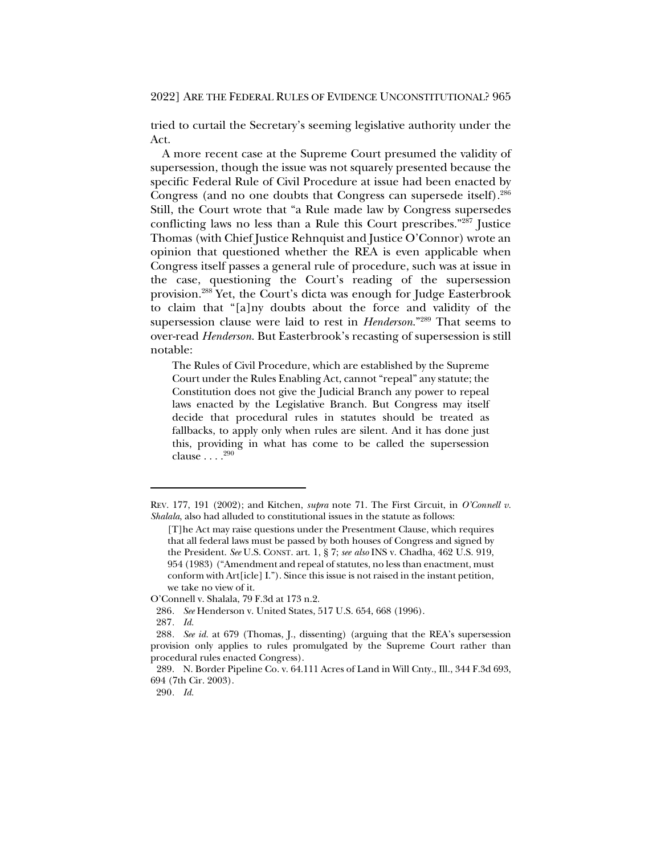#### 2022] ARE THE FEDERAL RULES OF EVIDENCE UNCONSTITUTIONAL? 965

tried to curtail the Secretary's seeming legislative authority under the Act.

A more recent case at the Supreme Court presumed the validity of supersession, though the issue was not squarely presented because the specific Federal Rule of Civil Procedure at issue had been enacted by Congress (and no one doubts that Congress can supersede itself).286 Still, the Court wrote that "a Rule made law by Congress supersedes conflicting laws no less than a Rule this Court prescribes."287 Justice Thomas (with Chief Justice Rehnquist and Justice O'Connor) wrote an opinion that questioned whether the REA is even applicable when Congress itself passes a general rule of procedure, such was at issue in the case, questioning the Court's reading of the supersession provision.288 Yet, the Court's dicta was enough for Judge Easterbrook to claim that "[a]ny doubts about the force and validity of the supersession clause were laid to rest in *Henderson*."289 That seems to over-read *Henderson*. But Easterbrook's recasting of supersession is still notable:

The Rules of Civil Procedure, which are established by the Supreme Court under the Rules Enabling Act, cannot "repeal" any statute; the Constitution does not give the Judicial Branch any power to repeal laws enacted by the Legislative Branch. But Congress may itself decide that procedural rules in statutes should be treated as fallbacks, to apply only when rules are silent. And it has done just this, providing in what has come to be called the supersession clause . . . . 290

REV. 177, 191 (2002); and Kitchen, *supra* note 71. The First Circuit, in *O'Connell v. Shalala*, also had alluded to constitutional issues in the statute as follows:

<sup>[</sup>T]he Act may raise questions under the Presentment Clause, which requires that all federal laws must be passed by both houses of Congress and signed by the President. *See* U.S. CONST. art. 1, § 7; *see also* INS v. Chadha, 462 U.S. 919, 954 (1983) ("Amendment and repeal of statutes, no less than enactment, must conform with Art[icle] I."). Since this issue is not raised in the instant petition, we take no view of it.

O'Connell v. Shalala, 79 F.3d at 173 n.2.

<sup>286</sup>*. See* Henderson v. United States, 517 U.S. 654, 668 (1996).

<sup>287</sup>*. Id.*

<sup>288</sup>*. See id.* at 679 (Thomas, J., dissenting) (arguing that the REA's supersession provision only applies to rules promulgated by the Supreme Court rather than procedural rules enacted Congress).

<sup>289.</sup> N. Border Pipeline Co. v. 64.111 Acres of Land in Will Cnty., Ill., 344 F.3d 693, 694 (7th Cir. 2003).

<sup>290</sup>*. Id.*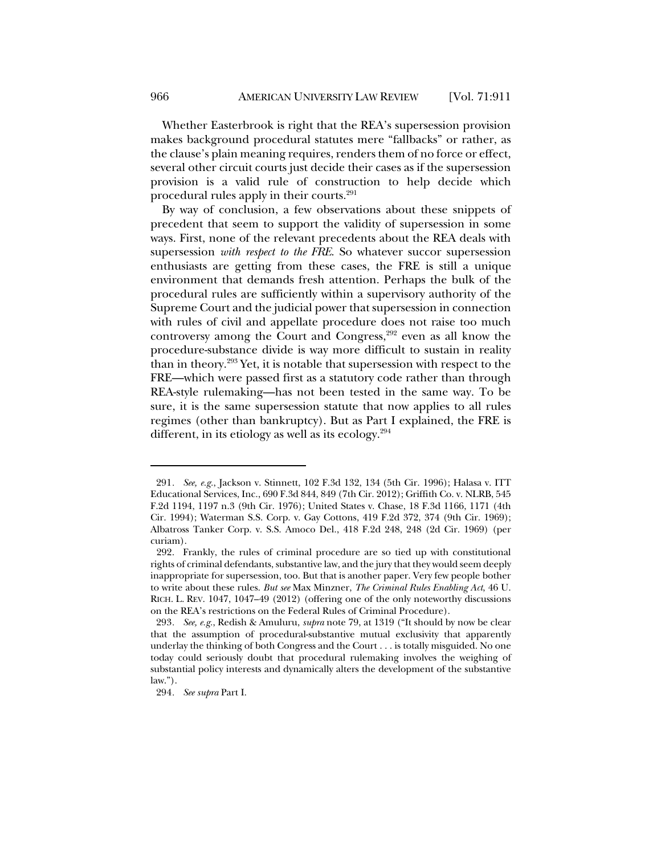Whether Easterbrook is right that the REA's supersession provision makes background procedural statutes mere "fallbacks" or rather, as the clause's plain meaning requires, renders them of no force or effect, several other circuit courts just decide their cases as if the supersession provision is a valid rule of construction to help decide which procedural rules apply in their courts. 291

By way of conclusion, a few observations about these snippets of precedent that seem to support the validity of supersession in some ways. First, none of the relevant precedents about the REA deals with supersession *with respect to the FRE*. So whatever succor supersession enthusiasts are getting from these cases, the FRE is still a unique environment that demands fresh attention. Perhaps the bulk of the procedural rules are sufficiently within a supervisory authority of the Supreme Court and the judicial power that supersession in connection with rules of civil and appellate procedure does not raise too much controversy among the Court and Congress,<sup>292</sup> even as all know the procedure-substance divide is way more difficult to sustain in reality than in theory.293 Yet, it is notable that supersession with respect to the FRE—which were passed first as a statutory code rather than through REA-style rulemaking—has not been tested in the same way. To be sure, it is the same supersession statute that now applies to all rules regimes (other than bankruptcy). But as Part I explained, the FRE is different, in its etiology as well as its ecology.294

<sup>291</sup>*. See, e.g.*, Jackson v. Stinnett, 102 F.3d 132, 134 (5th Cir. 1996); Halasa v. ITT Educational Services, Inc., 690 F.3d 844, 849 (7th Cir. 2012); Griffith Co. v. NLRB, 545 F.2d 1194, 1197 n.3 (9th Cir. 1976); United States v. Chase, 18 F.3d 1166, 1171 (4th Cir. 1994); Waterman S.S. Corp. v. Gay Cottons, 419 F.2d 372, 374 (9th Cir. 1969); Albatross Tanker Corp. v. S.S. Amoco Del., 418 F.2d 248, 248 (2d Cir. 1969) (per curiam).

<sup>292.</sup> Frankly, the rules of criminal procedure are so tied up with constitutional rights of criminal defendants, substantive law, and the jury that they would seem deeply inappropriate for supersession, too. But that is another paper. Very few people bother to write about these rules. *But see* Max Minzner, *The Criminal Rules Enabling Act*, 46 U. RICH. L. REV. 1047, 1047–49 (2012) (offering one of the only noteworthy discussions on the REA's restrictions on the Federal Rules of Criminal Procedure).

<sup>293</sup>*. See, e.g.*, Redish & Amuluru, *supra* note 79, at 1319 ("It should by now be clear that the assumption of procedural-substantive mutual exclusivity that apparently underlay the thinking of both Congress and the Court . . . is totally misguided. No one today could seriously doubt that procedural rulemaking involves the weighing of substantial policy interests and dynamically alters the development of the substantive law.").

<sup>294</sup>*. See supra* Part I.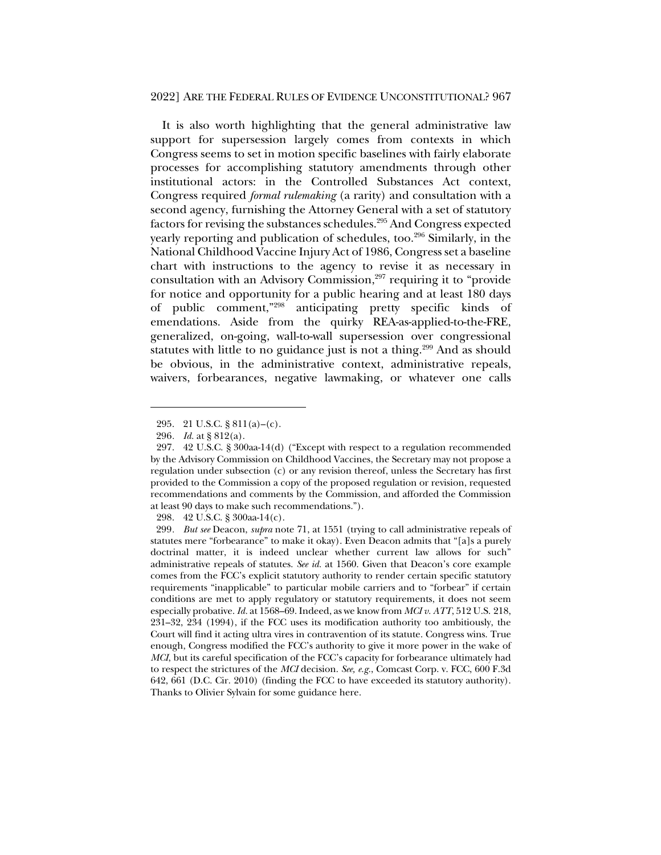It is also worth highlighting that the general administrative law support for supersession largely comes from contexts in which Congress seems to set in motion specific baselines with fairly elaborate processes for accomplishing statutory amendments through other institutional actors: in the Controlled Substances Act context, Congress required *formal rulemaking* (a rarity) and consultation with a second agency, furnishing the Attorney General with a set of statutory factors for revising the substances schedules.295 And Congress expected yearly reporting and publication of schedules, too.<sup>296</sup> Similarly, in the National Childhood Vaccine Injury Act of 1986, Congress set a baseline chart with instructions to the agency to revise it as necessary in consultation with an Advisory Commission, $297$  requiring it to "provide" for notice and opportunity for a public hearing and at least 180 days of public comment,"298 anticipating pretty specific kinds of emendations. Aside from the quirky REA-as-applied-to-the-FRE, generalized, on-going, wall-to-wall supersession over congressional statutes with little to no guidance just is not a thing.<sup>299</sup> And as should be obvious, in the administrative context, administrative repeals, waivers, forbearances, negative lawmaking, or whatever one calls

<sup>295.</sup> 21 U.S.C. § 811(a)–(c).

<sup>296</sup>*. Id.* at § 812(a).

<sup>297.</sup> 42 U.S.C. § 300aa-14(d) ("Except with respect to a regulation recommended by the Advisory Commission on Childhood Vaccines, the Secretary may not propose a regulation under subsection (c) or any revision thereof, unless the Secretary has first provided to the Commission a copy of the proposed regulation or revision, requested recommendations and comments by the Commission, and afforded the Commission at least 90 days to make such recommendations.").

<sup>298.</sup> 42 U.S.C. § 300aa-14(c).

<sup>299</sup>*. But see* Deacon, *supra* note 71, at 1551 (trying to call administrative repeals of statutes mere "forbearance" to make it okay). Even Deacon admits that "[a]s a purely doctrinal matter, it is indeed unclear whether current law allows for such" administrative repeals of statutes. *See id.* at 1560. Given that Deacon's core example comes from the FCC's explicit statutory authority to render certain specific statutory requirements "inapplicable" to particular mobile carriers and to "forbear" if certain conditions are met to apply regulatory or statutory requirements, it does not seem especially probative. *Id.* at 1568–69. Indeed, as we know from *MCI v. ATT*, 512 U.S. 218, 231–32, 234 (1994), if the FCC uses its modification authority too ambitiously, the Court will find it acting ultra vires in contravention of its statute. Congress wins. True enough, Congress modified the FCC's authority to give it more power in the wake of *MCI*, but its careful specification of the FCC's capacity for forbearance ultimately had to respect the strictures of the *MCI* decision. *See, e.g.*, Comcast Corp. v. FCC, 600 F.3d 642, 661 (D.C. Cir. 2010) (finding the FCC to have exceeded its statutory authority). Thanks to Olivier Sylvain for some guidance here.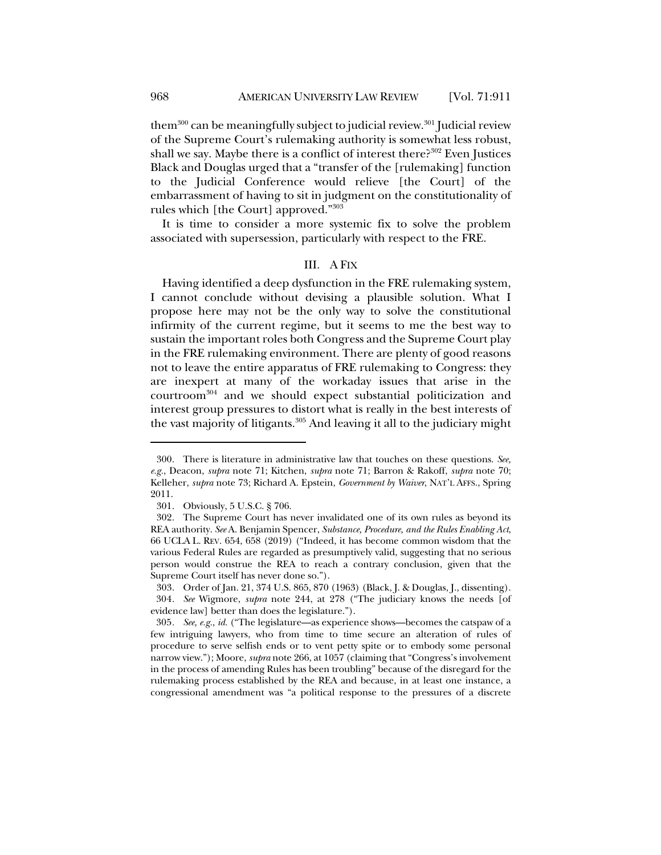them<sup>300</sup> can be meaningfully subject to judicial review.<sup>301</sup> Judicial review of the Supreme Court's rulemaking authority is somewhat less robust, shall we say. Maybe there is a conflict of interest there? $302$  Even Justices Black and Douglas urged that a "transfer of the [rulemaking] function to the Judicial Conference would relieve [the Court] of the embarrassment of having to sit in judgment on the constitutionality of rules which [the Court] approved."303

It is time to consider a more systemic fix to solve the problem associated with supersession, particularly with respect to the FRE.

### III. A FIX

Having identified a deep dysfunction in the FRE rulemaking system, I cannot conclude without devising a plausible solution. What I propose here may not be the only way to solve the constitutional infirmity of the current regime, but it seems to me the best way to sustain the important roles both Congress and the Supreme Court play in the FRE rulemaking environment. There are plenty of good reasons not to leave the entire apparatus of FRE rulemaking to Congress: they are inexpert at many of the workaday issues that arise in the courtroom304 and we should expect substantial politicization and interest group pressures to distort what is really in the best interests of the vast majority of litigants.<sup>305</sup> And leaving it all to the judiciary might

<sup>300.</sup> There is literature in administrative law that touches on these questions. *See, e.g.*, Deacon, *supra* note 71; Kitchen, *supra* note 71; Barron & Rakoff, *supra* note 70; Kelleher, *supra* note 73; Richard A. Epstein, *Government by Waiver*, NAT'L AFFS., Spring 2011.

<sup>301.</sup> Obviously, 5 U.S.C. § 706.

<sup>302.</sup> The Supreme Court has never invalidated one of its own rules as beyond its REA authority. *See* A. Benjamin Spencer, *Substance, Procedure, and the Rules Enabling Act*, 66 UCLA L. REV. 654, 658 (2019) ("Indeed, it has become common wisdom that the various Federal Rules are regarded as presumptively valid, suggesting that no serious person would construe the REA to reach a contrary conclusion, given that the Supreme Court itself has never done so.").

<sup>303.</sup> Order of Jan. 21, 374 U.S. 865, 870 (1963) (Black, J. & Douglas, J., dissenting). 304*. See* Wigmore, *supra* note 244, at 278 ("The judiciary knows the needs [of evidence law] better than does the legislature.").

<sup>305</sup>*. See, e.g.*, *id.* ("The legislature—as experience shows—becomes the catspaw of a few intriguing lawyers, who from time to time secure an alteration of rules of procedure to serve selfish ends or to vent petty spite or to embody some personal narrow view."); Moore, *supra* note 266, at 1057 (claiming that "Congress's involvement in the process of amending Rules has been troubling" because of the disregard for the rulemaking process established by the REA and because, in at least one instance, a congressional amendment was "a political response to the pressures of a discrete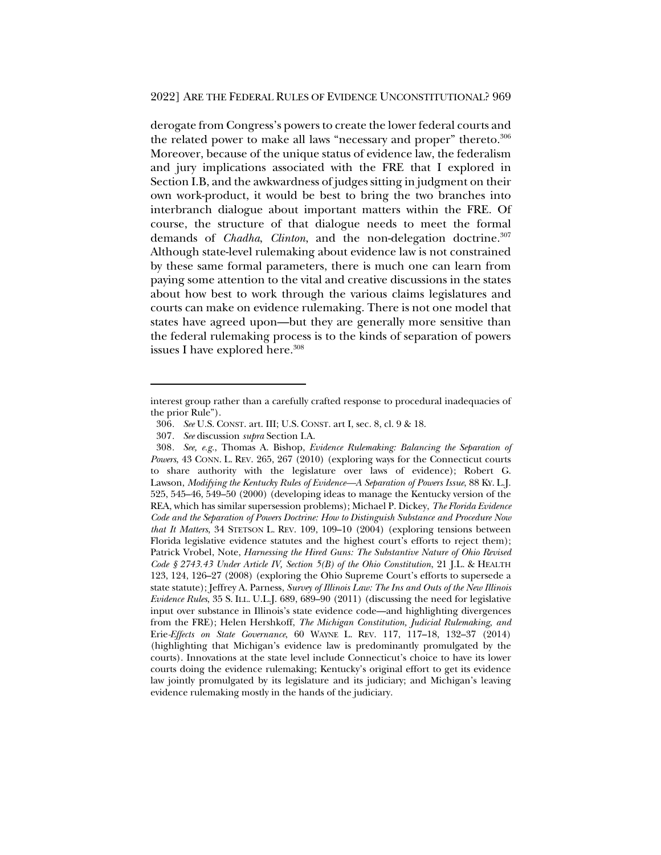derogate from Congress's powers to create the lower federal courts and the related power to make all laws "necessary and proper" thereto.<sup>306</sup> Moreover, because of the unique status of evidence law, the federalism and jury implications associated with the FRE that I explored in Section I.B, and the awkwardness of judges sitting in judgment on their own work-product, it would be best to bring the two branches into interbranch dialogue about important matters within the FRE. Of course, the structure of that dialogue needs to meet the formal demands of *Chadha*, *Clinton*, and the non-delegation doctrine.<sup>307</sup> Although state-level rulemaking about evidence law is not constrained by these same formal parameters, there is much one can learn from paying some attention to the vital and creative discussions in the states about how best to work through the various claims legislatures and courts can make on evidence rulemaking. There is not one model that states have agreed upon—but they are generally more sensitive than the federal rulemaking process is to the kinds of separation of powers issues I have explored here.<sup>308</sup>

interest group rather than a carefully crafted response to procedural inadequacies of the prior Rule").

<sup>306</sup>*. See* U.S. CONST. art. III; U.S. CONST. art I, sec. 8, cl. 9 & 18.

<sup>307</sup>*. See* discussion *supra* Section I.A.

<sup>308</sup>*. See, e.g.*, Thomas A. Bishop, *Evidence Rulemaking: Balancing the Separation of Powers*, 43 CONN. L. REV. 265, 267 (2010) (exploring ways for the Connecticut courts to share authority with the legislature over laws of evidence); Robert G. Lawson, *Modifying the Kentucky Rules of Evidence—A Separation of Powers Issue*, 88 KY. L.J. 525, 545–46, 549–50 (2000) (developing ideas to manage the Kentucky version of the REA, which has similar supersession problems); Michael P. Dickey, *The Florida Evidence Code and the Separation of Powers Doctrine: How to Distinguish Substance and Procedure Now that It Matters*, 34 STETSON L. REV. 109, 109–10 (2004) (exploring tensions between Florida legislative evidence statutes and the highest court's efforts to reject them); Patrick Vrobel, Note, *Harnessing the Hired Guns: The Substantive Nature of Ohio Revised Code § 2743.43 Under Article IV, Section 5(B) of the Ohio Constitution*, 21 J.L. & HEALTH 123, 124, 126–27 (2008) (exploring the Ohio Supreme Court's efforts to supersede a state statute); Jeffrey A. Parness, *Survey of Illinois Law: The Ins and Outs of the New Illinois Evidence Rules*, 35 S. ILL. U.L.J. 689, 689–90 (2011) (discussing the need for legislative input over substance in Illinois's state evidence code—and highlighting divergences from the FRE); Helen Hershkoff, *The Michigan Constitution, Judicial Rulemaking, and*  Erie*-Effects on State Governance*, 60 WAYNE L. REV. 117, 117–18, 132–37 (2014) (highlighting that Michigan's evidence law is predominantly promulgated by the courts). Innovations at the state level include Connecticut's choice to have its lower courts doing the evidence rulemaking; Kentucky's original effort to get its evidence law jointly promulgated by its legislature and its judiciary; and Michigan's leaving evidence rulemaking mostly in the hands of the judiciary.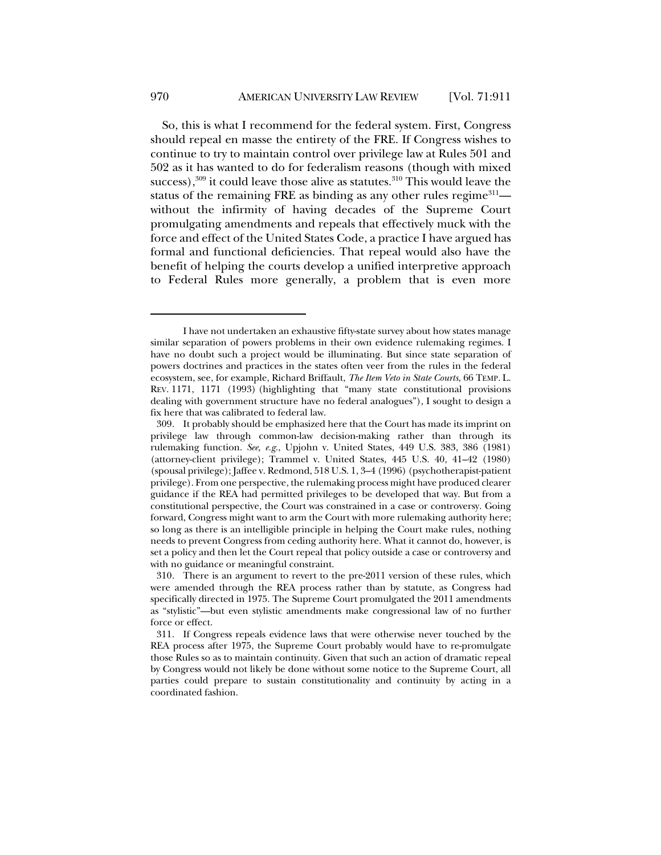So, this is what I recommend for the federal system. First, Congress should repeal en masse the entirety of the FRE. If Congress wishes to continue to try to maintain control over privilege law at Rules 501 and 502 as it has wanted to do for federalism reasons (though with mixed success), $309$  it could leave those alive as statutes. $310$  This would leave the status of the remaining FRE as binding as any other rules regime $311$  without the infirmity of having decades of the Supreme Court promulgating amendments and repeals that effectively muck with the force and effect of the United States Code, a practice I have argued has formal and functional deficiencies. That repeal would also have the benefit of helping the courts develop a unified interpretive approach to Federal Rules more generally, a problem that is even more

I have not undertaken an exhaustive fifty-state survey about how states manage similar separation of powers problems in their own evidence rulemaking regimes. I have no doubt such a project would be illuminating. But since state separation of powers doctrines and practices in the states often veer from the rules in the federal ecosystem, see, for example, Richard Briffault, *The Item Veto in State Courts*, 66 TEMP. L. REV. 1171, 1171 (1993) (highlighting that "many state constitutional provisions dealing with government structure have no federal analogues"), I sought to design a fix here that was calibrated to federal law.

<sup>309.</sup> It probably should be emphasized here that the Court has made its imprint on privilege law through common-law decision-making rather than through its rulemaking function. *See, e.g.*, Upjohn v. United States, 449 U.S. 383, 386 (1981) (attorney-client privilege); Trammel v. United States, 445 U.S. 40, 41–42 (1980) (spousal privilege); Jaffee v. Redmond, 518 U.S. 1, 3–4 (1996) (psychotherapist-patient privilege). From one perspective, the rulemaking process might have produced clearer guidance if the REA had permitted privileges to be developed that way. But from a constitutional perspective, the Court was constrained in a case or controversy. Going forward, Congress might want to arm the Court with more rulemaking authority here; so long as there is an intelligible principle in helping the Court make rules, nothing needs to prevent Congress from ceding authority here. What it cannot do, however, is set a policy and then let the Court repeal that policy outside a case or controversy and with no guidance or meaningful constraint.

<sup>310.</sup> There is an argument to revert to the pre-2011 version of these rules, which were amended through the REA process rather than by statute, as Congress had specifically directed in 1975. The Supreme Court promulgated the 2011 amendments as "stylistic"—but even stylistic amendments make congressional law of no further force or effect.

<sup>311.</sup> If Congress repeals evidence laws that were otherwise never touched by the REA process after 1975, the Supreme Court probably would have to re-promulgate those Rules so as to maintain continuity. Given that such an action of dramatic repeal by Congress would not likely be done without some notice to the Supreme Court, all parties could prepare to sustain constitutionality and continuity by acting in a coordinated fashion.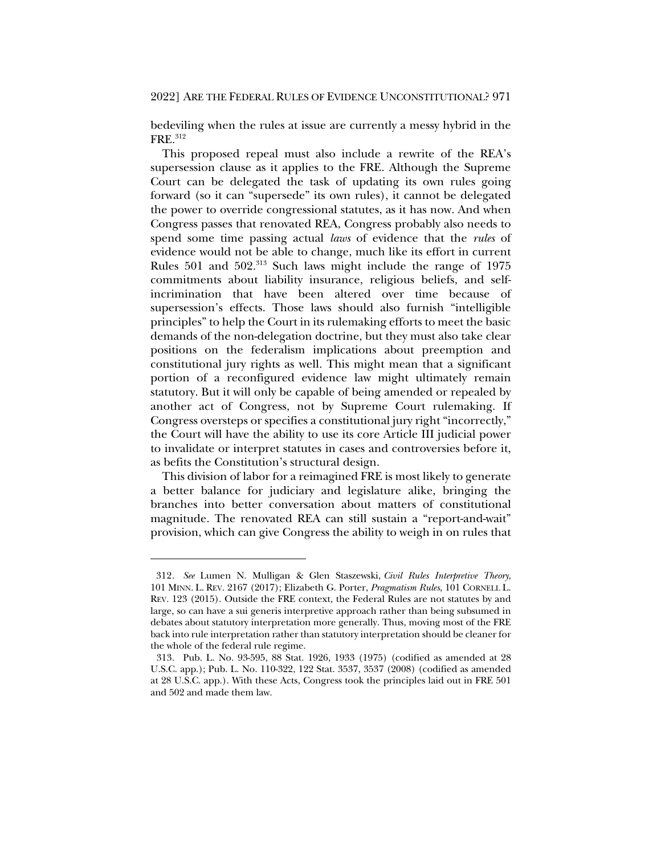bedeviling when the rules at issue are currently a messy hybrid in the FRE.312

This proposed repeal must also include a rewrite of the REA's supersession clause as it applies to the FRE. Although the Supreme Court can be delegated the task of updating its own rules going forward (so it can "supersede" its own rules), it cannot be delegated the power to override congressional statutes, as it has now. And when Congress passes that renovated REA, Congress probably also needs to spend some time passing actual *laws* of evidence that the *rules* of evidence would not be able to change, much like its effort in current Rules 501 and 502.<sup>313</sup> Such laws might include the range of 1975 commitments about liability insurance, religious beliefs, and selfincrimination that have been altered over time because of supersession's effects. Those laws should also furnish "intelligible principles" to help the Court in its rulemaking efforts to meet the basic demands of the non-delegation doctrine, but they must also take clear positions on the federalism implications about preemption and constitutional jury rights as well. This might mean that a significant portion of a reconfigured evidence law might ultimately remain statutory. But it will only be capable of being amended or repealed by another act of Congress, not by Supreme Court rulemaking. If Congress oversteps or specifies a constitutional jury right "incorrectly," the Court will have the ability to use its core Article III judicial power to invalidate or interpret statutes in cases and controversies before it, as befits the Constitution's structural design.

This division of labor for a reimagined FRE is most likely to generate a better balance for judiciary and legislature alike, bringing the branches into better conversation about matters of constitutional magnitude. The renovated REA can still sustain a "report-and-wait" provision, which can give Congress the ability to weigh in on rules that

<sup>312</sup>*. See* Lumen N. Mulligan & Glen Staszewski, *Civil Rules Interpretive Theory*, 101 MINN. L. REV. 2167 (2017); Elizabeth G. Porter, *Pragmatism Rules*, 101 CORNELL L. REV. 123 (2015). Outside the FRE context, the Federal Rules are not statutes by and large, so can have a sui generis interpretive approach rather than being subsumed in debates about statutory interpretation more generally. Thus, moving most of the FRE back into rule interpretation rather than statutory interpretation should be cleaner for the whole of the federal rule regime.

<sup>313.</sup> Pub. L. No. 93-595, 88 Stat. 1926, 1933 (1975) (codified as amended at 28 U.S.C. app.); Pub. L. No. 110-322, 122 Stat. 3537, 3537 (2008) (codified as amended at 28 U.S.C. app.). With these Acts, Congress took the principles laid out in FRE 501 and 502 and made them law.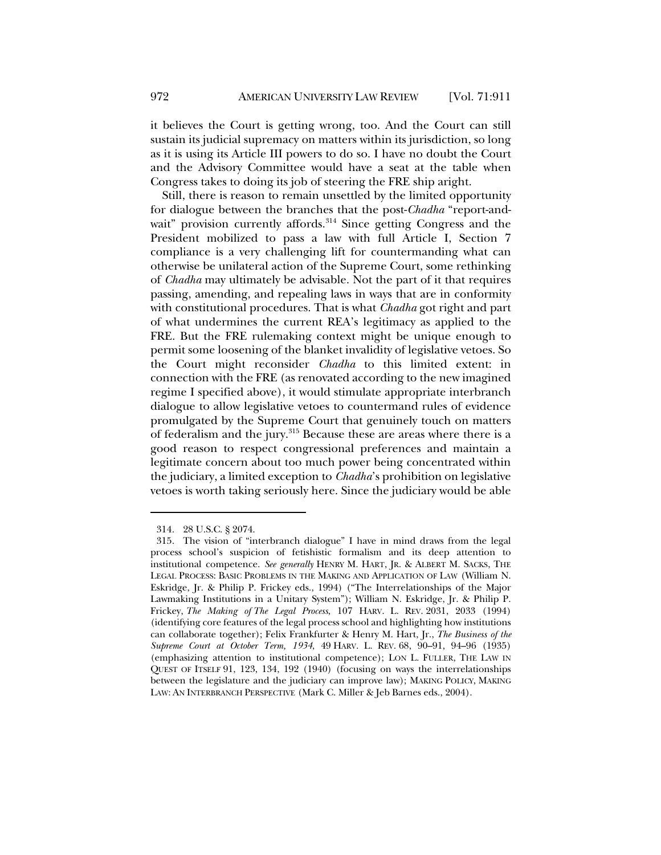it believes the Court is getting wrong, too. And the Court can still sustain its judicial supremacy on matters within its jurisdiction, so long as it is using its Article III powers to do so. I have no doubt the Court and the Advisory Committee would have a seat at the table when Congress takes to doing its job of steering the FRE ship aright.

Still, there is reason to remain unsettled by the limited opportunity for dialogue between the branches that the post-*Chadha* "report-andwait" provision currently affords.<sup>314</sup> Since getting Congress and the President mobilized to pass a law with full Article I, Section 7 compliance is a very challenging lift for countermanding what can otherwise be unilateral action of the Supreme Court, some rethinking of *Chadha* may ultimately be advisable. Not the part of it that requires passing, amending, and repealing laws in ways that are in conformity with constitutional procedures. That is what *Chadha* got right and part of what undermines the current REA's legitimacy as applied to the FRE. But the FRE rulemaking context might be unique enough to permit some loosening of the blanket invalidity of legislative vetoes. So the Court might reconsider *Chadha* to this limited extent: in connection with the FRE (as renovated according to the new imagined regime I specified above), it would stimulate appropriate interbranch dialogue to allow legislative vetoes to countermand rules of evidence promulgated by the Supreme Court that genuinely touch on matters of federalism and the jury.<sup>315</sup> Because these are areas where there is a good reason to respect congressional preferences and maintain a legitimate concern about too much power being concentrated within the judiciary, a limited exception to *Chadha*'s prohibition on legislative vetoes is worth taking seriously here. Since the judiciary would be able

<sup>314.</sup> 28 U.S.C. § 2074.

<sup>315.</sup> The vision of "interbranch dialogue" I have in mind draws from the legal process school's suspicion of fetishistic formalism and its deep attention to institutional competence. *See generally* HENRY M. HART, JR. & ALBERT M. SACKS, THE LEGAL PROCESS: BASIC PROBLEMS IN THE MAKING AND APPLICATION OF LAW (William N. Eskridge, Jr. & Philip P. Frickey eds., 1994) ("The Interrelationships of the Major Lawmaking Institutions in a Unitary System"); William N. Eskridge, Jr. & Philip P. Frickey, *The Making of The Legal Process*, 107 HARV. L. REV. 2031, 2033 (1994) (identifying core features of the legal process school and highlighting how institutions can collaborate together); Felix Frankfurter & Henry M. Hart, Jr., *The Business of the Supreme Court at October Term, 1934*, 49 HARV. L. REV. 68, 90–91, 94–96 (1935) (emphasizing attention to institutional competence); LON L. FULLER, THE LAW IN QUEST OF ITSELF 91, 123, 134, 192 (1940) (focusing on ways the interrelationships between the legislature and the judiciary can improve law); MAKING POLICY, MAKING LAW: AN INTERBRANCH PERSPECTIVE (Mark C. Miller & Jeb Barnes eds., 2004).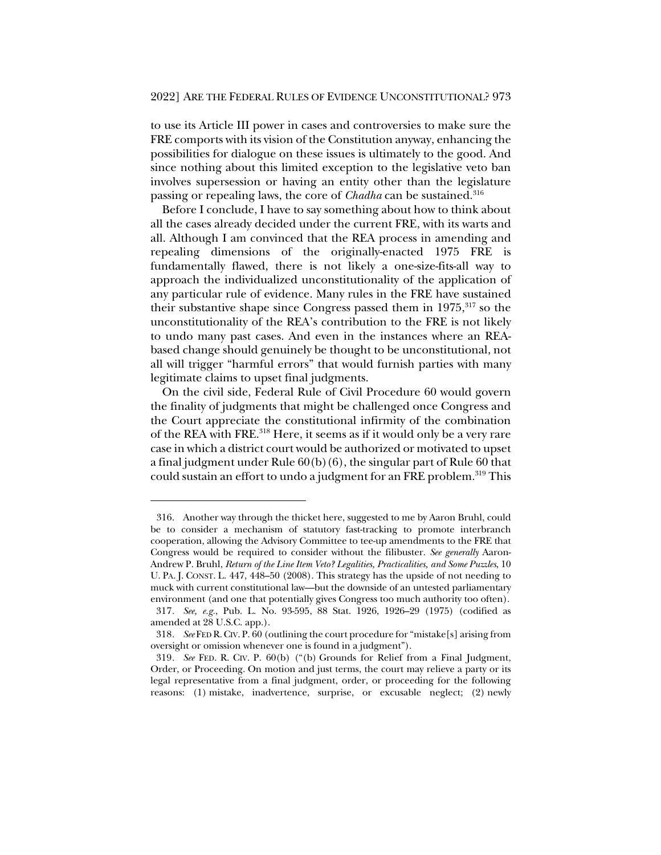to use its Article III power in cases and controversies to make sure the FRE comports with its vision of the Constitution anyway, enhancing the possibilities for dialogue on these issues is ultimately to the good. And since nothing about this limited exception to the legislative veto ban involves supersession or having an entity other than the legislature passing or repealing laws, the core of *Chadha* can be sustained.<sup>316</sup>

Before I conclude, I have to say something about how to think about all the cases already decided under the current FRE, with its warts and all. Although I am convinced that the REA process in amending and repealing dimensions of the originally-enacted 1975 FRE is fundamentally flawed, there is not likely a one-size-fits-all way to approach the individualized unconstitutionality of the application of any particular rule of evidence. Many rules in the FRE have sustained their substantive shape since Congress passed them in 1975,<sup>317</sup> so the unconstitutionality of the REA's contribution to the FRE is not likely to undo many past cases. And even in the instances where an REAbased change should genuinely be thought to be unconstitutional, not all will trigger "harmful errors" that would furnish parties with many legitimate claims to upset final judgments.

On the civil side, Federal Rule of Civil Procedure 60 would govern the finality of judgments that might be challenged once Congress and the Court appreciate the constitutional infirmity of the combination of the REA with FRE.318 Here, it seems as if it would only be a very rare case in which a district court would be authorized or motivated to upset a final judgment under Rule 60(b)(6), the singular part of Rule 60 that could sustain an effort to undo a judgment for an FRE problem.<sup>319</sup> This

<sup>316.</sup> Another way through the thicket here, suggested to me by Aaron Bruhl, could be to consider a mechanism of statutory fast-tracking to promote interbranch cooperation, allowing the Advisory Committee to tee-up amendments to the FRE that Congress would be required to consider without the filibuster. *See generally* Aaron-Andrew P. Bruhl, *Return of the Line Item Veto? Legalities, Practicalities, and Some Puzzles*, 10 U. PA. J. CONST. L. 447, 448–50 (2008). This strategy has the upside of not needing to muck with current constitutional law—but the downside of an untested parliamentary environment (and one that potentially gives Congress too much authority too often).

<sup>317</sup>*. See, e.g.*, Pub. L. No. 93-595, 88 Stat. 1926, 1926–29 (1975) (codified as amended at 28 U.S.C. app.).

<sup>318</sup>*. See* FED R.CIV. P. 60 (outlining the court procedure for "mistake[s] arising from oversight or omission whenever one is found in a judgment").

<sup>319</sup>*. See* FED. R. CIV. P. 60(b) ("(b) Grounds for Relief from a Final Judgment, Order, or Proceeding. On motion and just terms, the court may relieve a party or its legal representative from a final judgment, order, or proceeding for the following reasons: (1) mistake, inadvertence, surprise, or excusable neglect; (2) newly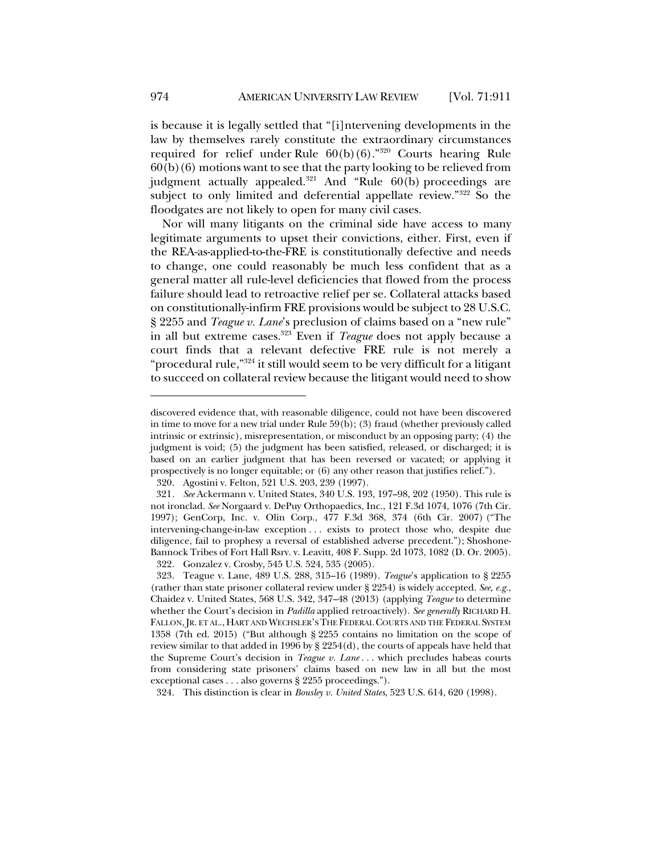is because it is legally settled that "[i]ntervening developments in the law by themselves rarely constitute the extraordinary circumstances required for relief under Rule  $60(b)(6)$ ."<sup>320</sup> Courts hearing Rule  $60(b)(6)$  motions want to see that the party looking to be relieved from judgment actually appealed. $321$  And "Rule 60(b) proceedings are subject to only limited and deferential appellate review."322 So the floodgates are not likely to open for many civil cases.

Nor will many litigants on the criminal side have access to many legitimate arguments to upset their convictions, either. First, even if the REA-as-applied-to-the-FRE is constitutionally defective and needs to change, one could reasonably be much less confident that as a general matter all rule-level deficiencies that flowed from the process failure should lead to retroactive relief per se. Collateral attacks based on constitutionally-infirm FRE provisions would be subject to 28 U.S.C. § 2255 and *Teague v. Lane*'s preclusion of claims based on a "new rule" in all but extreme cases.323 Even if *Teague* does not apply because a court finds that a relevant defective FRE rule is not merely a "procedural rule,"324 it still would seem to be very difficult for a litigant to succeed on collateral review because the litigant would need to show

324. This distinction is clear in *Bousley v. United States*, 523 U.S. 614, 620 (1998).

discovered evidence that, with reasonable diligence, could not have been discovered in time to move for a new trial under Rule 59(b); (3) fraud (whether previously called intrinsic or extrinsic), misrepresentation, or misconduct by an opposing party; (4) the judgment is void; (5) the judgment has been satisfied, released, or discharged; it is based on an earlier judgment that has been reversed or vacated; or applying it prospectively is no longer equitable; or (6) any other reason that justifies relief.").

<sup>320.</sup> Agostini v. Felton, 521 U.S. 203, 239 (1997).

<sup>321</sup>*. See* Ackermann v. United States, 340 U.S. 193, 197–98, 202 (1950). This rule is not ironclad. *See* Norgaard v. DePuy Orthopaedics, Inc., 121 F.3d 1074, 1076 (7th Cir. 1997); GenCorp, Inc. v. Olin Corp., 477 F.3d 368, 374 (6th Cir. 2007) ("The intervening-change-in-law exception . . . exists to protect those who, despite due diligence, fail to prophesy a reversal of established adverse precedent."); Shoshone-Bannock Tribes of Fort Hall Rsrv. v. Leavitt, 408 F. Supp. 2d 1073, 1082 (D. Or. 2005). 322. Gonzalez v. Crosby, 545 U.S. 524, 535 (2005).

<sup>323.</sup> Teague v. Lane, 489 U.S. 288, 315–16 (1989). *Teague*'s application to § 2255 (rather than state prisoner collateral review under § 2254) is widely accepted. *See, e.g.*, Chaidez v. United States, 568 U.S. 342, 347–48 (2013) (applying *Teague* to determine whether the Court's decision in *Padilla* applied retroactively). *See generally* RICHARD H. FALLON, JR. ET AL., HART AND WECHSLER'S THE FEDERAL COURTS AND THE FEDERAL SYSTEM 1358 (7th ed. 2015) ("But although § 2255 contains no limitation on the scope of review similar to that added in 1996 by § 2254(d), the courts of appeals have held that the Supreme Court's decision in *Teague v. Lane* . . . which precludes habeas courts from considering state prisoners' claims based on new law in all but the most exceptional cases . . . also governs § 2255 proceedings.").